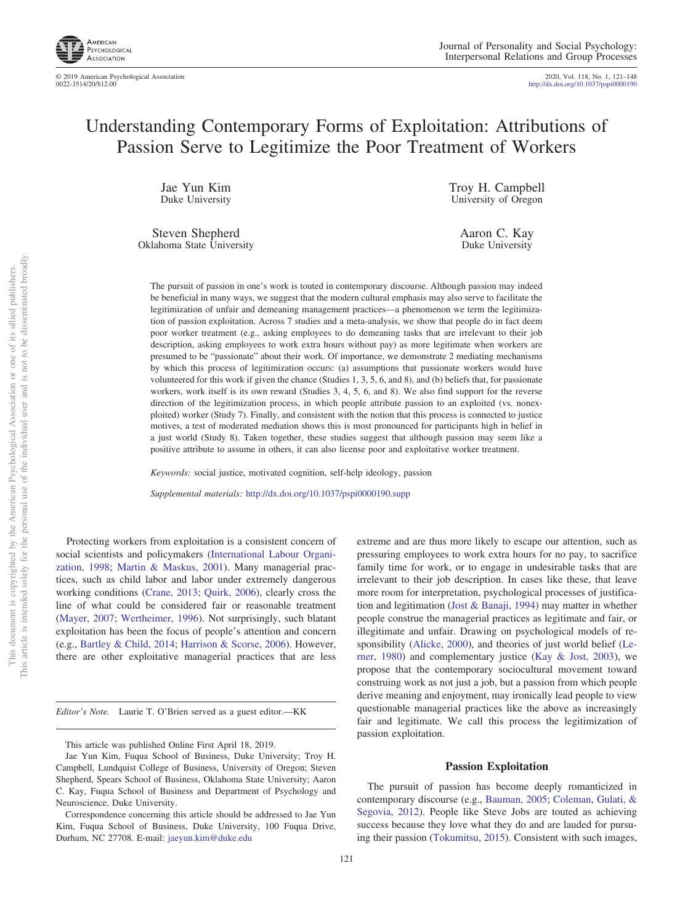

© 2019 American Psychological Association 2020, Vol. 118, No. 1, 121–148

http://dx.doi.org[/10.1037/pspi0000190](http://dx.doi.org/10.1037/pspi0000190)

# Understanding Contemporary Forms of Exploitation: Attributions of Passion Serve to Legitimize the Poor Treatment of Workers

Jae Yun Kim Duke University

Steven Shepherd Oklahoma State University Troy H. Campbell University of Oregon

> Aaron C. Kay Duke University

The pursuit of passion in one's work is touted in contemporary discourse. Although passion may indeed be beneficial in many ways, we suggest that the modern cultural emphasis may also serve to facilitate the legitimization of unfair and demeaning management practices—a phenomenon we term the legitimization of passion exploitation. Across 7 studies and a meta-analysis, we show that people do in fact deem poor worker treatment (e.g., asking employees to do demeaning tasks that are irrelevant to their job description, asking employees to work extra hours without pay) as more legitimate when workers are presumed to be "passionate" about their work. Of importance, we demonstrate 2 mediating mechanisms by which this process of legitimization occurs: (a) assumptions that passionate workers would have volunteered for this work if given the chance (Studies 1, 3, 5, 6, and 8), and (b) beliefs that, for passionate workers, work itself is its own reward (Studies 3, 4, 5, 6, and 8). We also find support for the reverse direction of the legitimization process, in which people attribute passion to an exploited (vs. nonexploited) worker (Study 7). Finally, and consistent with the notion that this process is connected to justice motives, a test of moderated mediation shows this is most pronounced for participants high in belief in a just world (Study 8). Taken together, these studies suggest that although passion may seem like a positive attribute to assume in others, it can also license poor and exploitative worker treatment.

*Keywords:* social justice, motivated cognition, self-help ideology, passion

*Supplemental materials:* http://dx.doi.org/10.1037/pspi0000190.supp

Protecting workers from exploitation is a consistent concern of social scientists and policymakers [\(International Labour Organi](#page-24-0)[zation, 1998;](#page-24-0) [Martin & Maskus, 2001\)](#page-24-1). Many managerial practices, such as child labor and labor under extremely dangerous working conditions [\(Crane, 2013;](#page-23-0) [Quirk, 2006\)](#page-24-2), clearly cross the line of what could be considered fair or reasonable treatment [\(Mayer, 2007;](#page-24-3) [Wertheimer, 1996\)](#page-25-0). Not surprisingly, such blatant exploitation has been the focus of people's attention and concern (e.g., [Bartley & Child, 2014;](#page-23-1) [Harrison & Scorse, 2006\)](#page-23-2). However, there are other exploitative managerial practices that are less

*Editor's Note.* Laurie T. O'Brien served as a guest editor.—KK

extreme and are thus more likely to escape our attention, such as pressuring employees to work extra hours for no pay, to sacrifice family time for work, or to engage in undesirable tasks that are irrelevant to their job description. In cases like these, that leave more room for interpretation, psychological processes of justification and legitimation [\(Jost & Banaji, 1994\)](#page-24-4) may matter in whether people construe the managerial practices as legitimate and fair, or illegitimate and unfair. Drawing on psychological models of responsibility [\(Alicke, 2000\)](#page-22-0), and theories of just world belief [\(Le](#page-24-5)[rner, 1980\)](#page-24-5) and complementary justice [\(Kay & Jost, 2003\)](#page-24-6), we propose that the contemporary sociocultural movement toward construing work as not just a job, but a passion from which people derive meaning and enjoyment, may ironically lead people to view questionable managerial practices like the above as increasingly fair and legitimate. We call this process the legitimization of passion exploitation.

#### **Passion Exploitation**

The pursuit of passion has become deeply romanticized in contemporary discourse (e.g., [Bauman, 2005;](#page-23-3) [Coleman, Gulati, &](#page-23-4) [Segovia, 2012\)](#page-23-4). People like Steve Jobs are touted as achieving success because they love what they do and are lauded for pursuing their passion [\(Tokumitsu, 2015\)](#page-25-1). Consistent with such images,

This article was published Online First April 18, 2019.

Jae Yun Kim, Fuqua School of Business, Duke University; Troy H. Campbell, Lundquist College of Business, University of Oregon; Steven Shepherd, Spears School of Business, Oklahoma State University; Aaron C. Kay, Fuqua School of Business and Department of Psychology and Neuroscience, Duke University.

Correspondence concerning this article should be addressed to Jae Yun Kim, Fuqua School of Business, Duke University, 100 Fuqua Drive, Durham, NC 27708. E-mail: [jaeyun.kim@duke.edu](mailto:jaeyun.kim@duke.edu)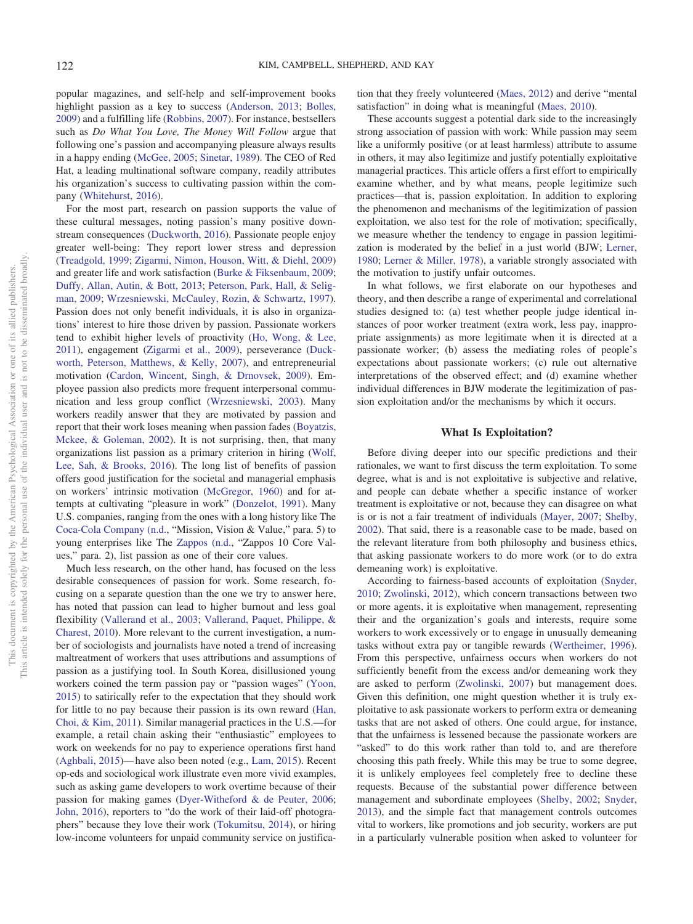popular magazines, and self-help and self-improvement books highlight passion as a key to success [\(Anderson, 2013;](#page-22-1) [Bolles,](#page-23-5) [2009\)](#page-23-5) and a fulfilling life [\(Robbins, 2007\)](#page-24-7). For instance, bestsellers such as *Do What You Love, The Money Will Follow* argue that following one's passion and accompanying pleasure always results in a happy ending [\(McGee, 2005;](#page-24-8) [Sinetar, 1989\)](#page-25-2). The CEO of Red Hat, a leading multinational software company, readily attributes his organization's success to cultivating passion within the company [\(Whitehurst, 2016\)](#page-25-3).

For the most part, research on passion supports the value of these cultural messages, noting passion's many positive downstream consequences [\(Duckworth, 2016\)](#page-23-6). Passionate people enjoy greater well-being: They report lower stress and depression [\(Treadgold, 1999;](#page-25-4) [Zigarmi, Nimon, Houson, Witt, & Diehl, 2009\)](#page-25-5) and greater life and work satisfaction [\(Burke & Fiksenbaum, 2009;](#page-23-7) [Duffy, Allan, Autin, & Bott, 2013;](#page-23-8) [Peterson, Park, Hall, & Selig](#page-24-9)[man, 2009;](#page-24-9) [Wrzesniewski, McCauley, Rozin, & Schwartz, 1997\)](#page-25-6). Passion does not only benefit individuals, it is also in organizations' interest to hire those driven by passion. Passionate workers tend to exhibit higher levels of proactivity [\(Ho, Wong, & Lee,](#page-24-10) [2011\)](#page-24-10), engagement [\(Zigarmi et al., 2009\)](#page-25-5), perseverance [\(Duck](#page-23-9)[worth, Peterson, Matthews, & Kelly, 2007\)](#page-23-9), and entrepreneurial motivation [\(Cardon, Wincent, Singh, & Drnovsek, 2009\)](#page-23-10). Employee passion also predicts more frequent interpersonal communication and less group conflict [\(Wrzesniewski, 2003\)](#page-25-7). Many workers readily answer that they are motivated by passion and report that their work loses meaning when passion fades [\(Boyatzis,](#page-23-11) [Mckee, & Goleman, 2002\)](#page-23-11). It is not surprising, then, that many organizations list passion as a primary criterion in hiring [\(Wolf,](#page-25-8) [Lee, Sah, & Brooks, 2016\)](#page-25-8). The long list of benefits of passion offers good justification for the societal and managerial emphasis on workers' intrinsic motivation [\(McGregor, 1960\)](#page-24-11) and for attempts at cultivating "pleasure in work" [\(Donzelot, 1991\)](#page-23-12). Many U.S. companies, ranging from the ones with a long history like The [Coca-Cola Company \(n.d.,](#page-23-13) "Mission, Vision & Value," para. 5) to young enterprises like The [Zappos \(n.d.,](#page-25-9) "Zappos 10 Core Values," para. 2), list passion as one of their core values.

Much less research, on the other hand, has focused on the less desirable consequences of passion for work. Some research, focusing on a separate question than the one we try to answer here, has noted that passion can lead to higher burnout and less goal flexibility [\(Vallerand et al., 2003;](#page-25-10) [Vallerand, Paquet, Philippe, &](#page-25-11) [Charest, 2010\)](#page-25-11). More relevant to the current investigation, a number of sociologists and journalists have noted a trend of increasing maltreatment of workers that uses attributions and assumptions of passion as a justifying tool. In South Korea, disillusioned young workers coined the term passion pay or "passion wages" [\(Yoon,](#page-25-12) [2015\)](#page-25-12) to satirically refer to the expectation that they should work for little to no pay because their passion is its own reward [\(Han,](#page-23-14) [Choi, & Kim, 2011\)](#page-23-14). Similar managerial practices in the U.S.—for example, a retail chain asking their "enthusiastic" employees to work on weekends for no pay to experience operations first hand [\(Aghbali, 2015\)](#page-22-2)— have also been noted (e.g., [Lam, 2015\)](#page-24-12). Recent op-eds and sociological work illustrate even more vivid examples, such as asking game developers to work overtime because of their passion for making games [\(Dyer-Witheford & de Peuter, 2006;](#page-23-15) [John, 2016\)](#page-24-13), reporters to "do the work of their laid-off photographers" because they love their work [\(Tokumitsu, 2014\)](#page-25-13), or hiring low-income volunteers for unpaid community service on justifica-

tion that they freely volunteered [\(Maes, 2012\)](#page-24-14) and derive "mental satisfaction" in doing what is meaningful [\(Maes, 2010\)](#page-24-15).

These accounts suggest a potential dark side to the increasingly strong association of passion with work: While passion may seem like a uniformly positive (or at least harmless) attribute to assume in others, it may also legitimize and justify potentially exploitative managerial practices. This article offers a first effort to empirically examine whether, and by what means, people legitimize such practices—that is, passion exploitation. In addition to exploring the phenomenon and mechanisms of the legitimization of passion exploitation, we also test for the role of motivation; specifically, we measure whether the tendency to engage in passion legitimization is moderated by the belief in a just world (BJW; [Lerner,](#page-24-5) [1980;](#page-24-5) [Lerner & Miller, 1978\)](#page-24-16), a variable strongly associated with the motivation to justify unfair outcomes.

In what follows, we first elaborate on our hypotheses and theory, and then describe a range of experimental and correlational studies designed to: (a) test whether people judge identical instances of poor worker treatment (extra work, less pay, inappropriate assignments) as more legitimate when it is directed at a passionate worker; (b) assess the mediating roles of people's expectations about passionate workers; (c) rule out alternative interpretations of the observed effect; and (d) examine whether individual differences in BJW moderate the legitimization of passion exploitation and/or the mechanisms by which it occurs.

# **What Is Exploitation?**

Before diving deeper into our specific predictions and their rationales, we want to first discuss the term exploitation. To some degree, what is and is not exploitative is subjective and relative, and people can debate whether a specific instance of worker treatment is exploitative or not, because they can disagree on what is or is not a fair treatment of individuals [\(Mayer, 2007;](#page-24-3) [Shelby,](#page-24-17) [2002\)](#page-24-17). That said, there is a reasonable case to be made, based on the relevant literature from both philosophy and business ethics, that asking passionate workers to do more work (or to do extra demeaning work) is exploitative.

According to fairness-based accounts of exploitation [\(Snyder,](#page-25-14) [2010;](#page-25-14) [Zwolinski, 2012\)](#page-25-15), which concern transactions between two or more agents, it is exploitative when management, representing their and the organization's goals and interests, require some workers to work excessively or to engage in unusually demeaning tasks without extra pay or tangible rewards [\(Wertheimer, 1996\)](#page-25-0). From this perspective, unfairness occurs when workers do not sufficiently benefit from the excess and/or demeaning work they are asked to perform [\(Zwolinski, 2007\)](#page-25-16) but management does. Given this definition, one might question whether it is truly exploitative to ask passionate workers to perform extra or demeaning tasks that are not asked of others. One could argue, for instance, that the unfairness is lessened because the passionate workers are "asked" to do this work rather than told to, and are therefore choosing this path freely. While this may be true to some degree, it is unlikely employees feel completely free to decline these requests. Because of the substantial power difference between management and subordinate employees [\(Shelby, 2002;](#page-24-17) [Snyder,](#page-25-17) [2013\)](#page-25-17), and the simple fact that management controls outcomes vital to workers, like promotions and job security, workers are put in a particularly vulnerable position when asked to volunteer for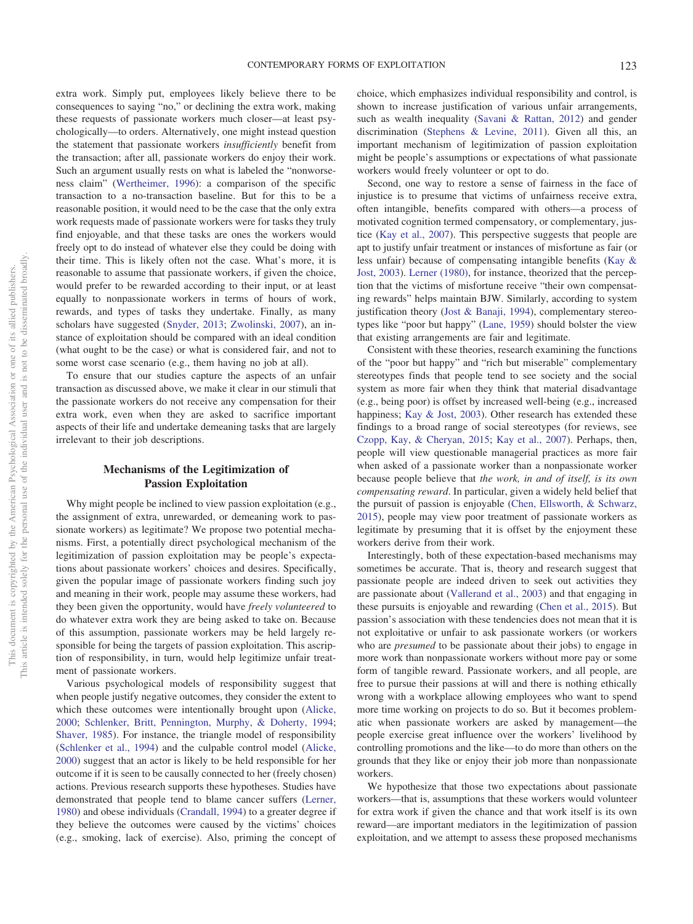extra work. Simply put, employees likely believe there to be consequences to saying "no," or declining the extra work, making these requests of passionate workers much closer—at least psychologically—to orders. Alternatively, one might instead question the statement that passionate workers *insufficiently* benefit from the transaction; after all, passionate workers do enjoy their work. Such an argument usually rests on what is labeled the "nonworseness claim" [\(Wertheimer, 1996\)](#page-25-0): a comparison of the specific transaction to a no-transaction baseline. But for this to be a reasonable position, it would need to be the case that the only extra work requests made of passionate workers were for tasks they truly find enjoyable, and that these tasks are ones the workers would freely opt to do instead of whatever else they could be doing with their time. This is likely often not the case. What's more, it is reasonable to assume that passionate workers, if given the choice, would prefer to be rewarded according to their input, or at least equally to nonpassionate workers in terms of hours of work, rewards, and types of tasks they undertake. Finally, as many scholars have suggested [\(Snyder, 2013;](#page-25-17) [Zwolinski, 2007\)](#page-25-16), an instance of exploitation should be compared with an ideal condition (what ought to be the case) or what is considered fair, and not to some worst case scenario (e.g., them having no job at all).

To ensure that our studies capture the aspects of an unfair transaction as discussed above, we make it clear in our stimuli that the passionate workers do not receive any compensation for their extra work, even when they are asked to sacrifice important aspects of their life and undertake demeaning tasks that are largely irrelevant to their job descriptions.

# **Mechanisms of the Legitimization of Passion Exploitation**

Why might people be inclined to view passion exploitation (e.g., the assignment of extra, unrewarded, or demeaning work to passionate workers) as legitimate? We propose two potential mechanisms. First, a potentially direct psychological mechanism of the legitimization of passion exploitation may be people's expectations about passionate workers' choices and desires. Specifically, given the popular image of passionate workers finding such joy and meaning in their work, people may assume these workers, had they been given the opportunity, would have *freely volunteered* to do whatever extra work they are being asked to take on. Because of this assumption, passionate workers may be held largely responsible for being the targets of passion exploitation. This ascription of responsibility, in turn, would help legitimize unfair treatment of passionate workers.

Various psychological models of responsibility suggest that when people justify negative outcomes, they consider the extent to which these outcomes were intentionally brought upon [\(Alicke,](#page-22-0) [2000;](#page-22-0) [Schlenker, Britt, Pennington, Murphy, & Doherty, 1994;](#page-24-18) [Shaver, 1985\)](#page-24-19). For instance, the triangle model of responsibility [\(Schlenker et al., 1994\)](#page-24-18) and the culpable control model [\(Alicke,](#page-22-0) [2000\)](#page-22-0) suggest that an actor is likely to be held responsible for her outcome if it is seen to be causally connected to her (freely chosen) actions. Previous research supports these hypotheses. Studies have demonstrated that people tend to blame cancer suffers [\(Lerner,](#page-24-5) [1980\)](#page-24-5) and obese individuals [\(Crandall, 1994\)](#page-23-16) to a greater degree if they believe the outcomes were caused by the victims' choices (e.g., smoking, lack of exercise). Also, priming the concept of choice, which emphasizes individual responsibility and control, is shown to increase justification of various unfair arrangements, such as wealth inequality [\(Savani & Rattan, 2012\)](#page-24-20) and gender discrimination [\(Stephens & Levine, 2011\)](#page-25-18). Given all this, an important mechanism of legitimization of passion exploitation might be people's assumptions or expectations of what passionate workers would freely volunteer or opt to do.

Second, one way to restore a sense of fairness in the face of injustice is to presume that victims of unfairness receive extra, often intangible, benefits compared with others—a process of motivated cognition termed compensatory, or complementary, justice [\(Kay et al., 2007\)](#page-24-21). This perspective suggests that people are apt to justify unfair treatment or instances of misfortune as fair (or less unfair) because of compensating intangible benefits [\(Kay &](#page-24-6) [Jost, 2003\)](#page-24-6). [Lerner \(1980\),](#page-24-5) for instance, theorized that the perception that the victims of misfortune receive "their own compensating rewards" helps maintain BJW. Similarly, according to system justification theory [\(Jost & Banaji, 1994\)](#page-24-4), complementary stereotypes like "poor but happy" [\(Lane, 1959\)](#page-24-22) should bolster the view that existing arrangements are fair and legitimate.

Consistent with these theories, research examining the functions of the "poor but happy" and "rich but miserable" complementary stereotypes finds that people tend to see society and the social system as more fair when they think that material disadvantage (e.g., being poor) is offset by increased well-being (e.g., increased happiness; [Kay & Jost, 2003\)](#page-24-6). Other research has extended these findings to a broad range of social stereotypes (for reviews, see [Czopp, Kay, & Cheryan, 2015;](#page-23-17) [Kay et al., 2007\)](#page-24-21). Perhaps, then, people will view questionable managerial practices as more fair when asked of a passionate worker than a nonpassionate worker because people believe that *the work, in and of itself, is its own compensating reward*. In particular, given a widely held belief that the pursuit of passion is enjoyable [\(Chen, Ellsworth, & Schwarz,](#page-23-18) [2015\)](#page-23-18), people may view poor treatment of passionate workers as legitimate by presuming that it is offset by the enjoyment these workers derive from their work.

Interestingly, both of these expectation-based mechanisms may sometimes be accurate. That is, theory and research suggest that passionate people are indeed driven to seek out activities they are passionate about [\(Vallerand et al., 2003\)](#page-25-10) and that engaging in these pursuits is enjoyable and rewarding [\(Chen et al., 2015\)](#page-23-18). But passion's association with these tendencies does not mean that it is not exploitative or unfair to ask passionate workers (or workers who are *presumed* to be passionate about their jobs) to engage in more work than nonpassionate workers without more pay or some form of tangible reward. Passionate workers, and all people, are free to pursue their passions at will and there is nothing ethically wrong with a workplace allowing employees who want to spend more time working on projects to do so. But it becomes problematic when passionate workers are asked by management—the people exercise great influence over the workers' livelihood by controlling promotions and the like—to do more than others on the grounds that they like or enjoy their job more than nonpassionate workers.

We hypothesize that those two expectations about passionate workers—that is, assumptions that these workers would volunteer for extra work if given the chance and that work itself is its own reward—are important mediators in the legitimization of passion exploitation, and we attempt to assess these proposed mechanisms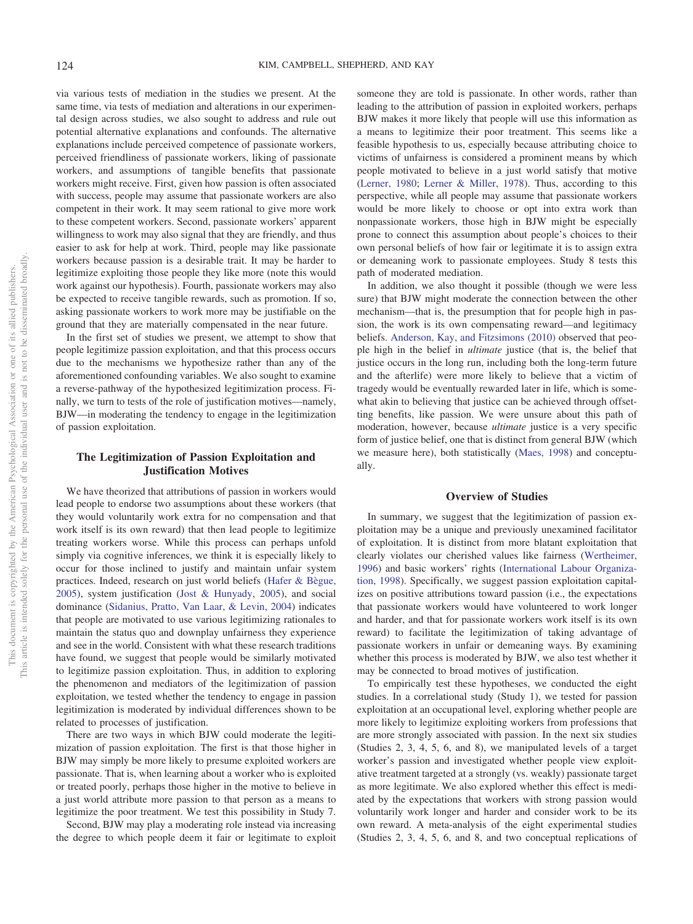via various tests of mediation in the studies we present. At the same time, via tests of mediation and alterations in our experimental design across studies, we also sought to address and rule out potential alternative explanations and confounds. The alternative explanations include perceived competence of passionate workers, perceived friendliness of passionate workers, liking of passionate workers, and assumptions of tangible benefits that passionate workers might receive. First, given how passion is often associated with success, people may assume that passionate workers are also competent in their work. It may seem rational to give more work to these competent workers. Second, passionate workers' apparent willingness to work may also signal that they are friendly, and thus easier to ask for help at work. Third, people may like passionate workers because passion is a desirable trait. It may be harder to legitimize exploiting those people they like more (note this would work against our hypothesis). Fourth, passionate workers may also be expected to receive tangible rewards, such as promotion. If so, asking passionate workers to work more may be justifiable on the ground that they are materially compensated in the near future.

In the first set of studies we present, we attempt to show that people legitimize passion exploitation, and that this process occurs due to the mechanisms we hypothesize rather than any of the aforementioned confounding variables. We also sought to examine a reverse-pathway of the hypothesized legitimization process. Finally, we turn to tests of the role of justification motives—namely, BJW—in moderating the tendency to engage in the legitimization of passion exploitation.

# **The Legitimization of Passion Exploitation and Justification Motives**

We have theorized that attributions of passion in workers would lead people to endorse two assumptions about these workers (that they would voluntarily work extra for no compensation and that work itself is its own reward) that then lead people to legitimize treating workers worse. While this process can perhaps unfold simply via cognitive inferences, we think it is especially likely to occur for those inclined to justify and maintain unfair system practices. Indeed, research on just world beliefs [\(Hafer & Bègue,](#page-23-19) [2005\)](#page-23-19), system justification [\(Jost & Hunyady, 2005\)](#page-24-23), and social dominance [\(Sidanius, Pratto, Van Laar, & Levin, 2004\)](#page-25-19) indicates that people are motivated to use various legitimizing rationales to maintain the status quo and downplay unfairness they experience and see in the world. Consistent with what these research traditions have found, we suggest that people would be similarly motivated to legitimize passion exploitation. Thus, in addition to exploring the phenomenon and mediators of the legitimization of passion exploitation, we tested whether the tendency to engage in passion legitimization is moderated by individual differences shown to be related to processes of justification.

There are two ways in which BJW could moderate the legitimization of passion exploitation. The first is that those higher in BJW may simply be more likely to presume exploited workers are passionate. That is, when learning about a worker who is exploited or treated poorly, perhaps those higher in the motive to believe in a just world attribute more passion to that person as a means to legitimize the poor treatment. We test this possibility in Study 7.

Second, BJW may play a moderating role instead via increasing the degree to which people deem it fair or legitimate to exploit someone they are told is passionate. In other words, rather than leading to the attribution of passion in exploited workers, perhaps BJW makes it more likely that people will use this information as a means to legitimize their poor treatment. This seems like a feasible hypothesis to us, especially because attributing choice to victims of unfairness is considered a prominent means by which people motivated to believe in a just world satisfy that motive [\(Lerner, 1980;](#page-24-5) [Lerner & Miller, 1978\)](#page-24-16). Thus, according to this perspective, while all people may assume that passionate workers would be more likely to choose or opt into extra work than nonpassionate workers, those high in BJW might be especially prone to connect this assumption about people's choices to their own personal beliefs of how fair or legitimate it is to assign extra or demeaning work to passionate employees. Study 8 tests this path of moderated mediation.

In addition, we also thought it possible (though we were less sure) that BJW might moderate the connection between the other mechanism—that is, the presumption that for people high in passion, the work is its own compensating reward—and legitimacy beliefs. [Anderson, Kay, and Fitzsimons \(2010\)](#page-23-20) observed that people high in the belief in *ultimate* justice (that is, the belief that justice occurs in the long run, including both the long-term future and the afterlife) were more likely to believe that a victim of tragedy would be eventually rewarded later in life, which is somewhat akin to believing that justice can be achieved through offsetting benefits, like passion. We were unsure about this path of moderation, however, because *ultimate* justice is a very specific form of justice belief, one that is distinct from general BJW (which we measure here), both statistically [\(Maes, 1998\)](#page-24-24) and conceptually.

# **Overview of Studies**

In summary, we suggest that the legitimization of passion exploitation may be a unique and previously unexamined facilitator of exploitation. It is distinct from more blatant exploitation that clearly violates our cherished values like fairness [\(Wertheimer,](#page-25-0) [1996\)](#page-25-0) and basic workers' rights [\(International Labour Organiza](#page-24-0)[tion, 1998\)](#page-24-0). Specifically, we suggest passion exploitation capitalizes on positive attributions toward passion (i.e., the expectations that passionate workers would have volunteered to work longer and harder, and that for passionate workers work itself is its own reward) to facilitate the legitimization of taking advantage of passionate workers in unfair or demeaning ways. By examining whether this process is moderated by BJW, we also test whether it may be connected to broad motives of justification.

To empirically test these hypotheses, we conducted the eight studies. In a correlational study (Study 1), we tested for passion exploitation at an occupational level, exploring whether people are more likely to legitimize exploiting workers from professions that are more strongly associated with passion. In the next six studies (Studies 2, 3, 4, 5, 6, and 8), we manipulated levels of a target worker's passion and investigated whether people view exploitative treatment targeted at a strongly (vs. weakly) passionate target as more legitimate. We also explored whether this effect is mediated by the expectations that workers with strong passion would voluntarily work longer and harder and consider work to be its own reward. A meta-analysis of the eight experimental studies (Studies 2, 3, 4, 5, 6, and 8, and two conceptual replications of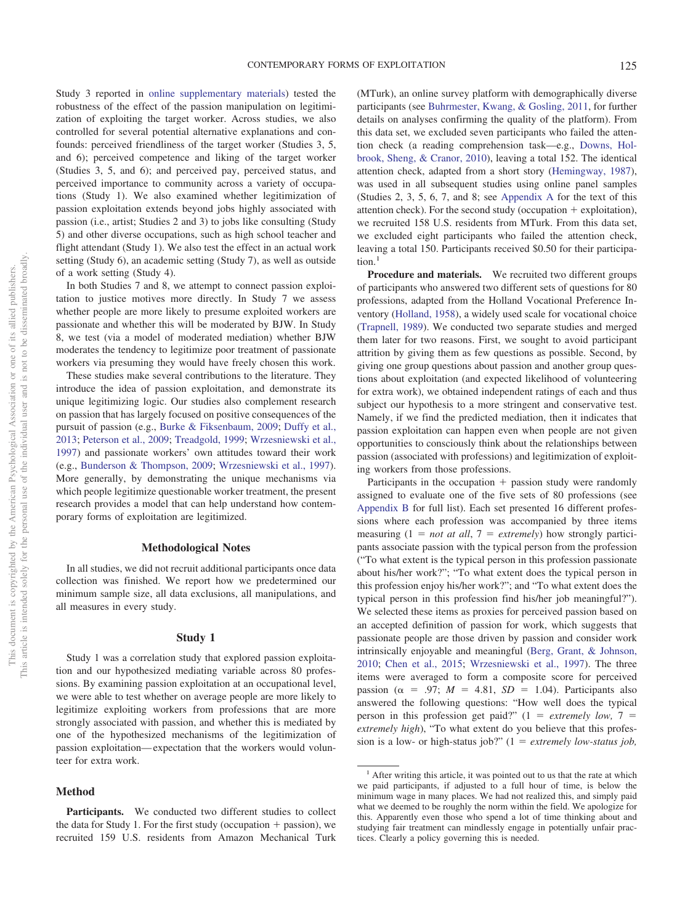Study 3 reported in [online supplementary materials\)](http://dx.doi.org/10.1037/pspi0000190.supp) tested the robustness of the effect of the passion manipulation on legitimization of exploiting the target worker. Across studies, we also controlled for several potential alternative explanations and confounds: perceived friendliness of the target worker (Studies 3, 5, and 6); perceived competence and liking of the target worker (Studies 3, 5, and 6); and perceived pay, perceived status, and perceived importance to community across a variety of occupations (Study 1). We also examined whether legitimization of passion exploitation extends beyond jobs highly associated with passion (i.e., artist; Studies 2 and 3) to jobs like consulting (Study 5) and other diverse occupations, such as high school teacher and flight attendant (Study 1). We also test the effect in an actual work setting (Study 6), an academic setting (Study 7), as well as outside of a work setting (Study 4).

In both Studies 7 and 8, we attempt to connect passion exploitation to justice motives more directly. In Study 7 we assess whether people are more likely to presume exploited workers are passionate and whether this will be moderated by BJW. In Study 8, we test (via a model of moderated mediation) whether BJW moderates the tendency to legitimize poor treatment of passionate workers via presuming they would have freely chosen this work.

These studies make several contributions to the literature. They introduce the idea of passion exploitation, and demonstrate its unique legitimizing logic. Our studies also complement research on passion that has largely focused on positive consequences of the pursuit of passion (e.g., [Burke & Fiksenbaum, 2009;](#page-23-7) [Duffy et al.,](#page-23-8) [2013;](#page-23-8) [Peterson et al., 2009;](#page-24-9) [Treadgold, 1999;](#page-25-4) [Wrzesniewski et al.,](#page-25-6) [1997\)](#page-25-6) and passionate workers' own attitudes toward their work (e.g., [Bunderson & Thompson, 2009;](#page-23-21) [Wrzesniewski et al., 1997\)](#page-25-6). More generally, by demonstrating the unique mechanisms via which people legitimize questionable worker treatment, the present research provides a model that can help understand how contemporary forms of exploitation are legitimized.

#### **Methodological Notes**

In all studies, we did not recruit additional participants once data collection was finished. We report how we predetermined our minimum sample size, all data exclusions, all manipulations, and all measures in every study.

#### **Study 1**

Study 1 was a correlation study that explored passion exploitation and our hypothesized mediating variable across 80 professions. By examining passion exploitation at an occupational level, we were able to test whether on average people are more likely to legitimize exploiting workers from professions that are more strongly associated with passion, and whether this is mediated by one of the hypothesized mechanisms of the legitimization of passion exploitation— expectation that the workers would volunteer for extra work.

#### **Method**

**Participants.** We conducted two different studies to collect the data for Study 1. For the first study (occupation  $+$  passion), we recruited 159 U.S. residents from Amazon Mechanical Turk (MTurk), an online survey platform with demographically diverse participants (see [Buhrmester, Kwang, & Gosling, 2011,](#page-23-22) for further details on analyses confirming the quality of the platform). From this data set, we excluded seven participants who failed the attention check (a reading comprehension task—e.g., [Downs, Hol](#page-23-23)[brook, Sheng, & Cranor, 2010\)](#page-23-23), leaving a total 152. The identical attention check, adapted from a short story [\(Hemingway, 1987\)](#page-23-24), was used in all subsequent studies using online panel samples (Studies 2, 3, 5, 6, 7, and 8; see [Appendix A](#page-25-20) for the text of this attention check). For the second study (occupation - exploitation), we recruited 158 U.S. residents from MTurk. From this data set, we excluded eight participants who failed the attention check, leaving a total 150. Participants received \$0.50 for their participation $1$ 

**Procedure and materials.** We recruited two different groups of participants who answered two different sets of questions for 80 professions, adapted from the Holland Vocational Preference Inventory [\(Holland, 1958\)](#page-24-25), a widely used scale for vocational choice [\(Trapnell, 1989\)](#page-25-21). We conducted two separate studies and merged them later for two reasons. First, we sought to avoid participant attrition by giving them as few questions as possible. Second, by giving one group questions about passion and another group questions about exploitation (and expected likelihood of volunteering for extra work), we obtained independent ratings of each and thus subject our hypothesis to a more stringent and conservative test. Namely, if we find the predicted mediation, then it indicates that passion exploitation can happen even when people are not given opportunities to consciously think about the relationships between passion (associated with professions) and legitimization of exploiting workers from those professions.

Participants in the occupation + passion study were randomly assigned to evaluate one of the five sets of 80 professions (see [Appendix B](#page-26-0) for full list). Each set presented 16 different professions where each profession was accompanied by three items measuring  $(1 = not at all, 7 = extremely)$  how strongly participants associate passion with the typical person from the profession ("To what extent is the typical person in this profession passionate about his/her work?"; "To what extent does the typical person in this profession enjoy his/her work?"; and "To what extent does the typical person in this profession find his/her job meaningful?"). We selected these items as proxies for perceived passion based on an accepted definition of passion for work, which suggests that passionate people are those driven by passion and consider work intrinsically enjoyable and meaningful [\(Berg, Grant, & Johnson,](#page-23-25) [2010;](#page-23-25) [Chen et al., 2015;](#page-23-18) [Wrzesniewski et al., 1997\)](#page-25-6). The three items were averaged to form a composite score for perceived passion ( $\alpha$  = .97;  $M = 4.81$ ,  $SD = 1.04$ ). Participants also answered the following questions: "How well does the typical person in this profession get paid?"  $(1 = extremely low, 7 =$ *extremely high*), "To what extent do you believe that this profession is a low- or high-status job?" (1 *extremely low-status job,*

This document is copyrighted by the American Psychological Association or one of its allied publishers.

This document is copyrighted by the American Psychological Association or one of its allied publishers.

<sup>&</sup>lt;sup>1</sup> After writing this article, it was pointed out to us that the rate at which we paid participants, if adjusted to a full hour of time, is below the minimum wage in many places. We had not realized this, and simply paid what we deemed to be roughly the norm within the field. We apologize for this. Apparently even those who spend a lot of time thinking about and studying fair treatment can mindlessly engage in potentially unfair practices. Clearly a policy governing this is needed.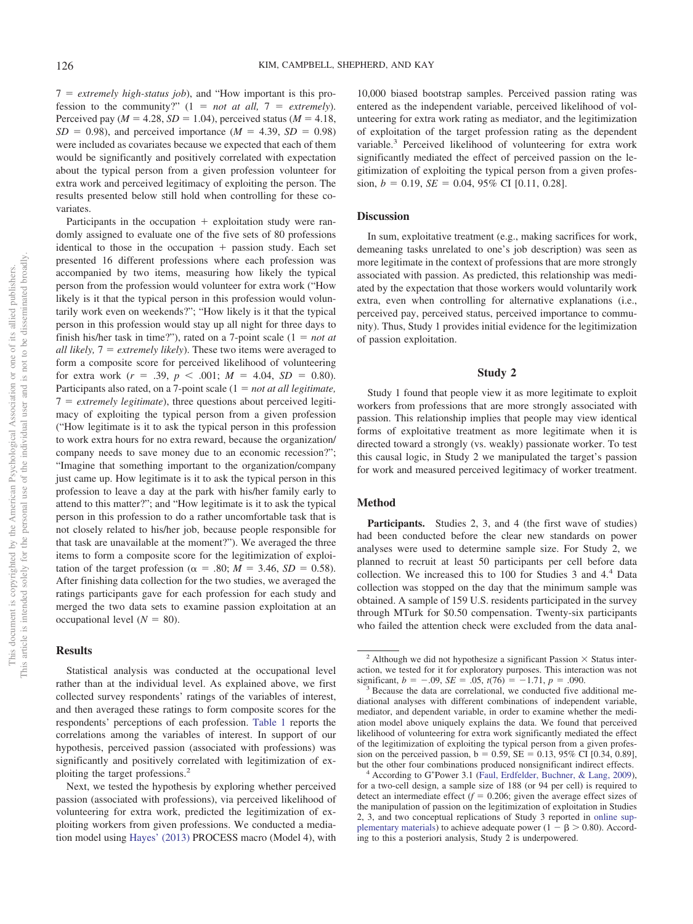$7 =$  *extremely high-status job*), and "How important is this profession to the community?"  $(1 = not at all, 7 = extremely)$ . Perceived pay ( $M = 4.28$ ,  $SD = 1.04$ ), perceived status ( $M = 4.18$ ,  $SD = 0.98$ , and perceived importance (*M* = 4.39, *SD* = 0.98) were included as covariates because we expected that each of them would be significantly and positively correlated with expectation about the typical person from a given profession volunteer for extra work and perceived legitimacy of exploiting the person. The results presented below still hold when controlling for these covariates.

Participants in the occupation + exploitation study were randomly assigned to evaluate one of the five sets of 80 professions identical to those in the occupation + passion study. Each set presented 16 different professions where each profession was accompanied by two items, measuring how likely the typical person from the profession would volunteer for extra work ("How likely is it that the typical person in this profession would voluntarily work even on weekends?"; "How likely is it that the typical person in this profession would stay up all night for three days to finish his/her task in time?"), rated on a 7-point scale  $(1 = not at$ *all likely,* 7 *extremely likely*). These two items were averaged to form a composite score for perceived likelihood of volunteering for extra work  $(r = .39, p < .001; M = 4.04, SD = 0.80)$ . Participants also rated, on a 7-point scale (1 = *not at all legitimate*,  $7 =$  *extremely legitimate*), three questions about perceived legitimacy of exploiting the typical person from a given profession ("How legitimate is it to ask the typical person in this profession to work extra hours for no extra reward, because the organization/ company needs to save money due to an economic recession?"; "Imagine that something important to the organization/company just came up. How legitimate is it to ask the typical person in this profession to leave a day at the park with his/her family early to attend to this matter?"; and "How legitimate is it to ask the typical person in this profession to do a rather uncomfortable task that is not closely related to his/her job, because people responsible for that task are unavailable at the moment?"). We averaged the three items to form a composite score for the legitimization of exploitation of the target profession ( $\alpha = .80; M = 3.46, SD = 0.58$ ). After finishing data collection for the two studies, we averaged the ratings participants gave for each profession for each study and merged the two data sets to examine passion exploitation at an occupational level  $(N = 80)$ .

# **Results**

Statistical analysis was conducted at the occupational level rather than at the individual level. As explained above, we first collected survey respondents' ratings of the variables of interest, and then averaged these ratings to form composite scores for the respondents' perceptions of each profession. [Table 1](#page-6-0) reports the correlations among the variables of interest. In support of our hypothesis, perceived passion (associated with professions) was significantly and positively correlated with legitimization of exploiting the target professions.2

Next, we tested the hypothesis by exploring whether perceived passion (associated with professions), via perceived likelihood of volunteering for extra work, predicted the legitimization of exploiting workers from given professions. We conducted a mediation model using [Hayes' \(2013\)](#page-23-26) PROCESS macro (Model 4), with

10,000 biased bootstrap samples. Perceived passion rating was entered as the independent variable, perceived likelihood of volunteering for extra work rating as mediator, and the legitimization of exploitation of the target profession rating as the dependent variable.<sup>3</sup> Perceived likelihood of volunteering for extra work significantly mediated the effect of perceived passion on the legitimization of exploiting the typical person from a given profession,  $b = 0.19$ ,  $SE = 0.04$ ,  $95\%$  CI [0.11, 0.28].

# **Discussion**

In sum, exploitative treatment (e.g., making sacrifices for work, demeaning tasks unrelated to one's job description) was seen as more legitimate in the context of professions that are more strongly associated with passion. As predicted, this relationship was mediated by the expectation that those workers would voluntarily work extra, even when controlling for alternative explanations (i.e., perceived pay, perceived status, perceived importance to community). Thus, Study 1 provides initial evidence for the legitimization of passion exploitation.

# **Study 2**

Study 1 found that people view it as more legitimate to exploit workers from professions that are more strongly associated with passion. This relationship implies that people may view identical forms of exploitative treatment as more legitimate when it is directed toward a strongly (vs. weakly) passionate worker. To test this causal logic, in Study 2 we manipulated the target's passion for work and measured perceived legitimacy of worker treatment.

# **Method**

Participants. Studies 2, 3, and 4 (the first wave of studies) had been conducted before the clear new standards on power analyses were used to determine sample size. For Study 2, we planned to recruit at least 50 participants per cell before data collection. We increased this to 100 for Studies 3 and 4.4 Data collection was stopped on the day that the minimum sample was obtained. A sample of 159 U.S. residents participated in the survey through MTurk for \$0.50 compensation. Twenty-six participants who failed the attention check were excluded from the data anal-

<sup>&</sup>lt;sup>2</sup> Although we did not hypothesize a significant Passion  $\times$  Status interaction, we tested for it for exploratory purposes. This interaction was not significant,  $b = -.09$ ,  $SE = .05$ ,  $t(76) = -1.71$ ,  $p = .090$ .

<sup>&</sup>lt;sup>3</sup> Because the data are correlational, we conducted five additional mediational analyses with different combinations of independent variable, mediator, and dependent variable, in order to examine whether the mediation model above uniquely explains the data. We found that perceived likelihood of volunteering for extra work significantly mediated the effect of the legitimization of exploiting the typical person from a given profession on the perceived passion,  $b = 0.59$ ,  $SE = 0.13$ ,  $95\%$  CI [0.34, 0.89],

but the other four combinations produced nonsignificant indirect effects.<br><sup>4</sup> According to G<sup>\*</sup>Power 3.1 [\(Faul, Erdfelder, Buchner, & Lang, 2009\)](#page-23-27), for a two-cell design, a sample size of 188 (or 94 per cell) is required to detect an intermediate effect  $(f = 0.206$ ; given the average effect sizes of the manipulation of passion on the legitimization of exploitation in Studies 2, 3, and two conceptual replications of Study 3 reported in [online sup](http://dx.doi.org/10.1037/pspi0000190.supp)[plementary materials\)](http://dx.doi.org/10.1037/pspi0000190.supp) to achieve adequate power  $(1 - \beta > 0.80)$ . According to this a posteriori analysis, Study 2 is underpowered.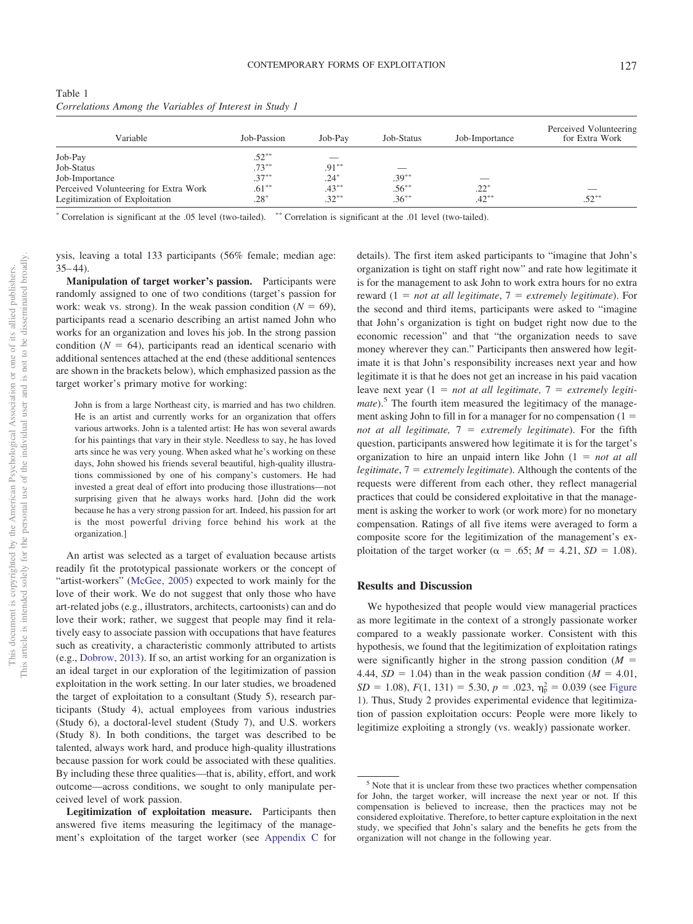<span id="page-6-0"></span>

| Table 1                                                 |  |  |  |
|---------------------------------------------------------|--|--|--|
| Correlations Among the Variables of Interest in Study 1 |  |  |  |

| Variable                              | Job-Passion | Job-Pay  | Job-Status | Job-Importance | Perceived Volunteering<br>for Extra Work |
|---------------------------------------|-------------|----------|------------|----------------|------------------------------------------|
| Job-Pay                               | $.52***$    |          |            |                |                                          |
| Job-Status                            | $.73***$    | $.91***$ | –          |                |                                          |
| Job-Importance                        | $.37***$    | $.24*$   | $.39***$   |                |                                          |
| Perceived Volunteering for Extra Work | $.61***$    | $.43***$ | $.56***$   | $.22*$         |                                          |
| Legitimization of Exploitation        | $.28*$      | $.32***$ | $.36***$   | $.42***$       | $.52***$                                 |

\* Correlation is significant at the .05 level (two-tailed). \*\* Correlation is significant at the .01 level (two-tailed).

ysis, leaving a total 133 participants (56% female; median age:  $35 - 44$ ).

**Manipulation of target worker's passion.** Participants were randomly assigned to one of two conditions (target's passion for work: weak vs. strong). In the weak passion condition  $(N = 69)$ , participants read a scenario describing an artist named John who works for an organization and loves his job. In the strong passion condition  $(N = 64)$ , participants read an identical scenario with additional sentences attached at the end (these additional sentences are shown in the brackets below), which emphasized passion as the target worker's primary motive for working:

John is from a large Northeast city, is married and has two children. He is an artist and currently works for an organization that offers various artworks. John is a talented artist: He has won several awards for his paintings that vary in their style. Needless to say, he has loved arts since he was very young. When asked what he's working on these days, John showed his friends several beautiful, high-quality illustrations commissioned by one of his company's customers. He had invested a great deal of effort into producing those illustrations—not surprising given that he always works hard. [John did the work because he has a very strong passion for art. Indeed, his passion for art is the most powerful driving force behind his work at the organization.]

An artist was selected as a target of evaluation because artists readily fit the prototypical passionate workers or the concept of "artist-workers" [\(McGee, 2005\)](#page-24-8) expected to work mainly for the love of their work. We do not suggest that only those who have art-related jobs (e.g., illustrators, architects, cartoonists) can and do love their work; rather, we suggest that people may find it relatively easy to associate passion with occupations that have features such as creativity, a characteristic commonly attributed to artists (e.g., [Dobrow, 2013\)](#page-23-28). If so, an artist working for an organization is an ideal target in our exploration of the legitimization of passion exploitation in the work setting. In our later studies, we broadened the target of exploitation to a consultant (Study 5), research participants (Study 4), actual employees from various industries (Study 6), a doctoral-level student (Study 7), and U.S. workers (Study 8). In both conditions, the target was described to be talented, always work hard, and produce high-quality illustrations because passion for work could be associated with these qualities. By including these three qualities—that is, ability, effort, and work outcome—across conditions, we sought to only manipulate perceived level of work passion.

**Legitimization of exploitation measure.** Participants then answered five items measuring the legitimacy of the management's exploitation of the target worker (see [Appendix C](#page-26-1) for details). The first item asked participants to "imagine that John's organization is tight on staff right now" and rate how legitimate it is for the management to ask John to work extra hours for no extra reward (1 *not at all legitimate*, 7 *extremely legitimate*). For the second and third items, participants were asked to "imagine that John's organization is tight on budget right now due to the economic recession" and that "the organization needs to save money wherever they can." Participants then answered how legitimate it is that John's responsibility increases next year and how legitimate it is that he does not get an increase in his paid vacation leave next year  $(1 = not at all legitimate, 7 = extremely legitimate)$ *mate*).<sup>5</sup> The fourth item measured the legitimacy of the management asking John to fill in for a manager for no compensation (1 *not at all legitimate,* 7 *extremely legitimate*). For the fifth question, participants answered how legitimate it is for the target's organization to hire an unpaid intern like John (1 *not at all legitimate*, 7 *extremely legitimate*). Although the contents of the requests were different from each other, they reflect managerial practices that could be considered exploitative in that the management is asking the worker to work (or work more) for no monetary compensation. Ratings of all five items were averaged to form a composite score for the legitimization of the management's exploitation of the target worker ( $\alpha = .65$ ;  $M = 4.21$ ,  $SD = 1.08$ ).

# **Results and Discussion**

We hypothesized that people would view managerial practices as more legitimate in the context of a strongly passionate worker compared to a weakly passionate worker. Consistent with this hypothesis, we found that the legitimization of exploitation ratings were significantly higher in the strong passion condition  $(M =$ 4.44,  $SD = 1.04$ ) than in the weak passion condition ( $M = 4.01$ ,  $SD = 1.08$ ),  $F(1, 131) = 5.30$ ,  $p = .023$ ,  $\eta_p^2 = 0.039$  (see [Figure](#page-7-0) [1\)](#page-7-0). Thus, Study 2 provides experimental evidence that legitimization of passion exploitation occurs: People were more likely to legitimize exploiting a strongly (vs. weakly) passionate worker.

<sup>&</sup>lt;sup>5</sup> Note that it is unclear from these two practices whether compensation for John, the target worker, will increase the next year or not. If this compensation is believed to increase, then the practices may not be considered exploitative. Therefore, to better capture exploitation in the next study, we specified that John's salary and the benefits he gets from the organization will not change in the following year.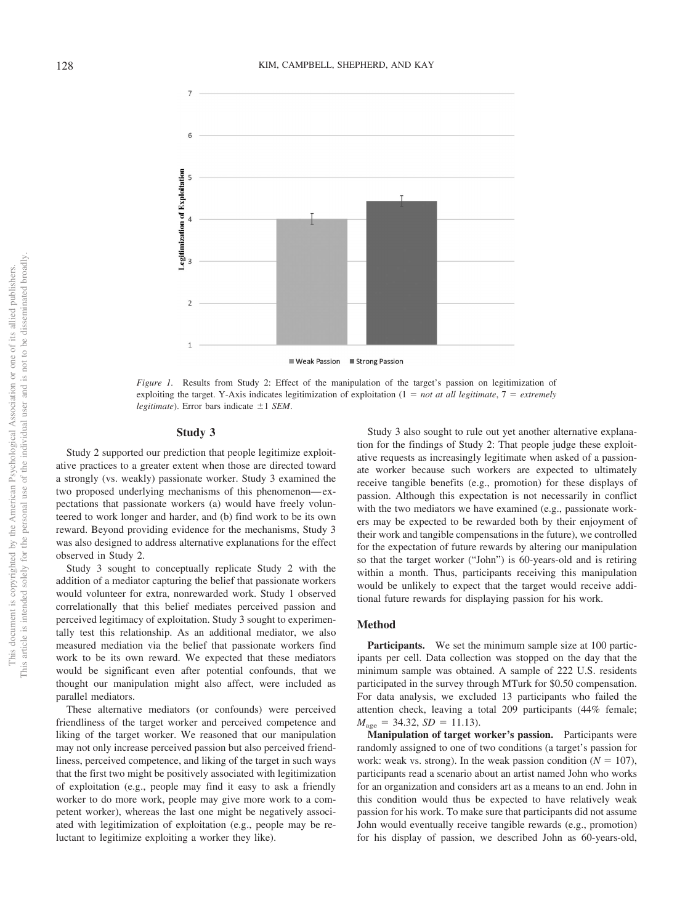

<span id="page-7-0"></span>*Figure 1.* Results from Study 2: Effect of the manipulation of the target's passion on legitimization of exploiting the target. Y-Axis indicates legitimization of exploitation  $(1 = not at all legitimate, 7 = extremely)$ *legitimate*). Error bars indicate  $\pm 1$  *SEM*.

#### **Study 3**

Study 2 supported our prediction that people legitimize exploitative practices to a greater extent when those are directed toward a strongly (vs. weakly) passionate worker. Study 3 examined the two proposed underlying mechanisms of this phenomenon— expectations that passionate workers (a) would have freely volunteered to work longer and harder, and (b) find work to be its own reward. Beyond providing evidence for the mechanisms, Study 3 was also designed to address alternative explanations for the effect observed in Study 2.

Study 3 sought to conceptually replicate Study 2 with the addition of a mediator capturing the belief that passionate workers would volunteer for extra, nonrewarded work. Study 1 observed correlationally that this belief mediates perceived passion and perceived legitimacy of exploitation. Study 3 sought to experimentally test this relationship. As an additional mediator, we also measured mediation via the belief that passionate workers find work to be its own reward. We expected that these mediators would be significant even after potential confounds, that we thought our manipulation might also affect, were included as parallel mediators.

These alternative mediators (or confounds) were perceived friendliness of the target worker and perceived competence and liking of the target worker. We reasoned that our manipulation may not only increase perceived passion but also perceived friendliness, perceived competence, and liking of the target in such ways that the first two might be positively associated with legitimization of exploitation (e.g., people may find it easy to ask a friendly worker to do more work, people may give more work to a competent worker), whereas the last one might be negatively associated with legitimization of exploitation (e.g., people may be reluctant to legitimize exploiting a worker they like).

Study 3 also sought to rule out yet another alternative explanation for the findings of Study 2: That people judge these exploitative requests as increasingly legitimate when asked of a passionate worker because such workers are expected to ultimately receive tangible benefits (e.g., promotion) for these displays of passion. Although this expectation is not necessarily in conflict with the two mediators we have examined (e.g., passionate workers may be expected to be rewarded both by their enjoyment of their work and tangible compensations in the future), we controlled for the expectation of future rewards by altering our manipulation so that the target worker ("John") is 60-years-old and is retiring within a month. Thus, participants receiving this manipulation would be unlikely to expect that the target would receive additional future rewards for displaying passion for his work.

# **Method**

**Participants.** We set the minimum sample size at 100 participants per cell. Data collection was stopped on the day that the minimum sample was obtained. A sample of 222 U.S. residents participated in the survey through MTurk for \$0.50 compensation. For data analysis, we excluded 13 participants who failed the attention check, leaving a total 209 participants (44% female;  $M_{\text{age}} = 34.32, SD = 11.13$ .

**Manipulation of target worker's passion.** Participants were randomly assigned to one of two conditions (a target's passion for work: weak vs. strong). In the weak passion condition  $(N = 107)$ , participants read a scenario about an artist named John who works for an organization and considers art as a means to an end. John in this condition would thus be expected to have relatively weak passion for his work. To make sure that participants did not assume John would eventually receive tangible rewards (e.g., promotion) for his display of passion, we described John as 60-years-old,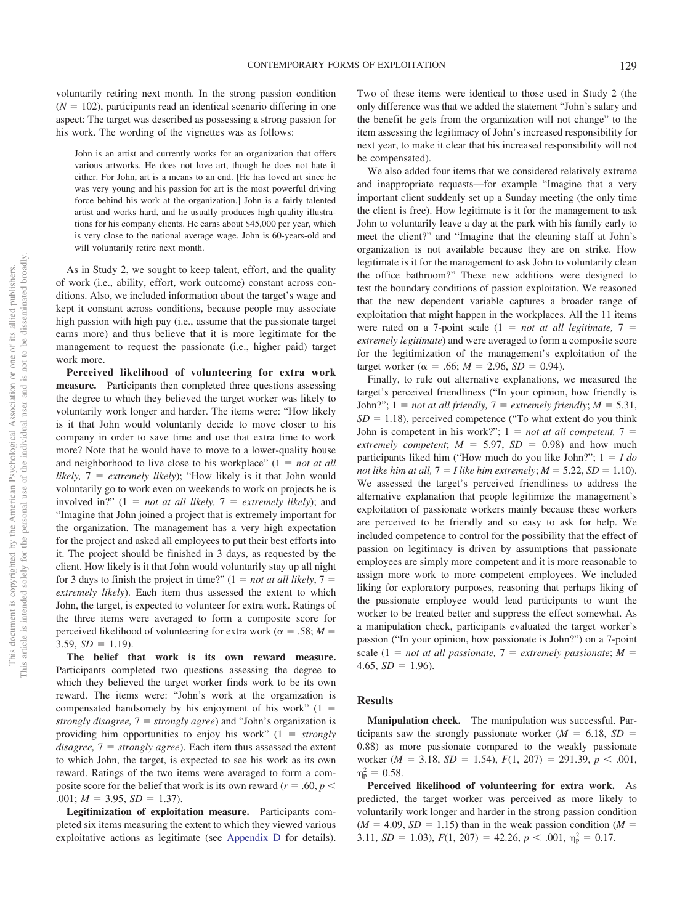voluntarily retiring next month. In the strong passion condition  $(N = 102)$ , participants read an identical scenario differing in one aspect: The target was described as possessing a strong passion for his work. The wording of the vignettes was as follows:

John is an artist and currently works for an organization that offers various artworks. He does not love art, though he does not hate it either. For John, art is a means to an end. [He has loved art since he was very young and his passion for art is the most powerful driving force behind his work at the organization.] John is a fairly talented artist and works hard, and he usually produces high-quality illustrations for his company clients. He earns about \$45,000 per year, which is very close to the national average wage. John is 60-years-old and will voluntarily retire next month.

As in Study 2, we sought to keep talent, effort, and the quality of work (i.e., ability, effort, work outcome) constant across conditions. Also, we included information about the target's wage and kept it constant across conditions, because people may associate high passion with high pay (i.e., assume that the passionate target earns more) and thus believe that it is more legitimate for the management to request the passionate (i.e., higher paid) target work more.

**Perceived likelihood of volunteering for extra work measure.** Participants then completed three questions assessing the degree to which they believed the target worker was likely to voluntarily work longer and harder. The items were: "How likely is it that John would voluntarily decide to move closer to his company in order to save time and use that extra time to work more? Note that he would have to move to a lower-quality house and neighborhood to live close to his workplace"  $(1 = not at all$ *likely,*  $7 =$  *extremely likely*); "How likely is it that John would voluntarily go to work even on weekends to work on projects he is involved in?"  $(1 = not at all likely, 7 = extremely likely)$ ; and "Imagine that John joined a project that is extremely important for the organization. The management has a very high expectation for the project and asked all employees to put their best efforts into it. The project should be finished in 3 days, as requested by the client. How likely is it that John would voluntarily stay up all night for 3 days to finish the project in time?"  $(1 = not at all likely, 7 = 1)$ *extremely likely*). Each item thus assessed the extent to which John, the target, is expected to volunteer for extra work. Ratings of the three items were averaged to form a composite score for perceived likelihood of volunteering for extra work ( $\alpha = .58$ ; *M* =  $3.59, SD = 1.19$ .

**The belief that work is its own reward measure.** Participants completed two questions assessing the degree to which they believed the target worker finds work to be its own reward. The items were: "John's work at the organization is compensated handsomely by his enjoyment of his work"  $(1 =$ *strongly disagree,* 7 *strongly agree*) and "John's organization is providing him opportunities to enjoy his work" (1 *strongly disagree,* 7 *strongly agree*). Each item thus assessed the extent to which John, the target, is expected to see his work as its own reward. Ratings of the two items were averaged to form a composite score for the belief that work is its own reward ( $r = .60, p <$  $.001; M = 3.95, SD = 1.37$ .

**Legitimization of exploitation measure.** Participants completed six items measuring the extent to which they viewed various exploitative actions as legitimate (see [Appendix D](#page-27-0) for details).

Two of these items were identical to those used in Study 2 (the only difference was that we added the statement "John's salary and the benefit he gets from the organization will not change" to the item assessing the legitimacy of John's increased responsibility for next year, to make it clear that his increased responsibility will not be compensated).

We also added four items that we considered relatively extreme and inappropriate requests—for example "Imagine that a very important client suddenly set up a Sunday meeting (the only time the client is free). How legitimate is it for the management to ask John to voluntarily leave a day at the park with his family early to meet the client?" and "Imagine that the cleaning staff at John's organization is not available because they are on strike. How legitimate is it for the management to ask John to voluntarily clean the office bathroom?" These new additions were designed to test the boundary conditions of passion exploitation. We reasoned that the new dependent variable captures a broader range of exploitation that might happen in the workplaces. All the 11 items were rated on a 7-point scale  $(1 = not at all legitimate, 7 = 1)$ *extremely legitimate*) and were averaged to form a composite score for the legitimization of the management's exploitation of the target worker ( $\alpha$  = .66;  $M = 2.96$ ,  $SD = 0.94$ ).

Finally, to rule out alternative explanations, we measured the target's perceived friendliness ("In your opinion, how friendly is John?";  $1 = not$  *at all friendly*,  $7 = extremely$  *friendly*;  $M = 5.31$ ,  $SD = 1.18$ ), perceived competence ("To what extent do you think John is competent in his work?";  $1 = not at all competent, 7 =$ *extremely competent*;  $M = 5.97$ ,  $SD = 0.98$ ) and how much participants liked him ("How much do you like John?";  $1 = I$  do *not like him at all,*  $7 = I$  *like him extremely*;  $M = 5.22$ ,  $SD = 1.10$ . We assessed the target's perceived friendliness to address the alternative explanation that people legitimize the management's exploitation of passionate workers mainly because these workers are perceived to be friendly and so easy to ask for help. We included competence to control for the possibility that the effect of passion on legitimacy is driven by assumptions that passionate employees are simply more competent and it is more reasonable to assign more work to more competent employees. We included liking for exploratory purposes, reasoning that perhaps liking of the passionate employee would lead participants to want the worker to be treated better and suppress the effect somewhat. As a manipulation check, participants evaluated the target worker's passion ("In your opinion, how passionate is John?") on a 7-point scale (1 = *not at all passionate*,  $7 =$  *extremely passionate*;  $M =$  $4.65, SD = 1.96$ .

# **Results**

**Manipulation check.** The manipulation was successful. Participants saw the strongly passionate worker ( $M = 6.18$ ,  $SD =$ 0.88) as more passionate compared to the weakly passionate worker ( $M = 3.18$ ,  $SD = 1.54$ ),  $F(1, 207) = 291.39$ ,  $p < .001$ ,  $\eta_{\rm p}^2 = 0.58$ .

**Perceived likelihood of volunteering for extra work.** As predicted, the target worker was perceived as more likely to voluntarily work longer and harder in the strong passion condition  $(M = 4.09, SD = 1.15)$  than in the weak passion condition  $(M = 1.15)$ 3.11,  $SD = 1.03$ ),  $F(1, 207) = 42.26$ ,  $p < .001$ ,  $\eta_p^2 = 0.17$ .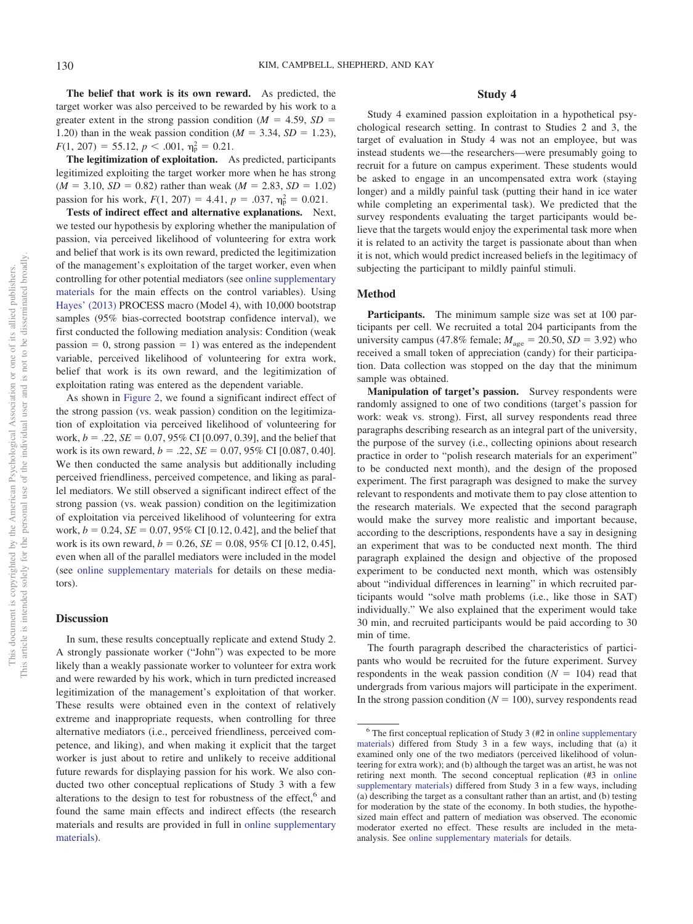**The belief that work is its own reward.** As predicted, the target worker was also perceived to be rewarded by his work to a greater extent in the strong passion condition ( $M = 4.59$ ,  $SD =$ 1.20) than in the weak passion condition ( $M = 3.34$ ,  $SD = 1.23$ ),  $F(1, 207) = 55.12, p < .001, \eta_{\rm p}^2 = 0.21.$ 

**The legitimization of exploitation.** As predicted, participants legitimized exploiting the target worker more when he has strong  $(M = 3.10, SD = 0.82)$  rather than weak  $(M = 2.83, SD = 1.02)$ passion for his work,  $F(1, 207) = 4.41$ ,  $p = .037$ ,  $\eta_p^2 = 0.021$ .

**Tests of indirect effect and alternative explanations.** Next, we tested our hypothesis by exploring whether the manipulation of passion, via perceived likelihood of volunteering for extra work and belief that work is its own reward, predicted the legitimization of the management's exploitation of the target worker, even when controlling for other potential mediators (see [online supplementary](http://dx.doi.org/10.1037/pspi0000190.supp) [materials](http://dx.doi.org/10.1037/pspi0000190.supp) for the main effects on the control variables). Using [Hayes' \(2013\)](#page-23-26) PROCESS macro (Model 4), with 10,000 bootstrap samples (95% bias-corrected bootstrap confidence interval), we first conducted the following mediation analysis: Condition (weak passion  $= 0$ , strong passion  $= 1$ ) was entered as the independent variable, perceived likelihood of volunteering for extra work, belief that work is its own reward, and the legitimization of exploitation rating was entered as the dependent variable.

As shown in [Figure 2,](#page-10-0) we found a significant indirect effect of the strong passion (vs. weak passion) condition on the legitimization of exploitation via perceived likelihood of volunteering for work,  $b = .22$ ,  $SE = 0.07$ , 95% CI [0.097, 0.39], and the belief that work is its own reward,  $b = .22$ ,  $SE = 0.07$ , 95% CI [0.087, 0.40]. We then conducted the same analysis but additionally including perceived friendliness, perceived competence, and liking as parallel mediators. We still observed a significant indirect effect of the strong passion (vs. weak passion) condition on the legitimization of exploitation via perceived likelihood of volunteering for extra work,  $b = 0.24$ ,  $SE = 0.07$ , 95% CI [0.12, 0.42], and the belief that work is its own reward,  $b = 0.26$ ,  $SE = 0.08$ ,  $95\%$  CI [0.12, 0.45], even when all of the parallel mediators were included in the model (see [online supplementary materials](http://dx.doi.org/10.1037/pspi0000190.supp) for details on these mediators).

#### **Discussion**

In sum, these results conceptually replicate and extend Study 2. A strongly passionate worker ("John") was expected to be more likely than a weakly passionate worker to volunteer for extra work and were rewarded by his work, which in turn predicted increased legitimization of the management's exploitation of that worker. These results were obtained even in the context of relatively extreme and inappropriate requests, when controlling for three alternative mediators (i.e., perceived friendliness, perceived competence, and liking), and when making it explicit that the target worker is just about to retire and unlikely to receive additional future rewards for displaying passion for his work. We also conducted two other conceptual replications of Study 3 with a few alterations to the design to test for robustness of the effect,<sup>6</sup> and found the same main effects and indirect effects (the research materials and results are provided in full in [online supplementary](http://dx.doi.org/10.1037/pspi0000190.supp) [materials\)](http://dx.doi.org/10.1037/pspi0000190.supp).

# **Study 4**

Study 4 examined passion exploitation in a hypothetical psychological research setting. In contrast to Studies 2 and 3, the target of evaluation in Study 4 was not an employee, but was instead students we—the researchers—were presumably going to recruit for a future on campus experiment. These students would be asked to engage in an uncompensated extra work (staying longer) and a mildly painful task (putting their hand in ice water while completing an experimental task). We predicted that the survey respondents evaluating the target participants would believe that the targets would enjoy the experimental task more when it is related to an activity the target is passionate about than when it is not, which would predict increased beliefs in the legitimacy of subjecting the participant to mildly painful stimuli.

#### **Method**

Participants. The minimum sample size was set at 100 participants per cell. We recruited a total 204 participants from the university campus (47.8% female;  $M_{\text{age}} = 20.50$ ,  $SD = 3.92$ ) who received a small token of appreciation (candy) for their participation. Data collection was stopped on the day that the minimum sample was obtained.

**Manipulation of target's passion.** Survey respondents were randomly assigned to one of two conditions (target's passion for work: weak vs. strong). First, all survey respondents read three paragraphs describing research as an integral part of the university, the purpose of the survey (i.e., collecting opinions about research practice in order to "polish research materials for an experiment" to be conducted next month), and the design of the proposed experiment. The first paragraph was designed to make the survey relevant to respondents and motivate them to pay close attention to the research materials. We expected that the second paragraph would make the survey more realistic and important because, according to the descriptions, respondents have a say in designing an experiment that was to be conducted next month. The third paragraph explained the design and objective of the proposed experiment to be conducted next month, which was ostensibly about "individual differences in learning" in which recruited participants would "solve math problems (i.e., like those in SAT) individually." We also explained that the experiment would take 30 min, and recruited participants would be paid according to 30 min of time.

The fourth paragraph described the characteristics of participants who would be recruited for the future experiment. Survey respondents in the weak passion condition  $(N = 104)$  read that undergrads from various majors will participate in the experiment. In the strong passion condition  $(N = 100)$ , survey respondents read

 $6$  The first conceptual replication of Study 3 (#2 in [online supplementary](http://dx.doi.org/10.1037/pspi0000190.supp) [materials\)](http://dx.doi.org/10.1037/pspi0000190.supp) differed from Study 3 in a few ways, including that (a) it examined only one of the two mediators (perceived likelihood of volunteering for extra work); and (b) although the target was an artist, he was not retiring next month. The second conceptual replication (#3 in [online](http://dx.doi.org/10.1037/pspi0000190.supp) [supplementary materials\)](http://dx.doi.org/10.1037/pspi0000190.supp) differed from Study 3 in a few ways, including (a) describing the target as a consultant rather than an artist, and (b) testing for moderation by the state of the economy. In both studies, the hypothesized main effect and pattern of mediation was observed. The economic moderator exerted no effect. These results are included in the metaanalysis. See [online supplementary materials](http://dx.doi.org/10.1037/pspi0000190.supp) for details.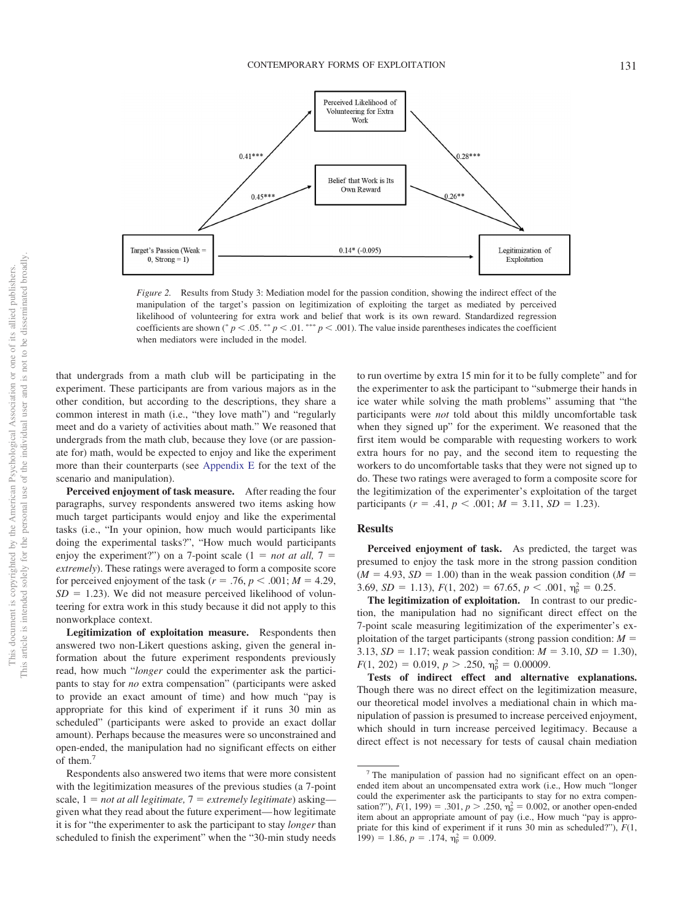

<span id="page-10-0"></span>*Figure 2.* Results from Study 3: Mediation model for the passion condition, showing the indirect effect of the manipulation of the target's passion on legitimization of exploiting the target as mediated by perceived likelihood of volunteering for extra work and belief that work is its own reward. Standardized regression coefficients are shown (\*  $p < .05$ . \*\*  $p < .01$ . \*\*\*  $p < .001$ ). The value inside parentheses indicates the coefficient when mediators were included in the model.

that undergrads from a math club will be participating in the experiment. These participants are from various majors as in the other condition, but according to the descriptions, they share a common interest in math (i.e., "they love math") and "regularly meet and do a variety of activities about math." We reasoned that undergrads from the math club, because they love (or are passionate for) math, would be expected to enjoy and like the experiment more than their counterparts (see [Appendix E](#page-27-1) for the text of the scenario and manipulation).

**Perceived enjoyment of task measure.** After reading the four paragraphs, survey respondents answered two items asking how much target participants would enjoy and like the experimental tasks (i.e., "In your opinion, how much would participants like doing the experimental tasks?", "How much would participants enjoy the experiment?") on a 7-point scale  $(1 = not at all, 7 =$ *extremely*). These ratings were averaged to form a composite score for perceived enjoyment of the task ( $r = .76$ ,  $p < .001$ ;  $M = 4.29$ ,  $SD = 1.23$ ). We did not measure perceived likelihood of volunteering for extra work in this study because it did not apply to this nonworkplace context.

**Legitimization of exploitation measure.** Respondents then answered two non-Likert questions asking, given the general information about the future experiment respondents previously read, how much "*longer* could the experimenter ask the participants to stay for *no* extra compensation" (participants were asked to provide an exact amount of time) and how much "pay is appropriate for this kind of experiment if it runs 30 min as scheduled" (participants were asked to provide an exact dollar amount). Perhaps because the measures were so unconstrained and open-ended, the manipulation had no significant effects on either of them.7

Respondents also answered two items that were more consistent with the legitimization measures of the previous studies (a 7-point scale,  $1 = not$  *at all legitimate*,  $7 = extremely$  *legitimate*) asking given what they read about the future experiment— how legitimate it is for "the experimenter to ask the participant to stay *longer* than scheduled to finish the experiment" when the "30-min study needs

to run overtime by extra 15 min for it to be fully complete" and for the experimenter to ask the participant to "submerge their hands in ice water while solving the math problems" assuming that "the participants were *not* told about this mildly uncomfortable task when they signed up" for the experiment. We reasoned that the first item would be comparable with requesting workers to work extra hours for no pay, and the second item to requesting the workers to do uncomfortable tasks that they were not signed up to do. These two ratings were averaged to form a composite score for the legitimization of the experimenter's exploitation of the target participants ( $r = .41$ ,  $p < .001$ ;  $M = 3.11$ ,  $SD = 1.23$ ).

#### **Results**

**Perceived enjoyment of task.** As predicted, the target was presumed to enjoy the task more in the strong passion condition  $(M = 4.93, SD = 1.00)$  than in the weak passion condition  $(M = 1.93, SD = 1.00)$ 3.69,  $SD = 1.13$ ),  $F(1, 202) = 67.65$ ,  $p < .001$ ,  $\eta_p^2 = 0.25$ .

**The legitimization of exploitation.** In contrast to our prediction, the manipulation had no significant direct effect on the 7-point scale measuring legitimization of the experimenter's exploitation of the target participants (strong passion condition: *M* 3.13,  $SD = 1.17$ ; weak passion condition:  $M = 3.10$ ,  $SD = 1.30$ ),  $F(1, 202) = 0.019, p > .250, \eta_p^2 = 0.00009.$ 

**Tests of indirect effect and alternative explanations.** Though there was no direct effect on the legitimization measure, our theoretical model involves a mediational chain in which manipulation of passion is presumed to increase perceived enjoyment, which should in turn increase perceived legitimacy. Because a direct effect is not necessary for tests of causal chain mediation

<sup>7</sup> The manipulation of passion had no significant effect on an openended item about an uncompensated extra work (i.e., How much "longer could the experimenter ask the participants to stay for no extra compensation?"),  $F(1, 199) = .301$ ,  $p > .250$ ,  $\eta_p^2 = 0.002$ , or another open-ended item about an appropriate amount of pay (i.e., How much "pay is appropriate for this kind of experiment if it runs 30 min as scheduled?"), *F*(1, 199) = 1.86,  $p = .174$ ,  $\eta_p^2 = 0.009$ .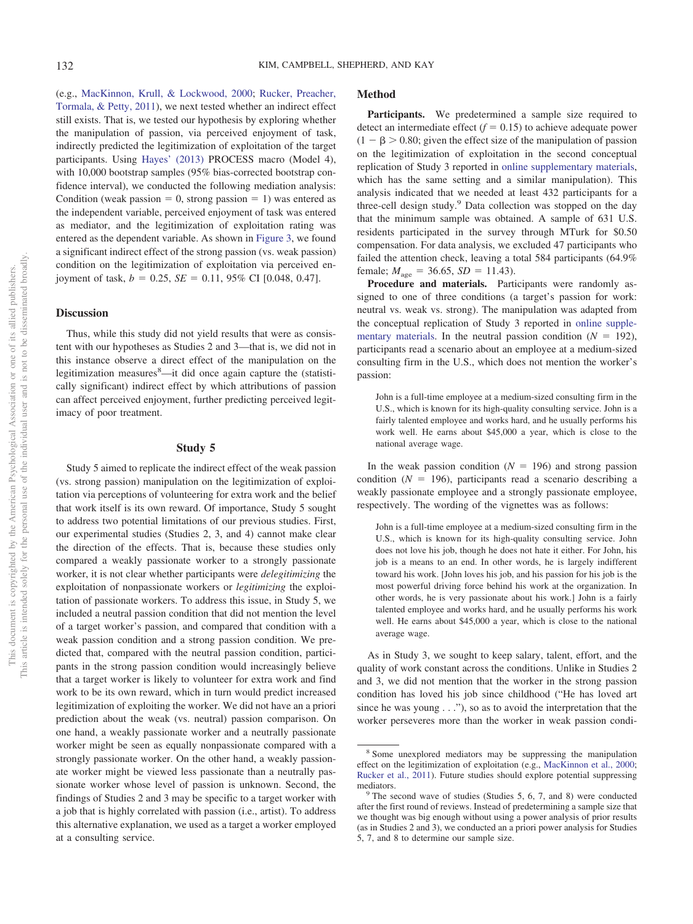(e.g., [MacKinnon, Krull, & Lockwood, 2000;](#page-24-26) [Rucker, Preacher,](#page-24-27) [Tormala, & Petty, 2011\)](#page-24-27), we next tested whether an indirect effect still exists. That is, we tested our hypothesis by exploring whether the manipulation of passion, via perceived enjoyment of task, indirectly predicted the legitimization of exploitation of the target participants. Using [Hayes' \(2013\)](#page-23-26) PROCESS macro (Model 4), with 10,000 bootstrap samples (95% bias-corrected bootstrap confidence interval), we conducted the following mediation analysis: Condition (weak passion  $= 0$ , strong passion  $= 1$ ) was entered as the independent variable, perceived enjoyment of task was entered as mediator, and the legitimization of exploitation rating was entered as the dependent variable. As shown in [Figure 3,](#page-12-0) we found a significant indirect effect of the strong passion (vs. weak passion) condition on the legitimization of exploitation via perceived enjoyment of task,  $b = 0.25$ ,  $SE = 0.11$ , 95% CI [0.048, 0.47].

#### **Discussion**

Thus, while this study did not yield results that were as consistent with our hypotheses as Studies 2 and 3—that is, we did not in this instance observe a direct effect of the manipulation on the legitimization measures<sup>8</sup>—it did once again capture the (statistically significant) indirect effect by which attributions of passion can affect perceived enjoyment, further predicting perceived legitimacy of poor treatment.

# **Study 5**

Study 5 aimed to replicate the indirect effect of the weak passion (vs. strong passion) manipulation on the legitimization of exploitation via perceptions of volunteering for extra work and the belief that work itself is its own reward. Of importance, Study 5 sought to address two potential limitations of our previous studies. First, our experimental studies (Studies 2, 3, and 4) cannot make clear the direction of the effects. That is, because these studies only compared a weakly passionate worker to a strongly passionate worker, it is not clear whether participants were *delegitimizing* the exploitation of nonpassionate workers or *legitimizing* the exploitation of passionate workers. To address this issue, in Study 5, we included a neutral passion condition that did not mention the level of a target worker's passion, and compared that condition with a weak passion condition and a strong passion condition. We predicted that, compared with the neutral passion condition, participants in the strong passion condition would increasingly believe that a target worker is likely to volunteer for extra work and find work to be its own reward, which in turn would predict increased legitimization of exploiting the worker. We did not have an a priori prediction about the weak (vs. neutral) passion comparison. On one hand, a weakly passionate worker and a neutrally passionate worker might be seen as equally nonpassionate compared with a strongly passionate worker. On the other hand, a weakly passionate worker might be viewed less passionate than a neutrally passionate worker whose level of passion is unknown. Second, the findings of Studies 2 and 3 may be specific to a target worker with a job that is highly correlated with passion (i.e., artist). To address this alternative explanation, we used as a target a worker employed at a consulting service.

# **Method**

Participants. We predetermined a sample size required to detect an intermediate effect  $(f = 0.15)$  to achieve adequate power  $(1 - \beta > 0.80;$  given the effect size of the manipulation of passion on the legitimization of exploitation in the second conceptual replication of Study 3 reported in [online supplementary materials,](http://dx.doi.org/10.1037/pspi0000190.supp) which has the same setting and a similar manipulation). This analysis indicated that we needed at least 432 participants for a three-cell design study.<sup>9</sup> Data collection was stopped on the day that the minimum sample was obtained. A sample of 631 U.S. residents participated in the survey through MTurk for \$0.50 compensation. For data analysis, we excluded 47 participants who failed the attention check, leaving a total 584 participants (64.9% female;  $M_{\text{age}} = 36.65$ ,  $SD = 11.43$ ).

**Procedure and materials.** Participants were randomly assigned to one of three conditions (a target's passion for work: neutral vs. weak vs. strong). The manipulation was adapted from the conceptual replication of Study 3 reported in [online supple](http://dx.doi.org/10.1037/pspi0000190.supp)[mentary materials.](http://dx.doi.org/10.1037/pspi0000190.supp) In the neutral passion condition  $(N = 192)$ , participants read a scenario about an employee at a medium-sized consulting firm in the U.S., which does not mention the worker's passion:

John is a full-time employee at a medium-sized consulting firm in the U.S., which is known for its high-quality consulting service. John is a fairly talented employee and works hard, and he usually performs his work well. He earns about \$45,000 a year, which is close to the national average wage.

In the weak passion condition  $(N = 196)$  and strong passion condition  $(N = 196)$ , participants read a scenario describing a weakly passionate employee and a strongly passionate employee, respectively. The wording of the vignettes was as follows:

John is a full-time employee at a medium-sized consulting firm in the U.S., which is known for its high-quality consulting service. John does not love his job, though he does not hate it either. For John, his job is a means to an end. In other words, he is largely indifferent toward his work. [John loves his job, and his passion for his job is the most powerful driving force behind his work at the organization. In other words, he is very passionate about his work.] John is a fairly talented employee and works hard, and he usually performs his work well. He earns about \$45,000 a year, which is close to the national average wage.

As in Study 3, we sought to keep salary, talent, effort, and the quality of work constant across the conditions. Unlike in Studies 2 and 3, we did not mention that the worker in the strong passion condition has loved his job since childhood ("He has loved art since he was young  $\dots$ ", so as to avoid the interpretation that the worker perseveres more than the worker in weak passion condi-

<sup>8</sup> Some unexplored mediators may be suppressing the manipulation effect on the legitimization of exploitation (e.g., [MacKinnon et al., 2000;](#page-24-26) [Rucker et al., 2011\)](#page-24-27). Future studies should explore potential suppressing

mediators.<br><sup>9</sup> The second wave of studies (Studies 5, 6, 7, and 8) were conducted after the first round of reviews. Instead of predetermining a sample size that we thought was big enough without using a power analysis of prior results (as in Studies 2 and 3), we conducted an a priori power analysis for Studies 5, 7, and 8 to determine our sample size.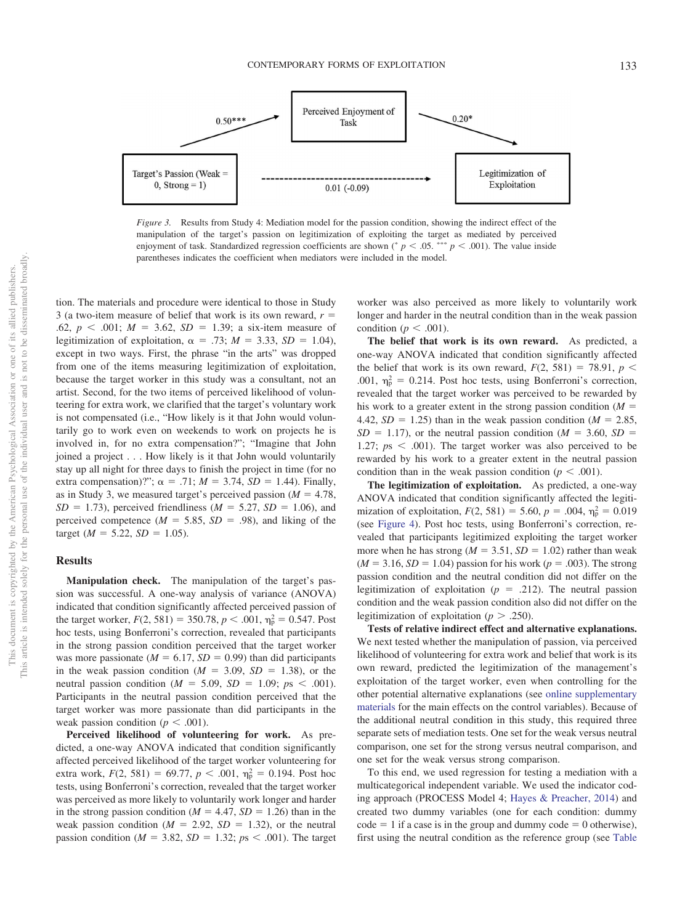

<span id="page-12-0"></span>*Figure 3.* Results from Study 4: Mediation model for the passion condition, showing the indirect effect of the manipulation of the target's passion on legitimization of exploiting the target as mediated by perceived enjoyment of task. Standardized regression coefficients are shown ( $p < .05$ . \*\*\*  $p < .001$ ). The value inside parentheses indicates the coefficient when mediators were included in the model.

tion. The materials and procedure were identical to those in Study 3 (a two-item measure of belief that work is its own reward, *r* .62,  $p < .001$ ;  $M = 3.62$ ,  $SD = 1.39$ ; a six-item measure of legitimization of exploitation,  $\alpha = .73$ ;  $M = 3.33$ ,  $SD = 1.04$ ), except in two ways. First, the phrase "in the arts" was dropped from one of the items measuring legitimization of exploitation, because the target worker in this study was a consultant, not an artist. Second, for the two items of perceived likelihood of volunteering for extra work, we clarified that the target's voluntary work is not compensated (i.e., "How likely is it that John would voluntarily go to work even on weekends to work on projects he is involved in, for no extra compensation?"; "Imagine that John joined a project . . . How likely is it that John would voluntarily stay up all night for three days to finish the project in time (for no extra compensation)?";  $\alpha = .71$ ;  $M = 3.74$ ,  $SD = 1.44$ ). Finally, as in Study 3, we measured target's perceived passion  $(M = 4.78,$  $SD = 1.73$ , perceived friendliness ( $M = 5.27$ ,  $SD = 1.06$ ), and perceived competence ( $M = 5.85$ ,  $SD = .98$ ), and liking of the target ( $M = 5.22$ ,  $SD = 1.05$ ).

#### **Results**

**Manipulation check.** The manipulation of the target's passion was successful. A one-way analysis of variance (ANOVA) indicated that condition significantly affected perceived passion of the target worker,  $F(2, 581) = 350.78$ ,  $p < .001$ ,  $\eta_p^2 = 0.547$ . Post hoc tests, using Bonferroni's correction, revealed that participants in the strong passion condition perceived that the target worker was more passionate ( $M = 6.17$ ,  $SD = 0.99$ ) than did participants in the weak passion condition  $(M = 3.09, SD = 1.38)$ , or the neutral passion condition ( $M = 5.09$ ,  $SD = 1.09$ ;  $ps < .001$ ). Participants in the neutral passion condition perceived that the target worker was more passionate than did participants in the weak passion condition ( $p < .001$ ).

**Perceived likelihood of volunteering for work.** As predicted, a one-way ANOVA indicated that condition significantly affected perceived likelihood of the target worker volunteering for extra work,  $F(2, 581) = 69.77$ ,  $p < .001$ ,  $\eta_p^2 = 0.194$ . Post hoc tests, using Bonferroni's correction, revealed that the target worker was perceived as more likely to voluntarily work longer and harder in the strong passion condition ( $M = 4.47$ ,  $SD = 1.26$ ) than in the weak passion condition  $(M = 2.92, SD = 1.32)$ , or the neutral passion condition ( $M = 3.82$ ,  $SD = 1.32$ ;  $ps < .001$ ). The target

worker was also perceived as more likely to voluntarily work longer and harder in the neutral condition than in the weak passion condition ( $p < .001$ ).

**The belief that work is its own reward.** As predicted, a one-way ANOVA indicated that condition significantly affected the belief that work is its own reward,  $F(2, 581) = 78.91$ ,  $p <$ .001,  $\eta_p^2 = 0.214$ . Post hoc tests, using Bonferroni's correction, revealed that the target worker was perceived to be rewarded by his work to a greater extent in the strong passion condition  $(M =$ 4.42,  $SD = 1.25$ ) than in the weak passion condition ( $M = 2.85$ ,  $SD = 1.17$ ), or the neutral passion condition ( $M = 3.60$ ,  $SD =$ 1.27;  $ps < .001$ ). The target worker was also perceived to be rewarded by his work to a greater extent in the neutral passion condition than in the weak passion condition ( $p < .001$ ).

**The legitimization of exploitation.** As predicted, a one-way ANOVA indicated that condition significantly affected the legitimization of exploitation,  $F(2, 581) = 5.60$ ,  $p = .004$ ,  $\eta_p^2 = 0.019$ (see [Figure 4\)](#page-13-0). Post hoc tests, using Bonferroni's correction, revealed that participants legitimized exploiting the target worker more when he has strong ( $M = 3.51$ ,  $SD = 1.02$ ) rather than weak  $(M = 3.16, SD = 1.04)$  passion for his work ( $p = .003$ ). The strong passion condition and the neutral condition did not differ on the legitimization of exploitation ( $p = .212$ ). The neutral passion condition and the weak passion condition also did not differ on the legitimization of exploitation ( $p > .250$ ).

**Tests of relative indirect effect and alternative explanations.** We next tested whether the manipulation of passion, via perceived likelihood of volunteering for extra work and belief that work is its own reward, predicted the legitimization of the management's exploitation of the target worker, even when controlling for the other potential alternative explanations (see [online supplementary](http://dx.doi.org/10.1037/pspi0000190.supp) [materials](http://dx.doi.org/10.1037/pspi0000190.supp) for the main effects on the control variables). Because of the additional neutral condition in this study, this required three separate sets of mediation tests. One set for the weak versus neutral comparison, one set for the strong versus neutral comparison, and one set for the weak versus strong comparison.

To this end, we used regression for testing a mediation with a multicategorical independent variable. We used the indicator coding approach (PROCESS Model 4; [Hayes & Preacher, 2014\)](#page-23-29) and created two dummy variables (one for each condition: dummy  $code = 1$  if a case is in the group and dummy code  $= 0$  otherwise), first using the neutral condition as the reference group (see [Table](#page-13-1)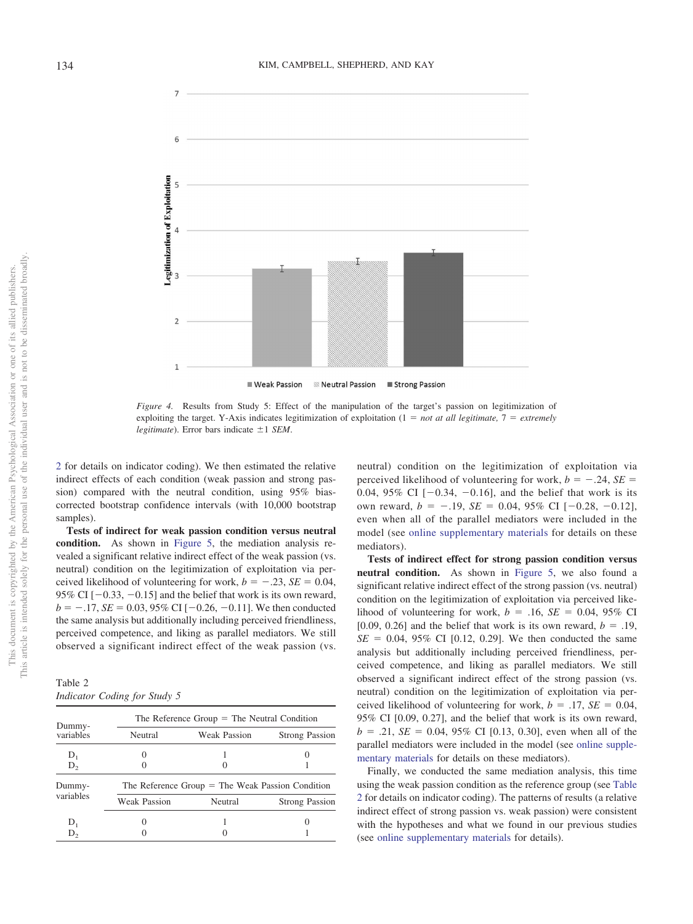

<span id="page-13-0"></span>*Figure 4.* Results from Study 5: Effect of the manipulation of the target's passion on legitimization of exploiting the target. Y-Axis indicates legitimization of exploitation  $(1 = not at all legitimate, 7 = extremely)$ *legitimate*). Error bars indicate  $\pm 1$  *SEM*.

[2](#page-13-1) for details on indicator coding). We then estimated the relative indirect effects of each condition (weak passion and strong passion) compared with the neutral condition, using 95% biascorrected bootstrap confidence intervals (with 10,000 bootstrap samples).

**Tests of indirect for weak passion condition versus neutral condition.** As shown in [Figure 5,](#page-14-0) the mediation analysis revealed a significant relative indirect effect of the weak passion (vs. neutral) condition on the legitimization of exploitation via perceived likelihood of volunteering for work,  $b = -.23$ ,  $SE = 0.04$ , 95% CI  $[-0.33, -0.15]$  and the belief that work is its own reward,  $b = -.17$ , *SE* = 0.03, 95% CI [-0.26, -0.11]. We then conducted the same analysis but additionally including perceived friendliness, perceived competence, and liking as parallel mediators. We still observed a significant indirect effect of the weak passion (vs.

<span id="page-13-1"></span>Table 2 *Indicator Coding for Study 5*

|                     |                     | The Reference Group $=$ The Neutral Condition      |                       |  |  |  |  |
|---------------------|---------------------|----------------------------------------------------|-----------------------|--|--|--|--|
| Dummy-<br>variables | Neutral             | <b>Weak Passion</b>                                | <b>Strong Passion</b> |  |  |  |  |
| $D_1$               |                     |                                                    |                       |  |  |  |  |
| $D_{2}$             |                     |                                                    |                       |  |  |  |  |
| Dummy-              |                     | The Reference Group $=$ The Weak Passion Condition |                       |  |  |  |  |
| variables           | <b>Weak Passion</b> | Neutral                                            | <b>Strong Passion</b> |  |  |  |  |
| $D_1$               |                     |                                                    |                       |  |  |  |  |
| $D_{2}$             |                     |                                                    |                       |  |  |  |  |

neutral) condition on the legitimization of exploitation via perceived likelihood of volunteering for work,  $b = -.24$ ,  $SE =$ 0.04, 95% CI  $[-0.34, -0.16]$ , and the belief that work is its own reward,  $b = -.19$ ,  $SE = 0.04$ ,  $95\%$  CI  $[-0.28, -0.12]$ , even when all of the parallel mediators were included in the model (see [online supplementary materials](http://dx.doi.org/10.1037/pspi0000190.supp) for details on these mediators).

**Tests of indirect effect for strong passion condition versus neutral condition.** As shown in [Figure 5,](#page-14-0) we also found a significant relative indirect effect of the strong passion (vs. neutral) condition on the legitimization of exploitation via perceived likelihood of volunteering for work,  $b = .16$ ,  $SE = 0.04$ , 95% CI [0.09, 0.26] and the belief that work is its own reward,  $b = .19$ ,  $SE = 0.04, 95\% \text{ CI}$  [0.12, 0.29]. We then conducted the same analysis but additionally including perceived friendliness, perceived competence, and liking as parallel mediators. We still observed a significant indirect effect of the strong passion (vs. neutral) condition on the legitimization of exploitation via perceived likelihood of volunteering for work,  $b = .17$ ,  $SE = 0.04$ , 95% CI [0.09, 0.27], and the belief that work is its own reward,  $b = .21$ ,  $SE = 0.04$ , 95% CI [0.13, 0.30], even when all of the parallel mediators were included in the model (see [online supple](http://dx.doi.org/10.1037/pspi0000190.supp)[mentary materials](http://dx.doi.org/10.1037/pspi0000190.supp) for details on these mediators).

Finally, we conducted the same mediation analysis, this time using the weak passion condition as the reference group (see [Table](#page-13-1) [2](#page-13-1) for details on indicator coding). The patterns of results (a relative indirect effect of strong passion vs. weak passion) were consistent with the hypotheses and what we found in our previous studies (see [online supplementary materials](http://dx.doi.org/10.1037/pspi0000190.supp) for details).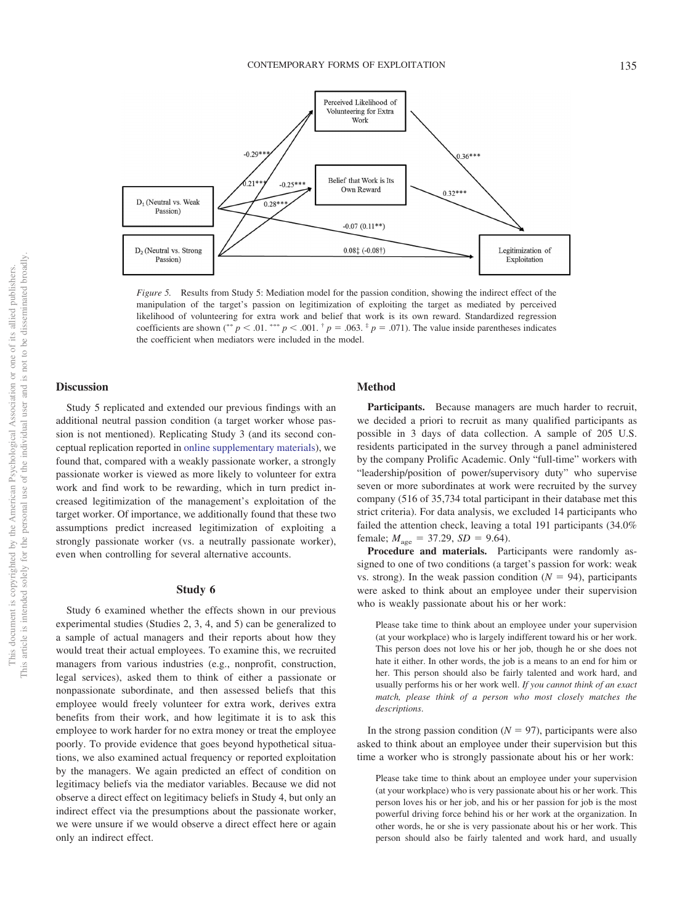

<span id="page-14-0"></span>*Figure 5.* Results from Study 5: Mediation model for the passion condition, showing the indirect effect of the manipulation of the target's passion on legitimization of exploiting the target as mediated by perceived likelihood of volunteering for extra work and belief that work is its own reward. Standardized regression coefficients are shown (\*\*  $p < .01$ . \*\*\*  $p < .001$ .  $\uparrow p = .063$ .  $\uparrow p = .071$ ). The value inside parentheses indicates the coefficient when mediators were included in the model.

#### **Discussion**

Study 5 replicated and extended our previous findings with an additional neutral passion condition (a target worker whose passion is not mentioned). Replicating Study 3 (and its second conceptual replication reported in [online supplementary materials\)](http://dx.doi.org/10.1037/pspi0000190.supp), we found that, compared with a weakly passionate worker, a strongly passionate worker is viewed as more likely to volunteer for extra work and find work to be rewarding, which in turn predict increased legitimization of the management's exploitation of the target worker. Of importance, we additionally found that these two assumptions predict increased legitimization of exploiting a strongly passionate worker (vs. a neutrally passionate worker), even when controlling for several alternative accounts.

# **Study 6**

Study 6 examined whether the effects shown in our previous experimental studies (Studies 2, 3, 4, and 5) can be generalized to a sample of actual managers and their reports about how they would treat their actual employees. To examine this, we recruited managers from various industries (e.g., nonprofit, construction, legal services), asked them to think of either a passionate or nonpassionate subordinate, and then assessed beliefs that this employee would freely volunteer for extra work, derives extra benefits from their work, and how legitimate it is to ask this employee to work harder for no extra money or treat the employee poorly. To provide evidence that goes beyond hypothetical situations, we also examined actual frequency or reported exploitation by the managers. We again predicted an effect of condition on legitimacy beliefs via the mediator variables. Because we did not observe a direct effect on legitimacy beliefs in Study 4, but only an indirect effect via the presumptions about the passionate worker, we were unsure if we would observe a direct effect here or again only an indirect effect.

# **Method**

Participants. Because managers are much harder to recruit, we decided a priori to recruit as many qualified participants as possible in 3 days of data collection. A sample of 205 U.S. residents participated in the survey through a panel administered by the company Prolific Academic. Only "full-time" workers with "leadership/position of power/supervisory duty" who supervise seven or more subordinates at work were recruited by the survey company (516 of 35,734 total participant in their database met this strict criteria). For data analysis, we excluded 14 participants who failed the attention check, leaving a total 191 participants (34.0% female;  $M_{\text{age}} = 37.29$ ,  $SD = 9.64$ ).

**Procedure and materials.** Participants were randomly assigned to one of two conditions (a target's passion for work: weak vs. strong). In the weak passion condition  $(N = 94)$ , participants were asked to think about an employee under their supervision who is weakly passionate about his or her work:

Please take time to think about an employee under your supervision (at your workplace) who is largely indifferent toward his or her work. This person does not love his or her job, though he or she does not hate it either. In other words, the job is a means to an end for him or her. This person should also be fairly talented and work hard, and usually performs his or her work well. *If you cannot think of an exact match, please think of a person who most closely matches the descriptions*.

In the strong passion condition  $(N = 97)$ , participants were also asked to think about an employee under their supervision but this time a worker who is strongly passionate about his or her work:

Please take time to think about an employee under your supervision (at your workplace) who is very passionate about his or her work. This person loves his or her job, and his or her passion for job is the most powerful driving force behind his or her work at the organization. In other words, he or she is very passionate about his or her work. This person should also be fairly talented and work hard, and usually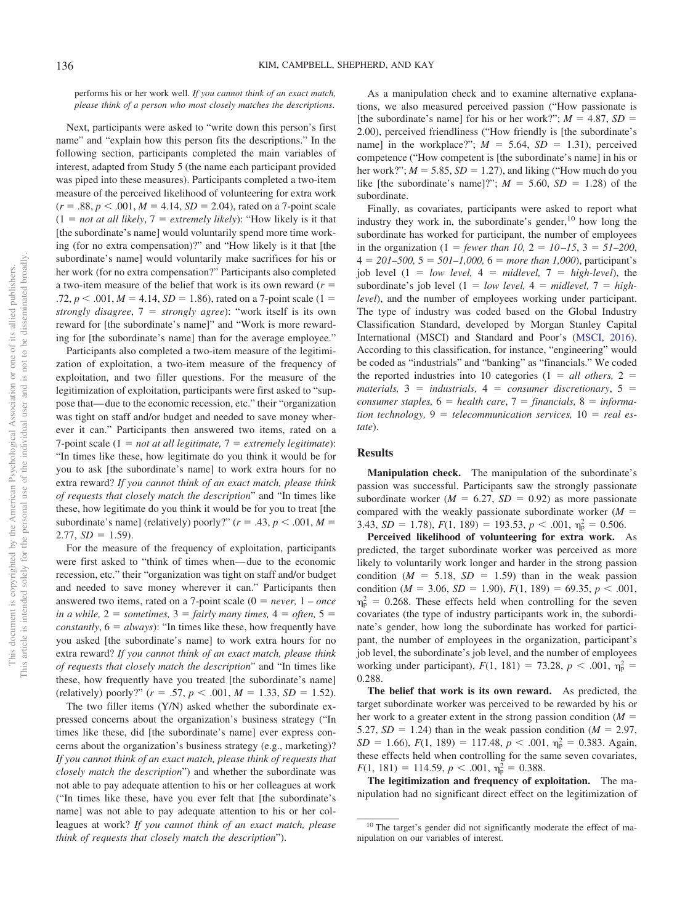performs his or her work well. *If you cannot think of an exact match, please think of a person who most closely matches the descriptions*.

Next, participants were asked to "write down this person's first name" and "explain how this person fits the descriptions." In the following section, participants completed the main variables of interest, adapted from Study 5 (the name each participant provided was piped into these measures). Participants completed a two-item measure of the perceived likelihood of volunteering for extra work  $(r = .88, p < .001, M = 4.14, SD = 2.04)$ , rated on a 7-point scale  $(1 = not at all likely, 7 = extremely likely): "How likely is it that$ [the subordinate's name] would voluntarily spend more time working (for no extra compensation)?" and "How likely is it that [the subordinate's name] would voluntarily make sacrifices for his or her work (for no extra compensation?" Participants also completed a two-item measure of the belief that work is its own reward (*r*  $.72, p < .001, M = 4.14, SD = 1.86$ , rated on a 7-point scale (1 = *strongly disagree*, 7 *strongly agree*): "work itself is its own reward for [the subordinate's name]" and "Work is more rewarding for [the subordinate's name] than for the average employee."

Participants also completed a two-item measure of the legitimization of exploitation, a two-item measure of the frequency of exploitation, and two filler questions. For the measure of the legitimization of exploitation, participants were first asked to "suppose that— due to the economic recession, etc." their "organization was tight on staff and/or budget and needed to save money wherever it can." Participants then answered two items, rated on a 7-point scale  $(1 = not at all legitimate, 7 = extremely legitimate)$ : "In times like these, how legitimate do you think it would be for you to ask [the subordinate's name] to work extra hours for no extra reward? *If you cannot think of an exact match, please think of requests that closely match the description*" and "In times like these, how legitimate do you think it would be for you to treat [the subordinate's name] (relatively) poorly?"  $(r = .43, p < .001, M =$  $2.77, SD = 1.59$ .

For the measure of the frequency of exploitation, participants were first asked to "think of times when— due to the economic recession, etc." their "organization was tight on staff and/or budget and needed to save money wherever it can." Participants then answered two items, rated on a 7-point scale  $(0 = never, 1 - once)$ *in a while,*  $2 =$  *sometimes,*  $3 =$  *fairly many times,*  $4 =$  *often,*  $5 =$ *constantly*,  $6 = always$ : "In times like these, how frequently have you asked [the subordinate's name] to work extra hours for no extra reward? *If you cannot think of an exact match, please think of requests that closely match the description*" and "In times like these, how frequently have you treated [the subordinate's name] (relatively) poorly?"  $(r = .57, p < .001, M = 1.33, SD = 1.52)$ .

The two filler items (Y/N) asked whether the subordinate expressed concerns about the organization's business strategy ("In times like these, did [the subordinate's name] ever express concerns about the organization's business strategy (e.g., marketing)? *If you cannot think of an exact match, please think of requests that closely match the description*") and whether the subordinate was not able to pay adequate attention to his or her colleagues at work ("In times like these, have you ever felt that [the subordinate's name] was not able to pay adequate attention to his or her colleagues at work? *If you cannot think of an exact match, please think of requests that closely match the description*").

As a manipulation check and to examine alternative explanations, we also measured perceived passion ("How passionate is [the subordinate's name] for his or her work?";  $M = 4.87$ ,  $SD =$ 2.00), perceived friendliness ("How friendly is [the subordinate's name] in the workplace?";  $M = 5.64$ ,  $SD = 1.31$ ), perceived competence ("How competent is [the subordinate's name] in his or her work?";  $M = 5.85$ ,  $SD = 1.27$ ), and liking ("How much do you like [the subordinate's name]?";  $M = 5.60$ ,  $SD = 1.28$ ) of the subordinate.

Finally, as covariates, participants were asked to report what industry they work in, the subordinate's gender, $^{10}$  how long the subordinate has worked for participant, the number of employees in the organization  $(1 = fewer than 10, 2 = 10-15, 3 = 51-200,$  $4 = 201 - 500$ ,  $5 = 501 - 1,000$ ,  $6 = more than 1,000$ , participant's job level  $(1 = low level, 4 = middlevel, 7 = high-level)$ , the subordinate's job level  $(1 = low level, 4 = middlevel, 7 = high$ *level*), and the number of employees working under participant. The type of industry was coded based on the Global Industry Classification Standard, developed by Morgan Stanley Capital International (MSCI) and Standard and Poor's [\(MSCI, 2016\)](#page-24-28). According to this classification, for instance, "engineering" would be coded as "industrials" and "banking" as "financials." We coded the reported industries into 10 categories ( $1 = all others$ ,  $2 =$  $materials, 3 = industrials, 4 = consumer discriminator, 5 =$ *consumer staples,*  $6 =$  *health care,*  $7 =$  *financials,*  $8 =$  *information technology,*  $9 = 1$  *telecommunication services,*  $10 = 1$  *real estate*).

# **Results**

**Manipulation check.** The manipulation of the subordinate's passion was successful. Participants saw the strongly passionate subordinate worker ( $M = 6.27$ ,  $SD = 0.92$ ) as more passionate compared with the weakly passionate subordinate worker (*M* 3.43,  $SD = 1.78$ ,  $F(1, 189) = 193.53$ ,  $p < .001$ ,  $\eta_p^2 = 0.506$ .

**Perceived likelihood of volunteering for extra work.** As predicted, the target subordinate worker was perceived as more likely to voluntarily work longer and harder in the strong passion condition  $(M = 5.18, SD = 1.59)$  than in the weak passion condition ( $M = 3.06$ ,  $SD = 1.90$ ),  $F(1, 189) = 69.35$ ,  $p < .001$ ,  $\eta_{\rm p}^2 = 0.268$ . These effects held when controlling for the seven covariates (the type of industry participants work in, the subordinate's gender, how long the subordinate has worked for participant, the number of employees in the organization, participant's job level, the subordinate's job level, and the number of employees working under participant),  $F(1, 181) = 73.28$ ,  $p < .001$ ,  $\eta_p^2 =$ 0.288.

**The belief that work is its own reward.** As predicted, the target subordinate worker was perceived to be rewarded by his or her work to a greater extent in the strong passion condition  $(M =$ 5.27,  $SD = 1.24$ ) than in the weak passion condition ( $M = 2.97$ ,  $SD = 1.66$ ,  $F(1, 189) = 117.48$ ,  $p < .001$ ,  $\eta_p^2 = 0.383$ . Again, these effects held when controlling for the same seven covariates,  $F(1, 181) = 114.59, p < .001, \eta_{\rm p}^2 = 0.388.$ 

**The legitimization and frequency of exploitation.** The manipulation had no significant direct effect on the legitimization of

<sup>&</sup>lt;sup>10</sup> The target's gender did not significantly moderate the effect of manipulation on our variables of interest.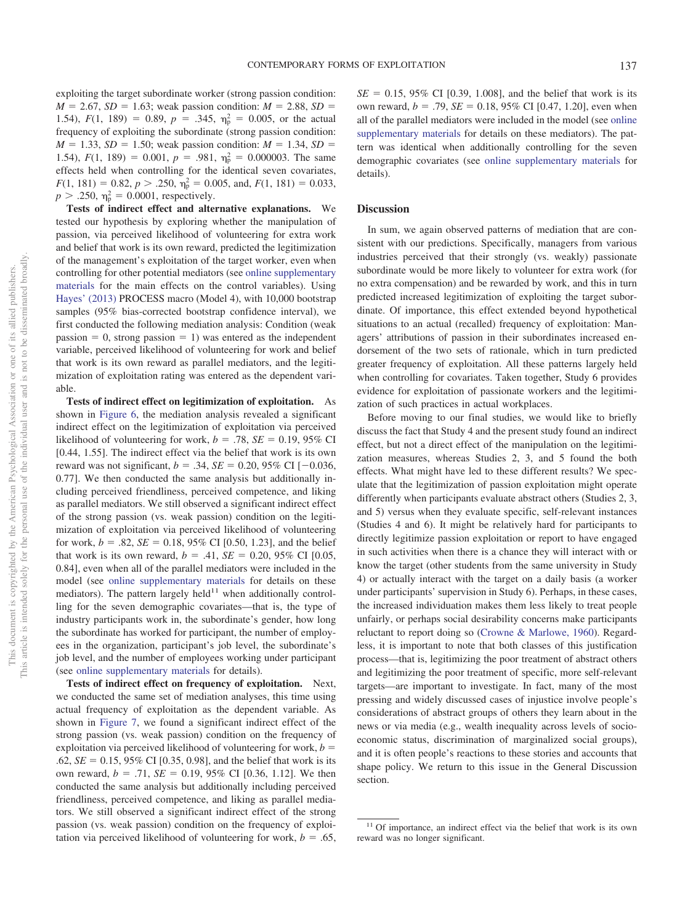exploiting the target subordinate worker (strong passion condition:  $M = 2.67$ ,  $SD = 1.63$ ; weak passion condition:  $M = 2.88$ ,  $SD =$ 1.54),  $F(1, 189) = 0.89$ ,  $p = .345$ ,  $\eta_p^2 = 0.005$ , or the actual frequency of exploiting the subordinate (strong passion condition:  $M = 1.33$ ,  $SD = 1.50$ ; weak passion condition:  $M = 1.34$ ,  $SD =$ 1.54),  $F(1, 189) = 0.001$ ,  $p = .981$ ,  $\eta_p^2 = 0.000003$ . The same effects held when controlling for the identical seven covariates,  $F(1, 181) = 0.82, p > .250, \eta_{\rm p}^2 = 0.005, \text{ and, } F(1, 181) = 0.033,$  $p > .250$ ,  $\eta_p^2 = 0.0001$ , respectively.

**Tests of indirect effect and alternative explanations.** We tested our hypothesis by exploring whether the manipulation of passion, via perceived likelihood of volunteering for extra work and belief that work is its own reward, predicted the legitimization of the management's exploitation of the target worker, even when controlling for other potential mediators (see [online supplementary](http://dx.doi.org/10.1037/pspi0000190.supp) [materials](http://dx.doi.org/10.1037/pspi0000190.supp) for the main effects on the control variables). Using [Hayes' \(2013\)](#page-23-26) PROCESS macro (Model 4), with 10,000 bootstrap samples (95% bias-corrected bootstrap confidence interval), we first conducted the following mediation analysis: Condition (weak passion  $= 0$ , strong passion  $= 1$ ) was entered as the independent variable, perceived likelihood of volunteering for work and belief that work is its own reward as parallel mediators, and the legitimization of exploitation rating was entered as the dependent variable.

**Tests of indirect effect on legitimization of exploitation.** As shown in [Figure 6,](#page-17-0) the mediation analysis revealed a significant indirect effect on the legitimization of exploitation via perceived likelihood of volunteering for work,  $b = .78$ ,  $SE = 0.19$ , 95% CI [0.44, 1.55]. The indirect effect via the belief that work is its own reward was not significant,  $b = .34$ ,  $SE = 0.20$ , 95% CI [-0.036, 0.77]. We then conducted the same analysis but additionally including perceived friendliness, perceived competence, and liking as parallel mediators. We still observed a significant indirect effect of the strong passion (vs. weak passion) condition on the legitimization of exploitation via perceived likelihood of volunteering for work,  $b = .82$ ,  $SE = 0.18$ , 95% CI [0.50, 1.23], and the belief that work is its own reward,  $b = .41$ ,  $SE = 0.20$ , 95% CI [0.05, 0.84], even when all of the parallel mediators were included in the model (see [online supplementary materials](http://dx.doi.org/10.1037/pspi0000190.supp) for details on these mediators). The pattern largely held<sup>11</sup> when additionally controlling for the seven demographic covariates—that is, the type of industry participants work in, the subordinate's gender, how long the subordinate has worked for participant, the number of employees in the organization, participant's job level, the subordinate's job level, and the number of employees working under participant (see [online supplementary materials](http://dx.doi.org/10.1037/pspi0000190.supp) for details).

**Tests of indirect effect on frequency of exploitation.** Next, we conducted the same set of mediation analyses, this time using actual frequency of exploitation as the dependent variable. As shown in [Figure 7,](#page-18-0) we found a significant indirect effect of the strong passion (vs. weak passion) condition on the frequency of exploitation via perceived likelihood of volunteering for work, *b*  $.62, SE = 0.15, 95\% \text{ CI}$  [0.35, 0.98], and the belief that work is its own reward,  $b = .71$ ,  $SE = 0.19$ , 95% CI [0.36, 1.12]. We then conducted the same analysis but additionally including perceived friendliness, perceived competence, and liking as parallel mediators. We still observed a significant indirect effect of the strong passion (vs. weak passion) condition on the frequency of exploitation via perceived likelihood of volunteering for work,  $b = .65$ ,  $SE = 0.15$ , 95% CI [0.39, 1.008], and the belief that work is its own reward,  $b = .79$ ,  $SE = 0.18$ ,  $95\%$  CI [0.47, 1.20], even when all of the parallel mediators were included in the model (see [online](http://dx.doi.org/10.1037/pspi0000190.supp) [supplementary materials](http://dx.doi.org/10.1037/pspi0000190.supp) for details on these mediators). The pattern was identical when additionally controlling for the seven demographic covariates (see [online supplementary materials](http://dx.doi.org/10.1037/pspi0000190.supp) for details).

# **Discussion**

In sum, we again observed patterns of mediation that are consistent with our predictions. Specifically, managers from various industries perceived that their strongly (vs. weakly) passionate subordinate would be more likely to volunteer for extra work (for no extra compensation) and be rewarded by work, and this in turn predicted increased legitimization of exploiting the target subordinate. Of importance, this effect extended beyond hypothetical situations to an actual (recalled) frequency of exploitation: Managers' attributions of passion in their subordinates increased endorsement of the two sets of rationale, which in turn predicted greater frequency of exploitation. All these patterns largely held when controlling for covariates. Taken together, Study 6 provides evidence for exploitation of passionate workers and the legitimization of such practices in actual workplaces.

Before moving to our final studies, we would like to briefly discuss the fact that Study 4 and the present study found an indirect effect, but not a direct effect of the manipulation on the legitimization measures, whereas Studies 2, 3, and 5 found the both effects. What might have led to these different results? We speculate that the legitimization of passion exploitation might operate differently when participants evaluate abstract others (Studies 2, 3, and 5) versus when they evaluate specific, self-relevant instances (Studies 4 and 6). It might be relatively hard for participants to directly legitimize passion exploitation or report to have engaged in such activities when there is a chance they will interact with or know the target (other students from the same university in Study 4) or actually interact with the target on a daily basis (a worker under participants' supervision in Study 6). Perhaps, in these cases, the increased individuation makes them less likely to treat people unfairly, or perhaps social desirability concerns make participants reluctant to report doing so [\(Crowne & Marlowe, 1960\)](#page-23-30). Regardless, it is important to note that both classes of this justification process—that is, legitimizing the poor treatment of abstract others and legitimizing the poor treatment of specific, more self-relevant targets—are important to investigate. In fact, many of the most pressing and widely discussed cases of injustice involve people's considerations of abstract groups of others they learn about in the news or via media (e.g., wealth inequality across levels of socioeconomic status, discrimination of marginalized social groups), and it is often people's reactions to these stories and accounts that shape policy. We return to this issue in the General Discussion section.

<sup>&</sup>lt;sup>11</sup> Of importance, an indirect effect via the belief that work is its own reward was no longer significant.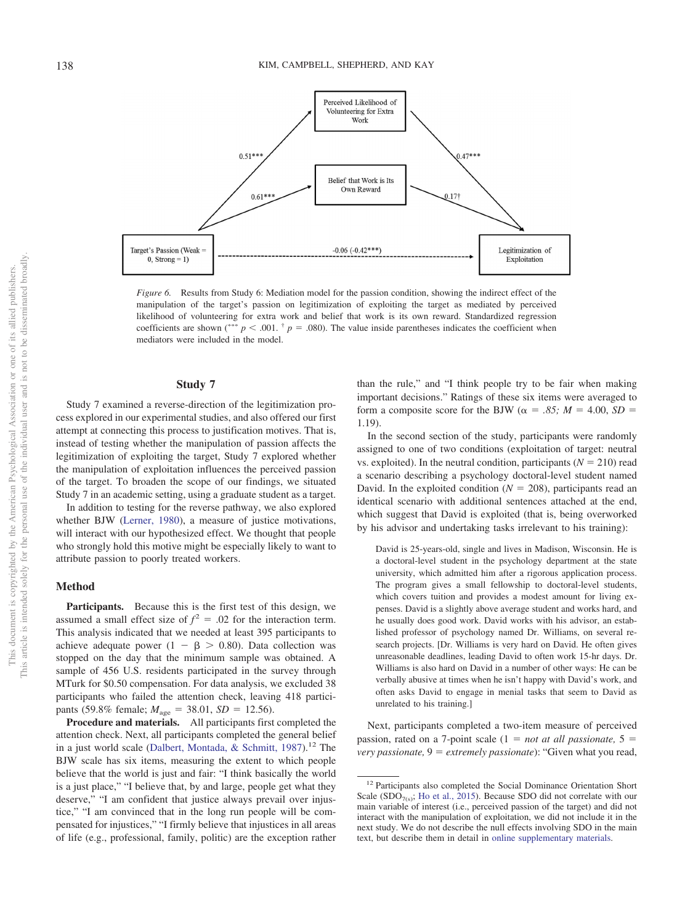

<span id="page-17-0"></span>*Figure 6.* Results from Study 6: Mediation model for the passion condition, showing the indirect effect of the manipulation of the target's passion on legitimization of exploiting the target as mediated by perceived likelihood of volunteering for extra work and belief that work is its own reward. Standardized regression coefficients are shown (\*\*\*  $p < .001$ .  $\dagger p = .080$ ). The value inside parentheses indicates the coefficient when mediators were included in the model.

# **Study 7**

Study 7 examined a reverse-direction of the legitimization process explored in our experimental studies, and also offered our first attempt at connecting this process to justification motives. That is, instead of testing whether the manipulation of passion affects the legitimization of exploiting the target, Study 7 explored whether the manipulation of exploitation influences the perceived passion of the target. To broaden the scope of our findings, we situated Study 7 in an academic setting, using a graduate student as a target.

In addition to testing for the reverse pathway, we also explored whether BJW [\(Lerner, 1980\)](#page-24-5), a measure of justice motivations, will interact with our hypothesized effect. We thought that people who strongly hold this motive might be especially likely to want to attribute passion to poorly treated workers.

#### **Method**

**Participants.** Because this is the first test of this design, we assumed a small effect size of  $f^2 = .02$  for the interaction term. This analysis indicated that we needed at least 395 participants to achieve adequate power  $(1 - \beta > 0.80)$ . Data collection was stopped on the day that the minimum sample was obtained. A sample of 456 U.S. residents participated in the survey through MTurk for \$0.50 compensation. For data analysis, we excluded 38 participants who failed the attention check, leaving 418 participants (59.8% female;  $M_{\text{age}} = 38.01$ ,  $SD = 12.56$ ).

**Procedure and materials.** All participants first completed the attention check. Next, all participants completed the general belief in a just world scale [\(Dalbert, Montada, & Schmitt, 1987\)](#page-23-31).<sup>12</sup> The BJW scale has six items, measuring the extent to which people believe that the world is just and fair: "I think basically the world is a just place," "I believe that, by and large, people get what they deserve," "I am confident that justice always prevail over injustice," "I am convinced that in the long run people will be compensated for injustices," "I firmly believe that injustices in all areas of life (e.g., professional, family, politic) are the exception rather

than the rule," and "I think people try to be fair when making important decisions." Ratings of these six items were averaged to form a composite score for the BJW ( $\alpha = .85$ ;  $M = 4.00$ ,  $SD =$ 1.19).

In the second section of the study, participants were randomly assigned to one of two conditions (exploitation of target: neutral vs. exploited). In the neutral condition, participants  $(N = 210)$  read a scenario describing a psychology doctoral-level student named David. In the exploited condition  $(N = 208)$ , participants read an identical scenario with additional sentences attached at the end, which suggest that David is exploited (that is, being overworked by his advisor and undertaking tasks irrelevant to his training):

David is 25-years-old, single and lives in Madison, Wisconsin. He is a doctoral-level student in the psychology department at the state university, which admitted him after a rigorous application process. The program gives a small fellowship to doctoral-level students, which covers tuition and provides a modest amount for living expenses. David is a slightly above average student and works hard, and he usually does good work. David works with his advisor, an established professor of psychology named Dr. Williams, on several research projects. [Dr. Williams is very hard on David. He often gives unreasonable deadlines, leading David to often work 15-hr days. Dr. Williams is also hard on David in a number of other ways: He can be verbally abusive at times when he isn't happy with David's work, and often asks David to engage in menial tasks that seem to David as unrelated to his training.]

Next, participants completed a two-item measure of perceived passion, rated on a 7-point scale  $(1 = not at all possible)$ ,  $5 =$ *very passionate,*  $9 =$  *extremely passionate*): "Given what you read,

<sup>&</sup>lt;sup>12</sup> Participants also completed the Social Dominance Orientation Short Scale (SDO $_{7(s)}$ ; [Ho et al., 2015\)](#page-23-32). Because SDO did not correlate with our main variable of interest (i.e., perceived passion of the target) and did not interact with the manipulation of exploitation, we did not include it in the next study. We do not describe the null effects involving SDO in the main text, but describe them in detail in [online supplementary materials.](http://dx.doi.org/10.1037/pspi0000190.supp)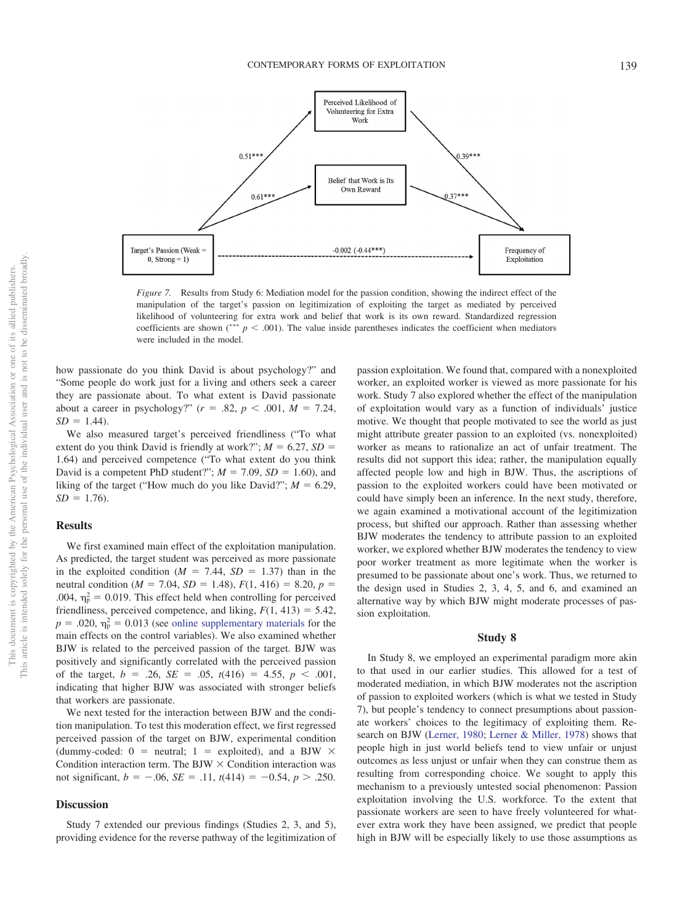

<span id="page-18-0"></span>*Figure 7.* Results from Study 6: Mediation model for the passion condition, showing the indirect effect of the manipulation of the target's passion on legitimization of exploiting the target as mediated by perceived likelihood of volunteering for extra work and belief that work is its own reward. Standardized regression coefficients are shown  $\binom{***}{}$   $p < .001$ ). The value inside parentheses indicates the coefficient when mediators were included in the model.

how passionate do you think David is about psychology?" and "Some people do work just for a living and others seek a career they are passionate about. To what extent is David passionate about a career in psychology?"  $(r = .82, p < .001, M = 7.24,$  $SD = 1.44$ .

We also measured target's perceived friendliness ("To what extent do you think David is friendly at work?";  $M = 6.27$ ,  $SD =$ 1.64) and perceived competence ("To what extent do you think David is a competent PhD student?";  $M = 7.09$ ,  $SD = 1.60$ ), and liking of the target ("How much do you like David?";  $M = 6.29$ ,  $SD = 1.76$ .

# **Results**

We first examined main effect of the exploitation manipulation. As predicted, the target student was perceived as more passionate in the exploited condition ( $M = 7.44$ ,  $SD = 1.37$ ) than in the neutral condition ( $M = 7.04$ ,  $SD = 1.48$ ),  $F(1, 416) = 8.20$ ,  $p =$ .004,  $\eta_{\rm p}^2 = 0.019$ . This effect held when controlling for perceived friendliness, perceived competence, and liking,  $F(1, 413) = 5.42$ ,  $p = 0.020$ ,  $\eta_p^2 = 0.013$  (see [online supplementary materials](http://dx.doi.org/10.1037/pspi0000190.supp) for the main effects on the control variables). We also examined whether BJW is related to the perceived passion of the target. BJW was positively and significantly correlated with the perceived passion of the target,  $b = .26$ ,  $SE = .05$ ,  $t(416) = 4.55$ ,  $p < .001$ , indicating that higher BJW was associated with stronger beliefs that workers are passionate.

We next tested for the interaction between BJW and the condition manipulation. To test this moderation effect, we first regressed perceived passion of the target on BJW, experimental condition (dummy-coded:  $0 =$  neutral;  $1 =$  exploited), and a BJW  $\times$ Condition interaction term. The BJW  $\times$  Condition interaction was not significant,  $b = -.06$ ,  $SE = .11$ ,  $t(414) = -0.54$ ,  $p > .250$ .

# **Discussion**

Study 7 extended our previous findings (Studies 2, 3, and 5), providing evidence for the reverse pathway of the legitimization of passion exploitation. We found that, compared with a nonexploited worker, an exploited worker is viewed as more passionate for his work. Study 7 also explored whether the effect of the manipulation of exploitation would vary as a function of individuals' justice motive. We thought that people motivated to see the world as just might attribute greater passion to an exploited (vs. nonexploited) worker as means to rationalize an act of unfair treatment. The results did not support this idea; rather, the manipulation equally affected people low and high in BJW. Thus, the ascriptions of passion to the exploited workers could have been motivated or could have simply been an inference. In the next study, therefore, we again examined a motivational account of the legitimization process, but shifted our approach. Rather than assessing whether BJW moderates the tendency to attribute passion to an exploited worker, we explored whether BJW moderates the tendency to view poor worker treatment as more legitimate when the worker is presumed to be passionate about one's work. Thus, we returned to the design used in Studies 2, 3, 4, 5, and 6, and examined an alternative way by which BJW might moderate processes of passion exploitation.

#### **Study 8**

In Study 8, we employed an experimental paradigm more akin to that used in our earlier studies. This allowed for a test of moderated mediation, in which BJW moderates not the ascription of passion to exploited workers (which is what we tested in Study 7), but people's tendency to connect presumptions about passionate workers' choices to the legitimacy of exploiting them. Research on BJW [\(Lerner, 1980;](#page-24-5) [Lerner & Miller, 1978\)](#page-24-16) shows that people high in just world beliefs tend to view unfair or unjust outcomes as less unjust or unfair when they can construe them as resulting from corresponding choice. We sought to apply this mechanism to a previously untested social phenomenon: Passion exploitation involving the U.S. workforce. To the extent that passionate workers are seen to have freely volunteered for whatever extra work they have been assigned, we predict that people high in BJW will be especially likely to use those assumptions as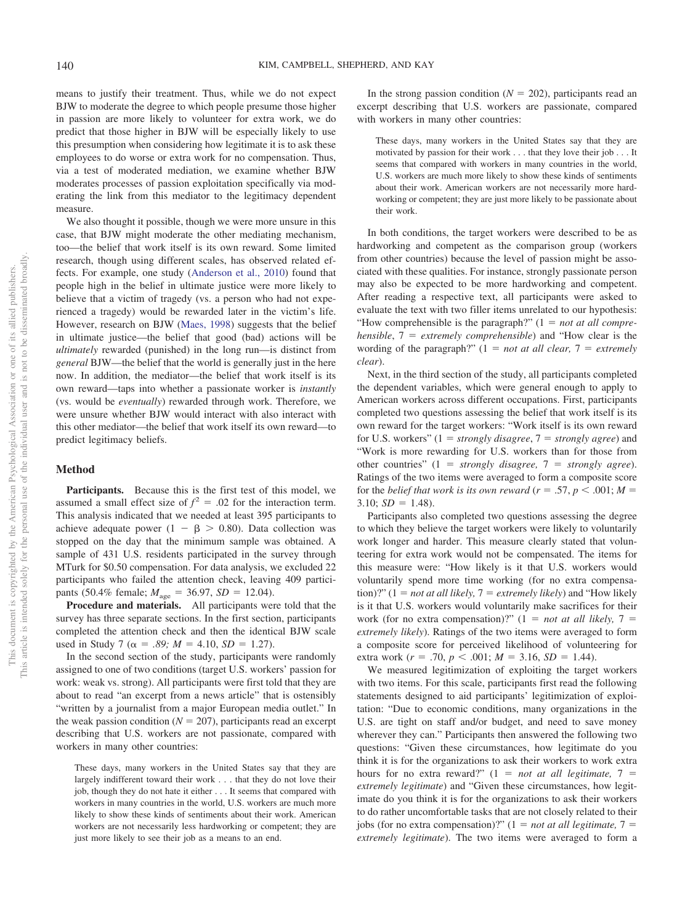means to justify their treatment. Thus, while we do not expect BJW to moderate the degree to which people presume those higher in passion are more likely to volunteer for extra work, we do predict that those higher in BJW will be especially likely to use this presumption when considering how legitimate it is to ask these employees to do worse or extra work for no compensation. Thus, via a test of moderated mediation, we examine whether BJW moderates processes of passion exploitation specifically via moderating the link from this mediator to the legitimacy dependent measure.

We also thought it possible, though we were more unsure in this case, that BJW might moderate the other mediating mechanism, too—the belief that work itself is its own reward. Some limited research, though using different scales, has observed related effects. For example, one study [\(Anderson et al., 2010\)](#page-23-20) found that people high in the belief in ultimate justice were more likely to believe that a victim of tragedy (vs. a person who had not experienced a tragedy) would be rewarded later in the victim's life. However, research on BJW [\(Maes, 1998\)](#page-24-24) suggests that the belief in ultimate justice—the belief that good (bad) actions will be *ultimately* rewarded (punished) in the long run—is distinct from *general* BJW—the belief that the world is generally just in the here now. In addition, the mediator—the belief that work itself is its own reward—taps into whether a passionate worker is *instantly* (vs. would be *eventually*) rewarded through work. Therefore, we were unsure whether BJW would interact with also interact with this other mediator—the belief that work itself its own reward—to predict legitimacy beliefs.

# **Method**

**Participants.** Because this is the first test of this model, we assumed a small effect size of  $f^2 = .02$  for the interaction term. This analysis indicated that we needed at least 395 participants to achieve adequate power  $(1 - \beta > 0.80)$ . Data collection was stopped on the day that the minimum sample was obtained. A sample of 431 U.S. residents participated in the survey through MTurk for \$0.50 compensation. For data analysis, we excluded 22 participants who failed the attention check, leaving 409 participants (50.4% female;  $M_{\text{age}} = 36.97$ ,  $SD = 12.04$ ).

**Procedure and materials.** All participants were told that the survey has three separate sections. In the first section, participants completed the attention check and then the identical BJW scale used in Study 7 ( $\alpha = .89$ ;  $M = 4.10$ ,  $SD = 1.27$ ).

In the second section of the study, participants were randomly assigned to one of two conditions (target U.S. workers' passion for work: weak vs. strong). All participants were first told that they are about to read "an excerpt from a news article" that is ostensibly "written by a journalist from a major European media outlet." In the weak passion condition  $(N = 207)$ , participants read an excerpt describing that U.S. workers are not passionate, compared with workers in many other countries:

These days, many workers in the United States say that they are largely indifferent toward their work... that they do not love their job, though they do not hate it either . . . It seems that compared with workers in many countries in the world, U.S. workers are much more likely to show these kinds of sentiments about their work. American workers are not necessarily less hardworking or competent; they are just more likely to see their job as a means to an end.

In the strong passion condition  $(N = 202)$ , participants read an excerpt describing that U.S. workers are passionate, compared with workers in many other countries:

These days, many workers in the United States say that they are motivated by passion for their work . . . that they love their job . . . It seems that compared with workers in many countries in the world, U.S. workers are much more likely to show these kinds of sentiments about their work. American workers are not necessarily more hardworking or competent; they are just more likely to be passionate about their work.

In both conditions, the target workers were described to be as hardworking and competent as the comparison group (workers from other countries) because the level of passion might be associated with these qualities. For instance, strongly passionate person may also be expected to be more hardworking and competent. After reading a respective text, all participants were asked to evaluate the text with two filler items unrelated to our hypothesis: "How comprehensible is the paragraph?" (1 = *not at all comprehensible*, 7 *extremely comprehensible*) and "How clear is the wording of the paragraph?"  $(1 = not at all clear, 7 = extremely)$ *clear*).

Next, in the third section of the study, all participants completed the dependent variables, which were general enough to apply to American workers across different occupations. First, participants completed two questions assessing the belief that work itself is its own reward for the target workers: "Work itself is its own reward for U.S. workers" (1 *strongly disagree*, 7 *strongly agree*) and "Work is more rewarding for U.S. workers than for those from other countries" (1 *strongly disagree,* 7 *strongly agree*). Ratings of the two items were averaged to form a composite score for the *belief that work is its own reward* ( $r = .57$ ,  $p < .001$ ;  $M =$ 3.10;  $SD = 1.48$ ).

Participants also completed two questions assessing the degree to which they believe the target workers were likely to voluntarily work longer and harder. This measure clearly stated that volunteering for extra work would not be compensated. The items for this measure were: "How likely is it that U.S. workers would voluntarily spend more time working (for no extra compensa- $\lim_{t \to \infty}$  (1 = *not at all likely, 7 = extremely likely*) and "How likely is it that U.S. workers would voluntarily make sacrifices for their work (for no extra compensation)?"  $(1 = not at all likely, 7 =$ *extremely likely*). Ratings of the two items were averaged to form a composite score for perceived likelihood of volunteering for extra work  $(r = .70, p < .001; M = 3.16, SD = 1.44)$ .

We measured legitimization of exploiting the target workers with two items. For this scale, participants first read the following statements designed to aid participants' legitimization of exploitation: "Due to economic conditions, many organizations in the U.S. are tight on staff and/or budget, and need to save money wherever they can." Participants then answered the following two questions: "Given these circumstances, how legitimate do you think it is for the organizations to ask their workers to work extra hours for no extra reward?"  $(1 = not at all legitimate, 7 =$ *extremely legitimate*) and "Given these circumstances, how legitimate do you think it is for the organizations to ask their workers to do rather uncomfortable tasks that are not closely related to their jobs (for no extra compensation)?"  $(1 = not at all legitimate, 7 =$ *extremely legitimate*). The two items were averaged to form a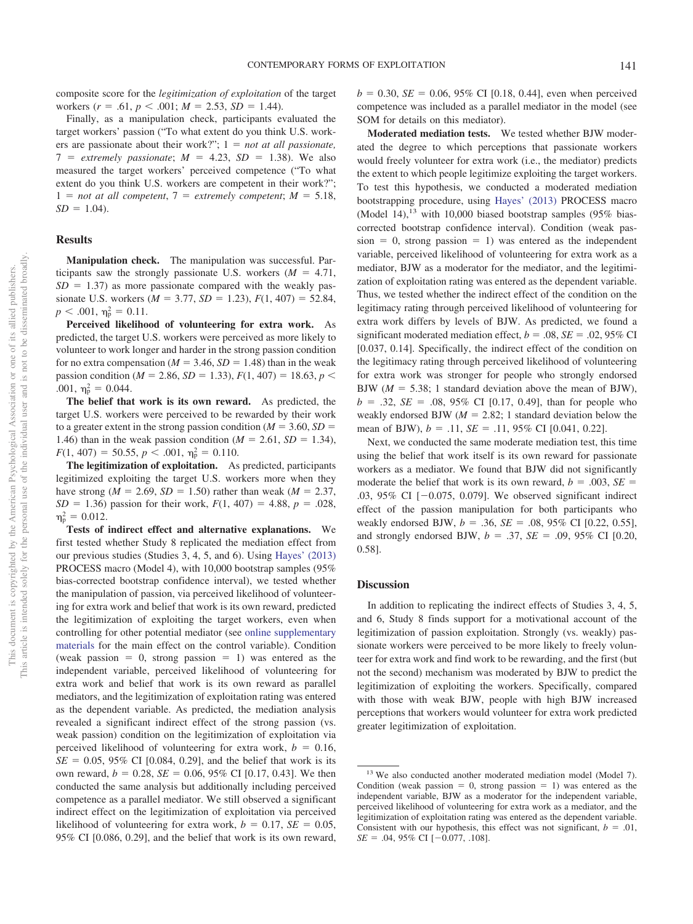composite score for the *legitimization of exploitation* of the target workers  $(r = .61, p < .001; M = 2.53, SD = 1.44)$ .

Finally, as a manipulation check, participants evaluated the target workers' passion ("To what extent do you think U.S. workers are passionate about their work?";  $1 = not at all possible$ ,  $7 =$  *extremely passionate*;  $M = 4.23$ ,  $SD = 1.38$ ). We also measured the target workers' perceived competence ("To what extent do you think U.S. workers are competent in their work?";  $1 = not at all competent, 7 = extremely competent, M = 5.18,$  $SD = 1.04$ .

### **Results**

**Manipulation check.** The manipulation was successful. Participants saw the strongly passionate U.S. workers  $(M = 4.71,$  $SD = 1.37$ ) as more passionate compared with the weakly passionate U.S. workers  $(M = 3.77, SD = 1.23), F(1, 407) = 52.84,$  $p < .001$ ,  $\eta_p^2 = 0.11$ .

**Perceived likelihood of volunteering for extra work.** As predicted, the target U.S. workers were perceived as more likely to volunteer to work longer and harder in the strong passion condition for no extra compensation ( $M = 3.46$ ,  $SD = 1.48$ ) than in the weak passion condition ( $M = 2.86$ ,  $SD = 1.33$ ),  $F(1, 407) = 18.63$ ,  $p <$ .001,  $\eta_{\rm p}^2 = 0.044$ .

**The belief that work is its own reward.** As predicted, the target U.S. workers were perceived to be rewarded by their work to a greater extent in the strong passion condition ( $M = 3.60$ ,  $SD =$ 1.46) than in the weak passion condition ( $M = 2.61$ ,  $SD = 1.34$ ),  $F(1, 407) = 50.55, p < .001, \eta_{\rm p}^2 = 0.110.$ 

**The legitimization of exploitation.** As predicted, participants legitimized exploiting the target U.S. workers more when they have strong ( $M = 2.69$ ,  $SD = 1.50$ ) rather than weak ( $M = 2.37$ ,  $SD = 1.36$ ) passion for their work,  $F(1, 407) = 4.88$ ,  $p = .028$ ,  $\eta_{\rm p}^2 = 0.012$ .

**Tests of indirect effect and alternative explanations.** We first tested whether Study 8 replicated the mediation effect from our previous studies (Studies 3, 4, 5, and 6). Using [Hayes' \(2013\)](#page-23-26) PROCESS macro (Model 4), with 10,000 bootstrap samples (95% bias-corrected bootstrap confidence interval), we tested whether the manipulation of passion, via perceived likelihood of volunteering for extra work and belief that work is its own reward, predicted the legitimization of exploiting the target workers, even when controlling for other potential mediator (see [online supplementary](http://dx.doi.org/10.1037/pspi0000190.supp) [materials](http://dx.doi.org/10.1037/pspi0000190.supp) for the main effect on the control variable). Condition (weak passion  $= 0$ , strong passion  $= 1$ ) was entered as the independent variable, perceived likelihood of volunteering for extra work and belief that work is its own reward as parallel mediators, and the legitimization of exploitation rating was entered as the dependent variable. As predicted, the mediation analysis revealed a significant indirect effect of the strong passion (vs. weak passion) condition on the legitimization of exploitation via perceived likelihood of volunteering for extra work,  $b = 0.16$ ,  $SE = 0.05$ , 95% CI [0.084, 0.29], and the belief that work is its own reward,  $b = 0.28$ ,  $SE = 0.06$ , 95% CI [0.17, 0.43]. We then conducted the same analysis but additionally including perceived competence as a parallel mediator. We still observed a significant indirect effect on the legitimization of exploitation via perceived likelihood of volunteering for extra work,  $b = 0.17$ ,  $SE = 0.05$ , 95% CI [0.086, 0.29], and the belief that work is its own reward,

 $b = 0.30$ , *SE* = 0.06, 95% CI [0.18, 0.44], even when perceived competence was included as a parallel mediator in the model (see SOM for details on this mediator).

**Moderated mediation tests.** We tested whether BJW moderated the degree to which perceptions that passionate workers would freely volunteer for extra work (i.e., the mediator) predicts the extent to which people legitimize exploiting the target workers. To test this hypothesis, we conducted a moderated mediation bootstrapping procedure, using [Hayes' \(2013\)](#page-23-26) PROCESS macro (Model 14), $13$  with 10,000 biased bootstrap samples (95% biascorrected bootstrap confidence interval). Condition (weak pas $sion = 0$ , strong passion  $= 1$ ) was entered as the independent variable, perceived likelihood of volunteering for extra work as a mediator, BJW as a moderator for the mediator, and the legitimization of exploitation rating was entered as the dependent variable. Thus, we tested whether the indirect effect of the condition on the legitimacy rating through perceived likelihood of volunteering for extra work differs by levels of BJW. As predicted, we found a significant moderated mediation effect,  $b = .08$ ,  $SE = .02$ , 95% CI [0.037, 0.14]. Specifically, the indirect effect of the condition on the legitimacy rating through perceived likelihood of volunteering for extra work was stronger for people who strongly endorsed BJW  $(M = 5.38; 1$  standard deviation above the mean of BJW),  $b = .32$ ,  $SE = .08$ , 95% CI [0.17, 0.49], than for people who weakly endorsed BJW  $(M = 2.82; 1$  standard deviation below the mean of BJW),  $b = .11$ ,  $SE = .11$ ,  $95\%$  CI [0.041, 0.22].

Next, we conducted the same moderate mediation test, this time using the belief that work itself is its own reward for passionate workers as a mediator. We found that BJW did not significantly moderate the belief that work is its own reward,  $b = .003$ ,  $SE =$ .03, 95% CI  $[-0.075, 0.079]$ . We observed significant indirect effect of the passion manipulation for both participants who weakly endorsed BJW,  $b = .36$ ,  $SE = .08$ ,  $95\%$  CI [0.22, 0.55], and strongly endorsed BJW,  $b = .37$ ,  $SE = .09$ , 95% CI [0.20, 0.58].

# **Discussion**

In addition to replicating the indirect effects of Studies 3, 4, 5, and 6, Study 8 finds support for a motivational account of the legitimization of passion exploitation. Strongly (vs. weakly) passionate workers were perceived to be more likely to freely volunteer for extra work and find work to be rewarding, and the first (but not the second) mechanism was moderated by BJW to predict the legitimization of exploiting the workers. Specifically, compared with those with weak BJW, people with high BJW increased perceptions that workers would volunteer for extra work predicted greater legitimization of exploitation.

<sup>&</sup>lt;sup>13</sup> We also conducted another moderated mediation model (Model 7). Condition (weak passion  $= 0$ , strong passion  $= 1$ ) was entered as the independent variable, BJW as a moderator for the independent variable, perceived likelihood of volunteering for extra work as a mediator, and the legitimization of exploitation rating was entered as the dependent variable. Consistent with our hypothesis, this effect was not significant,  $b = .01$ ,  $SE = .04, 95\% \text{ CI } [-0.077, .108].$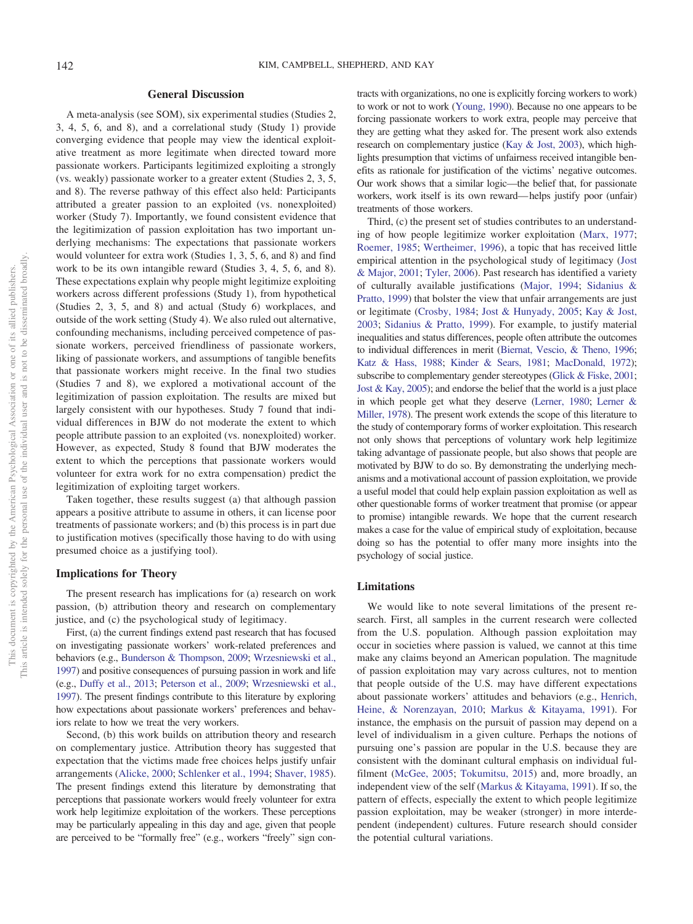# **General Discussion**

A meta-analysis (see SOM), six experimental studies (Studies 2, 3, 4, 5, 6, and 8), and a correlational study (Study 1) provide converging evidence that people may view the identical exploitative treatment as more legitimate when directed toward more passionate workers. Participants legitimized exploiting a strongly (vs. weakly) passionate worker to a greater extent (Studies 2, 3, 5, and 8). The reverse pathway of this effect also held: Participants attributed a greater passion to an exploited (vs. nonexploited) worker (Study 7). Importantly, we found consistent evidence that the legitimization of passion exploitation has two important underlying mechanisms: The expectations that passionate workers would volunteer for extra work (Studies 1, 3, 5, 6, and 8) and find work to be its own intangible reward (Studies 3, 4, 5, 6, and 8). These expectations explain why people might legitimize exploiting workers across different professions (Study 1), from hypothetical (Studies 2, 3, 5, and 8) and actual (Study 6) workplaces, and outside of the work setting (Study 4). We also ruled out alternative, confounding mechanisms, including perceived competence of passionate workers, perceived friendliness of passionate workers, liking of passionate workers, and assumptions of tangible benefits that passionate workers might receive. In the final two studies (Studies 7 and 8), we explored a motivational account of the legitimization of passion exploitation. The results are mixed but largely consistent with our hypotheses. Study 7 found that individual differences in BJW do not moderate the extent to which people attribute passion to an exploited (vs. nonexploited) worker. However, as expected, Study 8 found that BJW moderates the extent to which the perceptions that passionate workers would volunteer for extra work for no extra compensation) predict the legitimization of exploiting target workers.

Taken together, these results suggest (a) that although passion appears a positive attribute to assume in others, it can license poor treatments of passionate workers; and (b) this process is in part due to justification motives (specifically those having to do with using presumed choice as a justifying tool).

#### **Implications for Theory**

The present research has implications for (a) research on work passion, (b) attribution theory and research on complementary justice, and (c) the psychological study of legitimacy.

First, (a) the current findings extend past research that has focused on investigating passionate workers' work-related preferences and behaviors (e.g., [Bunderson & Thompson, 2009;](#page-23-21) [Wrzesniewski et al.,](#page-25-6) [1997\)](#page-25-6) and positive consequences of pursuing passion in work and life (e.g., [Duffy et al., 2013;](#page-23-8) [Peterson et al., 2009;](#page-24-9) [Wrzesniewski et al.,](#page-25-6) [1997\)](#page-25-6). The present findings contribute to this literature by exploring how expectations about passionate workers' preferences and behaviors relate to how we treat the very workers.

Second, (b) this work builds on attribution theory and research on complementary justice. Attribution theory has suggested that expectation that the victims made free choices helps justify unfair arrangements [\(Alicke, 2000;](#page-22-0) [Schlenker et al., 1994;](#page-24-18) [Shaver, 1985\)](#page-24-19). The present findings extend this literature by demonstrating that perceptions that passionate workers would freely volunteer for extra work help legitimize exploitation of the workers. These perceptions may be particularly appealing in this day and age, given that people are perceived to be "formally free" (e.g., workers "freely" sign contracts with organizations, no one is explicitly forcing workers to work) to work or not to work [\(Young, 1990\)](#page-25-22). Because no one appears to be forcing passionate workers to work extra, people may perceive that they are getting what they asked for. The present work also extends research on complementary justice [\(Kay & Jost, 2003\)](#page-24-6), which highlights presumption that victims of unfairness received intangible benefits as rationale for justification of the victims' negative outcomes. Our work shows that a similar logic—the belief that, for passionate workers, work itself is its own reward— helps justify poor (unfair) treatments of those workers.

Third, (c) the present set of studies contributes to an understanding of how people legitimize worker exploitation [\(Marx, 1977;](#page-24-29) [Roemer, 1985;](#page-24-30) [Wertheimer, 1996\)](#page-25-0), a topic that has received little empirical attention in the psychological study of legitimacy [\(Jost](#page-24-31) [& Major, 2001;](#page-24-31) [Tyler, 2006\)](#page-25-23). Past research has identified a variety of culturally available justifications [\(Major, 1994;](#page-24-32) [Sidanius &](#page-25-24) [Pratto, 1999\)](#page-25-24) that bolster the view that unfair arrangements are just or legitimate [\(Crosby, 1984;](#page-23-33) [Jost & Hunyady, 2005;](#page-24-23) [Kay & Jost,](#page-24-6) [2003;](#page-24-6) [Sidanius & Pratto, 1999\)](#page-25-24). For example, to justify material inequalities and status differences, people often attribute the outcomes to individual differences in merit [\(Biernat, Vescio, & Theno, 1996;](#page-23-34) [Katz & Hass, 1988;](#page-24-33) [Kinder & Sears, 1981;](#page-24-34) [MacDonald, 1972\)](#page-24-35); subscribe to complementary gender stereotypes [\(Glick & Fiske, 2001;](#page-23-35) [Jost & Kay, 2005\)](#page-24-36); and endorse the belief that the world is a just place in which people get what they deserve [\(Lerner, 1980;](#page-24-5) [Lerner &](#page-24-16) [Miller, 1978\)](#page-24-16). The present work extends the scope of this literature to the study of contemporary forms of worker exploitation. This research not only shows that perceptions of voluntary work help legitimize taking advantage of passionate people, but also shows that people are motivated by BJW to do so. By demonstrating the underlying mechanisms and a motivational account of passion exploitation, we provide a useful model that could help explain passion exploitation as well as other questionable forms of worker treatment that promise (or appear to promise) intangible rewards. We hope that the current research makes a case for the value of empirical study of exploitation, because doing so has the potential to offer many more insights into the psychology of social justice.

#### **Limitations**

We would like to note several limitations of the present research. First, all samples in the current research were collected from the U.S. population. Although passion exploitation may occur in societies where passion is valued, we cannot at this time make any claims beyond an American population. The magnitude of passion exploitation may vary across cultures, not to mention that people outside of the U.S. may have different expectations about passionate workers' attitudes and behaviors (e.g., [Henrich,](#page-23-36) [Heine, & Norenzayan, 2010;](#page-23-36) [Markus & Kitayama, 1991\)](#page-24-37). For instance, the emphasis on the pursuit of passion may depend on a level of individualism in a given culture. Perhaps the notions of pursuing one's passion are popular in the U.S. because they are consistent with the dominant cultural emphasis on individual fulfilment [\(McGee, 2005;](#page-24-8) [Tokumitsu, 2015\)](#page-25-1) and, more broadly, an independent view of the self [\(Markus & Kitayama, 1991\)](#page-24-37). If so, the pattern of effects, especially the extent to which people legitimize passion exploitation, may be weaker (stronger) in more interdependent (independent) cultures. Future research should consider the potential cultural variations.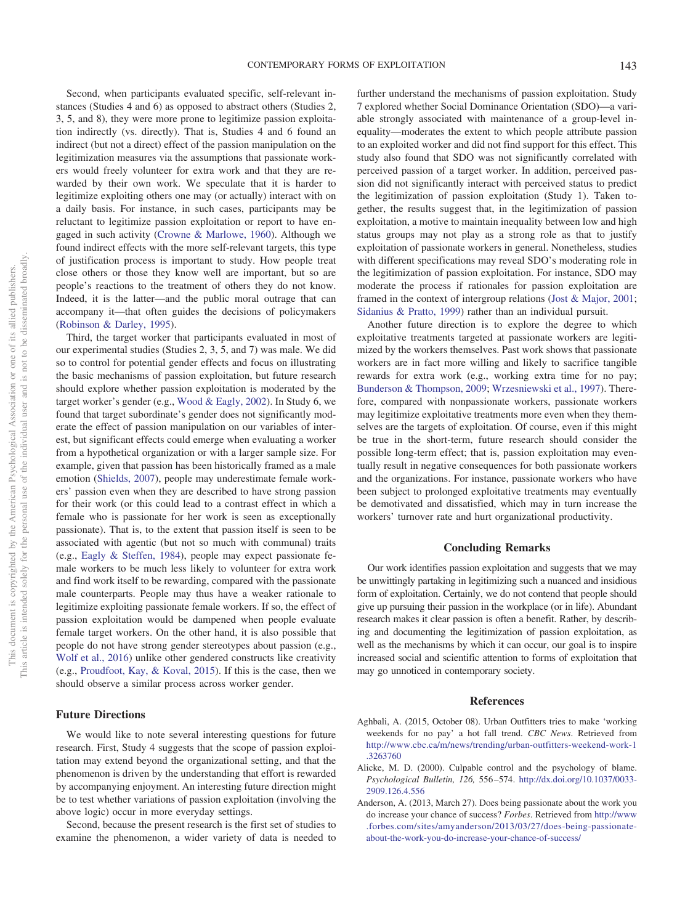Second, when participants evaluated specific, self-relevant instances (Studies 4 and 6) as opposed to abstract others (Studies 2, 3, 5, and 8), they were more prone to legitimize passion exploitation indirectly (vs. directly). That is, Studies 4 and 6 found an indirect (but not a direct) effect of the passion manipulation on the legitimization measures via the assumptions that passionate workers would freely volunteer for extra work and that they are rewarded by their own work. We speculate that it is harder to legitimize exploiting others one may (or actually) interact with on a daily basis. For instance, in such cases, participants may be reluctant to legitimize passion exploitation or report to have engaged in such activity [\(Crowne & Marlowe, 1960\)](#page-23-30). Although we found indirect effects with the more self-relevant targets, this type of justification process is important to study. How people treat close others or those they know well are important, but so are people's reactions to the treatment of others they do not know. Indeed, it is the latter—and the public moral outrage that can accompany it—that often guides the decisions of policymakers [\(Robinson & Darley, 1995\)](#page-24-38).

Third, the target worker that participants evaluated in most of our experimental studies (Studies 2, 3, 5, and 7) was male. We did so to control for potential gender effects and focus on illustrating the basic mechanisms of passion exploitation, but future research should explore whether passion exploitation is moderated by the target worker's gender (e.g., [Wood & Eagly, 2002\)](#page-25-25). In Study 6, we found that target subordinate's gender does not significantly moderate the effect of passion manipulation on our variables of interest, but significant effects could emerge when evaluating a worker from a hypothetical organization or with a larger sample size. For example, given that passion has been historically framed as a male emotion [\(Shields, 2007\)](#page-25-26), people may underestimate female workers' passion even when they are described to have strong passion for their work (or this could lead to a contrast effect in which a female who is passionate for her work is seen as exceptionally passionate). That is, to the extent that passion itself is seen to be associated with agentic (but not so much with communal) traits (e.g., [Eagly & Steffen, 1984\)](#page-23-37), people may expect passionate female workers to be much less likely to volunteer for extra work and find work itself to be rewarding, compared with the passionate male counterparts. People may thus have a weaker rationale to legitimize exploiting passionate female workers. If so, the effect of passion exploitation would be dampened when people evaluate female target workers. On the other hand, it is also possible that people do not have strong gender stereotypes about passion (e.g., [Wolf et al., 2016\)](#page-25-8) unlike other gendered constructs like creativity (e.g., [Proudfoot, Kay, & Koval, 2015\)](#page-24-39). If this is the case, then we should observe a similar process across worker gender.

# **Future Directions**

We would like to note several interesting questions for future research. First, Study 4 suggests that the scope of passion exploitation may extend beyond the organizational setting, and that the phenomenon is driven by the understanding that effort is rewarded by accompanying enjoyment. An interesting future direction might be to test whether variations of passion exploitation (involving the above logic) occur in more everyday settings.

Second, because the present research is the first set of studies to examine the phenomenon, a wider variety of data is needed to

further understand the mechanisms of passion exploitation. Study 7 explored whether Social Dominance Orientation (SDO)—a variable strongly associated with maintenance of a group-level inequality—moderates the extent to which people attribute passion to an exploited worker and did not find support for this effect. This study also found that SDO was not significantly correlated with perceived passion of a target worker. In addition, perceived passion did not significantly interact with perceived status to predict the legitimization of passion exploitation (Study 1). Taken together, the results suggest that, in the legitimization of passion exploitation, a motive to maintain inequality between low and high status groups may not play as a strong role as that to justify exploitation of passionate workers in general. Nonetheless, studies with different specifications may reveal SDO's moderating role in the legitimization of passion exploitation. For instance, SDO may moderate the process if rationales for passion exploitation are framed in the context of intergroup relations [\(Jost & Major, 2001;](#page-24-31) [Sidanius & Pratto, 1999\)](#page-25-24) rather than an individual pursuit.

Another future direction is to explore the degree to which exploitative treatments targeted at passionate workers are legitimized by the workers themselves. Past work shows that passionate workers are in fact more willing and likely to sacrifice tangible rewards for extra work (e.g., working extra time for no pay; [Bunderson & Thompson, 2009;](#page-23-21) [Wrzesniewski et al., 1997\)](#page-25-6). Therefore, compared with nonpassionate workers, passionate workers may legitimize exploitative treatments more even when they themselves are the targets of exploitation. Of course, even if this might be true in the short-term, future research should consider the possible long-term effect; that is, passion exploitation may eventually result in negative consequences for both passionate workers and the organizations. For instance, passionate workers who have been subject to prolonged exploitative treatments may eventually be demotivated and dissatisfied, which may in turn increase the workers' turnover rate and hurt organizational productivity.

#### **Concluding Remarks**

Our work identifies passion exploitation and suggests that we may be unwittingly partaking in legitimizing such a nuanced and insidious form of exploitation. Certainly, we do not contend that people should give up pursuing their passion in the workplace (or in life). Abundant research makes it clear passion is often a benefit. Rather, by describing and documenting the legitimization of passion exploitation, as well as the mechanisms by which it can occur, our goal is to inspire increased social and scientific attention to forms of exploitation that may go unnoticed in contemporary society.

#### **References**

- <span id="page-22-2"></span>Aghbali, A. (2015, October 08). Urban Outfitters tries to make 'working weekends for no pay' a hot fall trend. *CBC News*. Retrieved from [http://www.cbc.ca/m/news/trending/urban-outfitters-weekend-work-1](http://www.cbc.ca/m/news/trending/urban-outfitters-weekend-work-1.3263760) [.3263760](http://www.cbc.ca/m/news/trending/urban-outfitters-weekend-work-1.3263760)
- <span id="page-22-0"></span>Alicke, M. D. (2000). Culpable control and the psychology of blame. *Psychological Bulletin, 126,* 556 –574. [http://dx.doi.org/10.1037/0033-](http://dx.doi.org/10.1037/0033-2909.126.4.556) [2909.126.4.556](http://dx.doi.org/10.1037/0033-2909.126.4.556)
- <span id="page-22-1"></span>Anderson, A. (2013, March 27). Does being passionate about the work you do increase your chance of success? *Forbes*. Retrieved from [http://www](http://www.forbes.com/sites/amyanderson/2013/03/27/does-being-passionate-about-the-work-you-do-increase-your-chance-of-success/) [.forbes.com/sites/amyanderson/2013/03/27/does-being-passionate](http://www.forbes.com/sites/amyanderson/2013/03/27/does-being-passionate-about-the-work-you-do-increase-your-chance-of-success/)[about-the-work-you-do-increase-your-chance-of-success/](http://www.forbes.com/sites/amyanderson/2013/03/27/does-being-passionate-about-the-work-you-do-increase-your-chance-of-success/)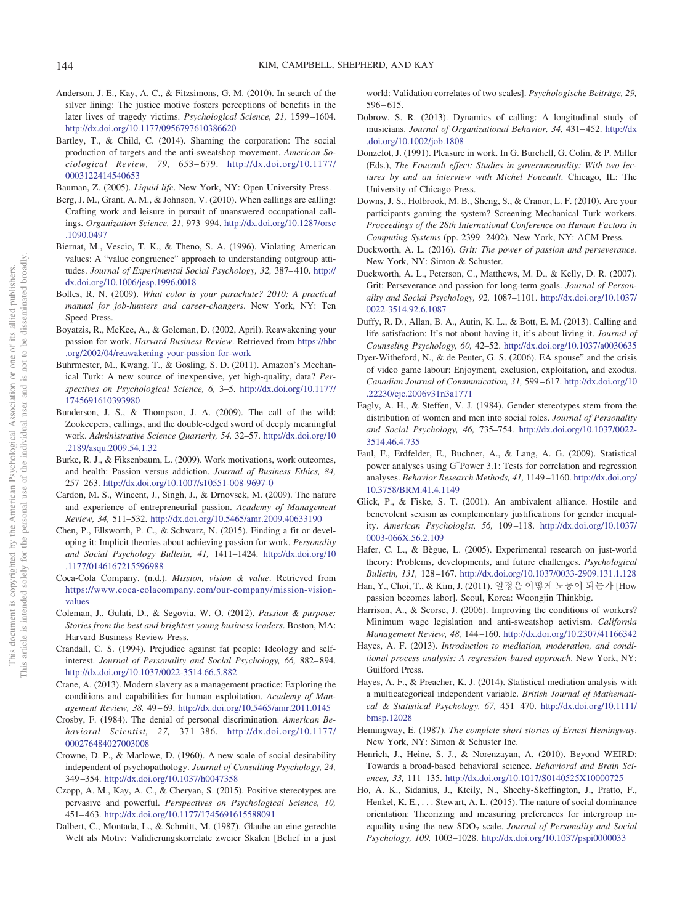- <span id="page-23-20"></span>Anderson, J. E., Kay, A. C., & Fitzsimons, G. M. (2010). In search of the silver lining: The justice motive fosters perceptions of benefits in the later lives of tragedy victims. *Psychological Science, 21,* 1599 –1604. <http://dx.doi.org/10.1177/0956797610386620>
- <span id="page-23-1"></span>Bartley, T., & Child, C. (2014). Shaming the corporation: The social production of targets and the anti-sweatshop movement. *American Sociological Review, 79,* 653– 679. [http://dx.doi.org/10.1177/](http://dx.doi.org/10.1177/0003122414540653) [0003122414540653](http://dx.doi.org/10.1177/0003122414540653)
- <span id="page-23-3"></span>Bauman, Z. (2005). *Liquid life*. New York, NY: Open University Press.
- <span id="page-23-25"></span>Berg, J. M., Grant, A. M., & Johnson, V. (2010). When callings are calling: Crafting work and leisure in pursuit of unanswered occupational callings. *Organization Science, 21,* 973–994. [http://dx.doi.org/10.1287/orsc](http://dx.doi.org/10.1287/orsc.1090.0497) [.1090.0497](http://dx.doi.org/10.1287/orsc.1090.0497)
- <span id="page-23-34"></span>Biernat, M., Vescio, T. K., & Theno, S. A. (1996). Violating American values: A "value congruence" approach to understanding outgroup attitudes. Journal of Experimental Social Psychology, 32, 387-410. [http://](http://dx.doi.org/10.1006/jesp.1996.0018) [dx.doi.org/10.1006/jesp.1996.0018](http://dx.doi.org/10.1006/jesp.1996.0018)
- <span id="page-23-5"></span>Bolles, R. N. (2009). *What color is your parachute? 2010: A practical manual for job-hunters and career-changers*. New York, NY: Ten Speed Press.
- <span id="page-23-11"></span>Boyatzis, R., McKee, A., & Goleman, D. (2002, April). Reawakening your passion for work. *Harvard Business Review*. Retrieved from [https://hbr](https://hbr.org/2002/04/reawakening-your-passion-for-work) [.org/2002/04/reawakening-your-passion-for-work](https://hbr.org/2002/04/reawakening-your-passion-for-work)
- <span id="page-23-22"></span>Buhrmester, M., Kwang, T., & Gosling, S. D. (2011). Amazon's Mechanical Turk: A new source of inexpensive, yet high-quality, data? *Perspectives on Psychological Science, 6,* 3–5. [http://dx.doi.org/10.1177/](http://dx.doi.org/10.1177/1745691610393980) [1745691610393980](http://dx.doi.org/10.1177/1745691610393980)
- <span id="page-23-21"></span>Bunderson, J. S., & Thompson, J. A. (2009). The call of the wild: Zookeepers, callings, and the double-edged sword of deeply meaningful work. *Administrative Science Quarterly, 54,* 32–57. [http://dx.doi.org/10](http://dx.doi.org/10.2189/asqu.2009.54.1.32) [.2189/asqu.2009.54.1.32](http://dx.doi.org/10.2189/asqu.2009.54.1.32)
- <span id="page-23-7"></span>Burke, R. J., & Fiksenbaum, L. (2009). Work motivations, work outcomes, and health: Passion versus addiction. *Journal of Business Ethics, 84,* 257–263. <http://dx.doi.org/10.1007/s10551-008-9697-0>
- <span id="page-23-10"></span>Cardon, M. S., Wincent, J., Singh, J., & Drnovsek, M. (2009). The nature and experience of entrepreneurial passion. *Academy of Management Review, 34,* 511–532. <http://dx.doi.org/10.5465/amr.2009.40633190>
- <span id="page-23-18"></span>Chen, P., Ellsworth, P. C., & Schwarz, N. (2015). Finding a fit or developing it: Implicit theories about achieving passion for work. *Personality and Social Psychology Bulletin, 41,* 1411–1424. [http://dx.doi.org/10](http://dx.doi.org/10.1177/0146167215596988) [.1177/0146167215596988](http://dx.doi.org/10.1177/0146167215596988)
- <span id="page-23-13"></span>Coca-Cola Company. (n.d.). *Mission, vision & value*. Retrieved from [https://www.coca-colacompany.com/our-company/mission-vision](https://www.coca-colacompany.com/our-company/mission-vision-values)[values](https://www.coca-colacompany.com/our-company/mission-vision-values)
- <span id="page-23-4"></span>Coleman, J., Gulati, D., & Segovia, W. O. (2012). *Passion & purpose: Stories from the best and brightest young business leaders*. Boston, MA: Harvard Business Review Press.
- <span id="page-23-16"></span>Crandall, C. S. (1994). Prejudice against fat people: Ideology and selfinterest. *Journal of Personality and Social Psychology, 66,* 882– 894. <http://dx.doi.org/10.1037/0022-3514.66.5.882>
- <span id="page-23-0"></span>Crane, A. (2013). Modern slavery as a management practice: Exploring the conditions and capabilities for human exploitation. *Academy of Management Review, 38,* 49 – 69. <http://dx.doi.org/10.5465/amr.2011.0145>
- <span id="page-23-33"></span>Crosby, F. (1984). The denial of personal discrimination. *American Behavioral Scientist, 27,* 371–386. [http://dx.doi.org/10.1177/](http://dx.doi.org/10.1177/000276484027003008) [000276484027003008](http://dx.doi.org/10.1177/000276484027003008)
- <span id="page-23-30"></span>Crowne, D. P., & Marlowe, D. (1960). A new scale of social desirability independent of psychopathology. *Journal of Consulting Psychology, 24,* 349 –354. <http://dx.doi.org/10.1037/h0047358>
- <span id="page-23-17"></span>Czopp, A. M., Kay, A. C., & Cheryan, S. (2015). Positive stereotypes are pervasive and powerful. *Perspectives on Psychological Science, 10,* 451– 463. <http://dx.doi.org/10.1177/1745691615588091>
- <span id="page-23-31"></span>Dalbert, C., Montada, L., & Schmitt, M. (1987). Glaube an eine gerechte Welt als Motiv: Validierungskorrelate zweier Skalen [Belief in a just

world: Validation correlates of two scales]. *Psychologische Beiträge, 29,*  $596 - 615$ .

- <span id="page-23-28"></span>Dobrow, S. R. (2013). Dynamics of calling: A longitudinal study of musicians. *Journal of Organizational Behavior*, 34, 431-452. [http://dx](http://dx.doi.org/10.1002/job.1808) [.doi.org/10.1002/job.1808](http://dx.doi.org/10.1002/job.1808)
- <span id="page-23-12"></span>Donzelot, J. (1991). Pleasure in work. In G. Burchell, G. Colin, & P. Miller (Eds.), *The Foucault effect: Studies in governmentality: With two lectures by and an interview with Michel Foucault*. Chicago, IL: The University of Chicago Press.
- <span id="page-23-23"></span>Downs, J. S., Holbrook, M. B., Sheng, S., & Cranor, L. F. (2010). Are your participants gaming the system? Screening Mechanical Turk workers. *Proceedings of the 28th International Conference on Human Factors in Computing Systems* (pp. 2399 –2402). New York, NY: ACM Press.
- <span id="page-23-6"></span>Duckworth, A. L. (2016). *Grit: The power of passion and perseverance*. New York, NY: Simon & Schuster.
- <span id="page-23-9"></span>Duckworth, A. L., Peterson, C., Matthews, M. D., & Kelly, D. R. (2007). Grit: Perseverance and passion for long-term goals. *Journal of Personality and Social Psychology, 92,* 1087–1101. [http://dx.doi.org/10.1037/](http://dx.doi.org/10.1037/0022-3514.92.6.1087) [0022-3514.92.6.1087](http://dx.doi.org/10.1037/0022-3514.92.6.1087)
- <span id="page-23-8"></span>Duffy, R. D., Allan, B. A., Autin, K. L., & Bott, E. M. (2013). Calling and life satisfaction: It's not about having it, it's about living it. *Journal of Counseling Psychology, 60,* 42–52. <http://dx.doi.org/10.1037/a0030635>
- <span id="page-23-15"></span>Dyer-Witheford, N., & de Peuter, G. S. (2006). EA spouse" and the crisis of video game labour: Enjoyment, exclusion, exploitation, and exodus. *Canadian Journal of Communication, 31,* 599 – 617. [http://dx.doi.org/10](http://dx.doi.org/10.22230/cjc.2006v31n3a1771) [.22230/cjc.2006v31n3a1771](http://dx.doi.org/10.22230/cjc.2006v31n3a1771)
- <span id="page-23-37"></span>Eagly, A. H., & Steffen, V. J. (1984). Gender stereotypes stem from the distribution of women and men into social roles. *Journal of Personality and Social Psychology, 46,* 735–754. [http://dx.doi.org/10.1037/0022-](http://dx.doi.org/10.1037/0022-3514.46.4.735) [3514.46.4.735](http://dx.doi.org/10.1037/0022-3514.46.4.735)
- <span id="page-23-27"></span>Faul, F., Erdfelder, E., Buchner, A., & Lang, A. G. (2009). Statistical power analyses using G\*Power 3.1: Tests for correlation and regression analyses. *Behavior Research Methods, 41,* 1149 –1160. [http://dx.doi.org/](http://dx.doi.org/10.3758/BRM.41.4.1149) [10.3758/BRM.41.4.1149](http://dx.doi.org/10.3758/BRM.41.4.1149)
- <span id="page-23-35"></span>Glick, P., & Fiske, S. T. (2001). An ambivalent alliance. Hostile and benevolent sexism as complementary justifications for gender inequality. *American Psychologist, 56,* 109 –118. [http://dx.doi.org/10.1037/](http://dx.doi.org/10.1037/0003-066X.56.2.109) [0003-066X.56.2.109](http://dx.doi.org/10.1037/0003-066X.56.2.109)
- <span id="page-23-19"></span>Hafer, C. L., & Bègue, L. (2005). Experimental research on just-world theory: Problems, developments, and future challenges. *Psychological Bulletin, 131,* 128 –167. <http://dx.doi.org/10.1037/0033-2909.131.1.128>
- <span id="page-23-14"></span>Han, Y., Choi, T., & Kim, J. (2011). 열정은 어떻게 노동이 되는가 [How passion becomes labor]. Seoul, Korea: Woongjin Thinkbig.
- <span id="page-23-2"></span>Harrison, A., & Scorse, J. (2006). Improving the conditions of workers? Minimum wage legislation and anti-sweatshop activism. *California Management Review, 48,* 144 –160. <http://dx.doi.org/10.2307/41166342>
- <span id="page-23-26"></span>Hayes, A. F. (2013). *Introduction to mediation, moderation, and conditional process analysis: A regression-based approach*. New York, NY: Guilford Press.
- <span id="page-23-29"></span>Hayes, A. F., & Preacher, K. J. (2014). Statistical mediation analysis with a multicategorical independent variable. *British Journal of Mathematical & Statistical Psychology, 67,* 451– 470. [http://dx.doi.org/10.1111/](http://dx.doi.org/10.1111/bmsp.12028) [bmsp.12028](http://dx.doi.org/10.1111/bmsp.12028)
- <span id="page-23-24"></span>Hemingway, E. (1987). *The complete short stories of Ernest Hemingway*. New York, NY: Simon & Schuster Inc.
- <span id="page-23-36"></span>Henrich, J., Heine, S. J., & Norenzayan, A. (2010). Beyond WEIRD: Towards a broad-based behavioral science. *Behavioral and Brain Sciences, 33,* 111–135. <http://dx.doi.org/10.1017/S0140525X10000725>
- <span id="page-23-32"></span>Ho, A. K., Sidanius, J., Kteily, N., Sheehy-Skeffington, J., Pratto, F., Henkel, K. E., . . . Stewart, A. L. (2015). The nature of social dominance orientation: Theorizing and measuring preferences for intergroup inequality using the new SDO<sub>7</sub> scale. *Journal of Personality and Social Psychology, 109,* 1003–1028. <http://dx.doi.org/10.1037/pspi0000033>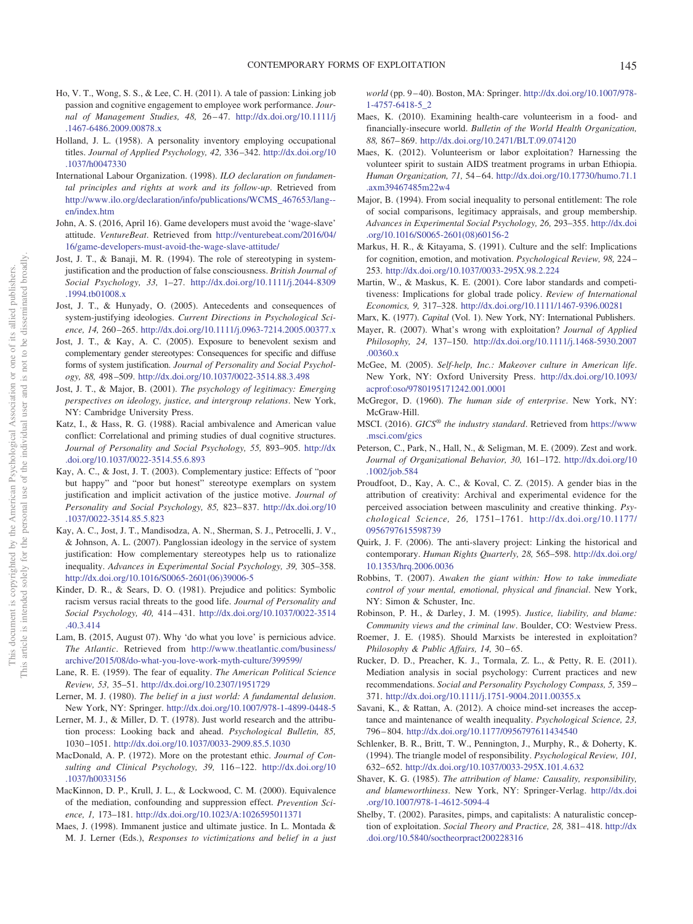- <span id="page-24-10"></span>Ho, V. T., Wong, S. S., & Lee, C. H. (2011). A tale of passion: Linking job passion and cognitive engagement to employee work performance. *Journal of Management Studies, 48,* 26 – 47. [http://dx.doi.org/10.1111/j](http://dx.doi.org/10.1111/j.1467-6486.2009.00878.x) [.1467-6486.2009.00878.x](http://dx.doi.org/10.1111/j.1467-6486.2009.00878.x)
- <span id="page-24-25"></span>Holland, J. L. (1958). A personality inventory employing occupational titles. *Journal of Applied Psychology, 42,* 336 –342. [http://dx.doi.org/10](http://dx.doi.org/10.1037/h0047330) [.1037/h0047330](http://dx.doi.org/10.1037/h0047330)
- <span id="page-24-0"></span>International Labour Organization. (1998). *ILO declaration on fundamental principles and rights at work and its follow-up*. Retrieved from [http://www.ilo.org/declaration/info/publications/WCMS\\_467653/lang-](http://www.ilo.org/declaration/info/publications/WCMS_467653/lang--en/index.htm) [en/index.htm](http://www.ilo.org/declaration/info/publications/WCMS_467653/lang--en/index.htm)
- <span id="page-24-13"></span>John, A. S. (2016, April 16). Game developers must avoid the 'wage-slave' attitude. *VentureBeat*. Retrieved from [http://venturebeat.com/2016/04/](http://venturebeat.com/2016/04/16/game-developers-must-avoid-the-wage-slave-attitude/) [16/game-developers-must-avoid-the-wage-slave-attitude/](http://venturebeat.com/2016/04/16/game-developers-must-avoid-the-wage-slave-attitude/)
- <span id="page-24-4"></span>Jost, J. T., & Banaji, M. R. (1994). The role of stereotyping in systemjustification and the production of false consciousness. *British Journal of Social Psychology, 33,* 1–27. [http://dx.doi.org/10.1111/j.2044-8309](http://dx.doi.org/10.1111/j.2044-8309.1994.tb01008.x) [.1994.tb01008.x](http://dx.doi.org/10.1111/j.2044-8309.1994.tb01008.x)
- <span id="page-24-23"></span>Jost, J. T., & Hunyady, O. (2005). Antecedents and consequences of system-justifying ideologies. *Current Directions in Psychological Science, 14,* 260 –265. <http://dx.doi.org/10.1111/j.0963-7214.2005.00377.x>
- <span id="page-24-36"></span>Jost, J. T., & Kay, A. C. (2005). Exposure to benevolent sexism and complementary gender stereotypes: Consequences for specific and diffuse forms of system justification. *Journal of Personality and Social Psychology, 88,* 498 –509. <http://dx.doi.org/10.1037/0022-3514.88.3.498>
- <span id="page-24-31"></span>Jost, J. T., & Major, B. (2001). *The psychology of legitimacy: Emerging perspectives on ideology, justice, and intergroup relations*. New York, NY: Cambridge University Press.
- <span id="page-24-33"></span>Katz, I., & Hass, R. G. (1988). Racial ambivalence and American value conflict: Correlational and priming studies of dual cognitive structures. *Journal of Personality and Social Psychology, 55,* 893–905. [http://dx](http://dx.doi.org/10.1037/0022-3514.55.6.893) [.doi.org/10.1037/0022-3514.55.6.893](http://dx.doi.org/10.1037/0022-3514.55.6.893)
- <span id="page-24-6"></span>Kay, A. C., & Jost, J. T. (2003). Complementary justice: Effects of "poor but happy" and "poor but honest" stereotype exemplars on system justification and implicit activation of the justice motive. *Journal of Personality and Social Psychology, 85,* 823– 837. [http://dx.doi.org/10](http://dx.doi.org/10.1037/0022-3514.85.5.823) [.1037/0022-3514.85.5.823](http://dx.doi.org/10.1037/0022-3514.85.5.823)
- <span id="page-24-21"></span>Kay, A. C., Jost, J. T., Mandisodza, A. N., Sherman, S. J., Petrocelli, J. V., & Johnson, A. L. (2007). Panglossian ideology in the service of system justification: How complementary stereotypes help us to rationalize inequality. *Advances in Experimental Social Psychology, 39,* 305–358. [http://dx.doi.org/10.1016/S0065-2601\(06\)39006-5](http://dx.doi.org/10.1016/S0065-2601%2806%2939006-5)
- <span id="page-24-34"></span>Kinder, D. R., & Sears, D. O. (1981). Prejudice and politics: Symbolic racism versus racial threats to the good life. *Journal of Personality and Social Psychology, 40,* 414 – 431. [http://dx.doi.org/10.1037/0022-3514](http://dx.doi.org/10.1037/0022-3514.40.3.414) [.40.3.414](http://dx.doi.org/10.1037/0022-3514.40.3.414)
- <span id="page-24-12"></span>Lam, B. (2015, August 07). Why 'do what you love' is pernicious advice. *The Atlantic*. Retrieved from [http://www.theatlantic.com/business/](http://www.theatlantic.com/business/archive/2015/08/do-what-you-love-work-myth-culture/399599/) [archive/2015/08/do-what-you-love-work-myth-culture/399599/](http://www.theatlantic.com/business/archive/2015/08/do-what-you-love-work-myth-culture/399599/)
- <span id="page-24-22"></span>Lane, R. E. (1959). The fear of equality. *The American Political Science Review, 53,* 35–51. <http://dx.doi.org/10.2307/1951729>
- <span id="page-24-5"></span>Lerner, M. J. (1980). *The belief in a just world: A fundamental delusion*. New York, NY: Springer. <http://dx.doi.org/10.1007/978-1-4899-0448-5>
- <span id="page-24-16"></span>Lerner, M. J., & Miller, D. T. (1978). Just world research and the attribution process: Looking back and ahead. *Psychological Bulletin, 85,* 1030 –1051. <http://dx.doi.org/10.1037/0033-2909.85.5.1030>
- <span id="page-24-35"></span>MacDonald, A. P. (1972). More on the protestant ethic. *Journal of Consulting and Clinical Psychology, 39,* 116 –122. [http://dx.doi.org/10](http://dx.doi.org/10.1037/h0033156) [.1037/h0033156](http://dx.doi.org/10.1037/h0033156)
- <span id="page-24-26"></span>MacKinnon, D. P., Krull, J. L., & Lockwood, C. M. (2000). Equivalence of the mediation, confounding and suppression effect. *Prevention Science, 1,* 173–181. <http://dx.doi.org/10.1023/A:1026595011371>
- <span id="page-24-24"></span>Maes, J. (1998). Immanent justice and ultimate justice. In L. Montada & M. J. Lerner (Eds.), *Responses to victimizations and belief in a just*

*world* (pp. 9 – 40). Boston, MA: Springer. [http://dx.doi.org/10.1007/978-](http://dx.doi.org/10.1007/978-1-4757-6418-5_2) [1-4757-6418-5\\_2](http://dx.doi.org/10.1007/978-1-4757-6418-5_2)

- <span id="page-24-15"></span>Maes, K. (2010). Examining health-care volunteerism in a food- and financially-insecure world. *Bulletin of the World Health Organization, 88,* 867– 869. <http://dx.doi.org/10.2471/BLT.09.074120>
- <span id="page-24-14"></span>Maes, K. (2012). Volunteerism or labor exploitation? Harnessing the volunteer spirit to sustain AIDS treatment programs in urban Ethiopia. *Human Organization, 71,* 54 – 64. [http://dx.doi.org/10.17730/humo.71.1](http://dx.doi.org/10.17730/humo.71.1.axm39467485m22w4) [.axm39467485m22w4](http://dx.doi.org/10.17730/humo.71.1.axm39467485m22w4)
- <span id="page-24-32"></span>Major, B. (1994). From social inequality to personal entitlement: The role of social comparisons, legitimacy appraisals, and group membership. *Advances in Experimental Social Psychology, 26,* 293–355. [http://dx.doi](http://dx.doi.org/10.1016/S0065-2601%2808%2960156-2) [.org/10.1016/S0065-2601\(08\)60156-2](http://dx.doi.org/10.1016/S0065-2601%2808%2960156-2)
- <span id="page-24-37"></span>Markus, H. R., & Kitayama, S. (1991). Culture and the self: Implications for cognition, emotion, and motivation. *Psychological Review, 98,* 224 – 253. <http://dx.doi.org/10.1037/0033-295X.98.2.224>
- <span id="page-24-1"></span>Martin, W., & Maskus, K. E. (2001). Core labor standards and competitiveness: Implications for global trade policy. *Review of International Economics, 9,* 317–328. <http://dx.doi.org/10.1111/1467-9396.00281>
- <span id="page-24-29"></span>Marx, K. (1977). *Capital* (Vol. 1). New York, NY: International Publishers.
- <span id="page-24-3"></span>Mayer, R. (2007). What's wrong with exploitation? *Journal of Applied Philosophy, 24,* 137–150. [http://dx.doi.org/10.1111/j.1468-5930.2007](http://dx.doi.org/10.1111/j.1468-5930.2007.00360.x) [.00360.x](http://dx.doi.org/10.1111/j.1468-5930.2007.00360.x)
- <span id="page-24-8"></span>McGee, M. (2005). *Self-help, Inc.: Makeover culture in American life*. New York, NY: Oxford University Press. [http://dx.doi.org/10.1093/](http://dx.doi.org/10.1093/acprof:oso/9780195171242.001.0001) [acprof:oso/9780195171242.001.0001](http://dx.doi.org/10.1093/acprof:oso/9780195171242.001.0001)
- <span id="page-24-11"></span>McGregor, D. (1960). *The human side of enterprise*. New York, NY: McGraw-Hill.
- <span id="page-24-28"></span>MSCI. (2016). *GICS*® *the industry standard*. Retrieved from [https://www](https://www.msci.com/gics) [.msci.com/gics](https://www.msci.com/gics)
- <span id="page-24-9"></span>Peterson, C., Park, N., Hall, N., & Seligman, M. E. (2009). Zest and work. *Journal of Organizational Behavior, 30,* 161–172. [http://dx.doi.org/10](http://dx.doi.org/10.1002/job.584) [.1002/job.584](http://dx.doi.org/10.1002/job.584)
- <span id="page-24-39"></span>Proudfoot, D., Kay, A. C., & Koval, C. Z. (2015). A gender bias in the attribution of creativity: Archival and experimental evidence for the perceived association between masculinity and creative thinking. *Psychological Science, 26,* 1751–1761. [http://dx.doi.org/10.1177/](http://dx.doi.org/10.1177/0956797615598739) [0956797615598739](http://dx.doi.org/10.1177/0956797615598739)
- <span id="page-24-2"></span>Quirk, J. F. (2006). The anti-slavery project: Linking the historical and contemporary. *Human Rights Quarterly, 28,* 565–598. [http://dx.doi.org/](http://dx.doi.org/10.1353/hrq.2006.0036) [10.1353/hrq.2006.0036](http://dx.doi.org/10.1353/hrq.2006.0036)
- <span id="page-24-7"></span>Robbins, T. (2007). *Awaken the giant within: How to take immediate control of your mental, emotional, physical and financial*. New York, NY: Simon & Schuster, Inc.
- <span id="page-24-38"></span>Robinson, P. H., & Darley, J. M. (1995). *Justice, liability, and blame: Community views and the criminal law*. Boulder, CO: Westview Press.
- <span id="page-24-30"></span>Roemer, J. E. (1985). Should Marxists be interested in exploitation? Philosophy & Public Affairs, 14, 30-65.
- <span id="page-24-27"></span>Rucker, D. D., Preacher, K. J., Tormala, Z. L., & Petty, R. E. (2011). Mediation analysis in social psychology: Current practices and new recommendations. *Social and Personality Psychology Compass, 5,* 359 – 371. <http://dx.doi.org/10.1111/j.1751-9004.2011.00355.x>
- <span id="page-24-20"></span>Savani, K., & Rattan, A. (2012). A choice mind-set increases the acceptance and maintenance of wealth inequality. *Psychological Science, 23,* 796 – 804. <http://dx.doi.org/10.1177/0956797611434540>
- <span id="page-24-18"></span>Schlenker, B. R., Britt, T. W., Pennington, J., Murphy, R., & Doherty, K. (1994). The triangle model of responsibility. *Psychological Review, 101,* 632– 652. <http://dx.doi.org/10.1037/0033-295X.101.4.632>
- <span id="page-24-19"></span>Shaver, K. G. (1985). *The attribution of blame: Causality, responsibility, and blameworthiness*. New York, NY: Springer-Verlag. [http://dx.doi](http://dx.doi.org/10.1007/978-1-4612-5094-4) [.org/10.1007/978-1-4612-5094-4](http://dx.doi.org/10.1007/978-1-4612-5094-4)
- <span id="page-24-17"></span>Shelby, T. (2002). Parasites, pimps, and capitalists: A naturalistic conception of exploitation. *Social Theory and Practice*, 28, 381-418. [http://dx](http://dx.doi.org/10.5840/soctheorpract200228316) [.doi.org/10.5840/soctheorpract200228316](http://dx.doi.org/10.5840/soctheorpract200228316)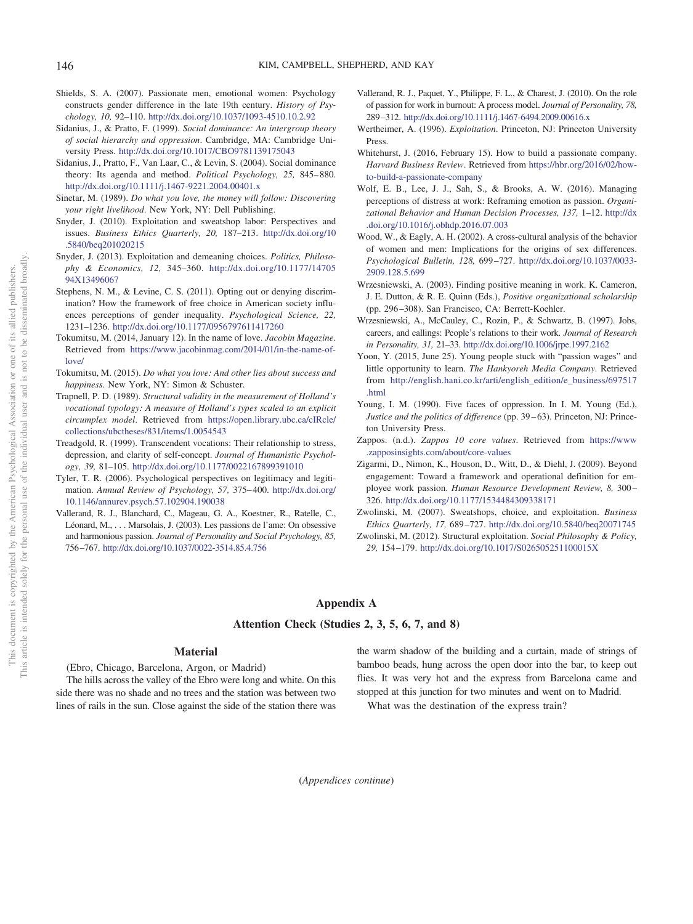- <span id="page-25-26"></span>Shields, S. A. (2007). Passionate men, emotional women: Psychology constructs gender difference in the late 19th century. *History of Psychology, 10,* 92–110. <http://dx.doi.org/10.1037/1093-4510.10.2.92>
- <span id="page-25-24"></span>Sidanius, J., & Pratto, F. (1999). *Social dominance: An intergroup theory of social hierarchy and oppression*. Cambridge, MA: Cambridge University Press. <http://dx.doi.org/10.1017/CBO9781139175043>
- <span id="page-25-19"></span>Sidanius, J., Pratto, F., Van Laar, C., & Levin, S. (2004). Social dominance theory: Its agenda and method. *Political Psychology*, 25, 845–880. <http://dx.doi.org/10.1111/j.1467-9221.2004.00401.x>
- <span id="page-25-2"></span>Sinetar, M. (1989). *Do what you love, the money will follow: Discovering your right livelihood*. New York, NY: Dell Publishing.
- <span id="page-25-14"></span>Snyder, J. (2010). Exploitation and sweatshop labor: Perspectives and issues. *Business Ethics Quarterly, 20,* 187–213. [http://dx.doi.org/10](http://dx.doi.org/10.5840/beq201020215) [.5840/beq201020215](http://dx.doi.org/10.5840/beq201020215)
- <span id="page-25-17"></span>Snyder, J. (2013). Exploitation and demeaning choices. *Politics, Philosophy & Economics, 12,* 345–360. [http://dx.doi.org/10.1177/14705](http://dx.doi.org/10.1177/1470594X13496067) [94X13496067](http://dx.doi.org/10.1177/1470594X13496067)
- <span id="page-25-18"></span>Stephens, N. M., & Levine, C. S. (2011). Opting out or denying discrimination? How the framework of free choice in American society influences perceptions of gender inequality. *Psychological Science, 22,* 1231–1236. <http://dx.doi.org/10.1177/0956797611417260>
- <span id="page-25-13"></span>Tokumitsu, M. (2014, January 12). In the name of love. *Jacobin Magazine*. Retrieved from [https://www.jacobinmag.com/2014/01/in-the-name-of](https://www.jacobinmag.com/2014/01/in-the-name-of-love/)[love/](https://www.jacobinmag.com/2014/01/in-the-name-of-love/)
- <span id="page-25-1"></span>Tokumitsu, M. (2015). *Do what you love: And other lies about success and happiness*. New York, NY: Simon & Schuster.
- <span id="page-25-21"></span>Trapnell, P. D. (1989). *Structural validity in the measurement of Holland's vocational typology: A measure of Holland's types scaled to an explicit circumplex model*. Retrieved from [https://open.library.ubc.ca/cIRcle/](https://open.library.ubc.ca/cIRcle/collections/ubctheses/831/items/1.0054543) [collections/ubctheses/831/items/1.0054543](https://open.library.ubc.ca/cIRcle/collections/ubctheses/831/items/1.0054543)
- <span id="page-25-4"></span>Treadgold, R. (1999). Transcendent vocations: Their relationship to stress, depression, and clarity of self-concept. *Journal of Humanistic Psychology, 39,* 81–105. <http://dx.doi.org/10.1177/0022167899391010>
- <span id="page-25-23"></span>Tyler, T. R. (2006). Psychological perspectives on legitimacy and legitimation. *Annual Review of Psychology, 57,* 375– 400. [http://dx.doi.org/](http://dx.doi.org/10.1146/annurev.psych.57.102904.190038) [10.1146/annurev.psych.57.102904.190038](http://dx.doi.org/10.1146/annurev.psych.57.102904.190038)
- <span id="page-25-10"></span>Vallerand, R. J., Blanchard, C., Mageau, G. A., Koestner, R., Ratelle, C., Léonard, M.,... Marsolais, J. (2003). Les passions de l'ame: On obsessive and harmonious passion. *Journal of Personality and Social Psychology, 85,* 756 –767. <http://dx.doi.org/10.1037/0022-3514.85.4.756>
- <span id="page-25-11"></span>Vallerand, R. J., Paquet, Y., Philippe, F. L., & Charest, J. (2010). On the role of passion for work in burnout: A process model. *Journal of Personality, 78,* 289 –312. <http://dx.doi.org/10.1111/j.1467-6494.2009.00616.x>
- <span id="page-25-0"></span>Wertheimer, A. (1996). *Exploitation*. Princeton, NJ: Princeton University Press.
- <span id="page-25-3"></span>Whitehurst, J. (2016, February 15). How to build a passionate company. *Harvard Business Review*. Retrieved from [https://hbr.org/2016/02/how](https://hbr.org/2016/02/how-to-build-a-passionate-company)[to-build-a-passionate-company](https://hbr.org/2016/02/how-to-build-a-passionate-company)
- <span id="page-25-8"></span>Wolf, E. B., Lee, J. J., Sah, S., & Brooks, A. W. (2016). Managing perceptions of distress at work: Reframing emotion as passion. *Organizational Behavior and Human Decision Processes, 137,* 1–12. [http://dx](http://dx.doi.org/10.1016/j.obhdp.2016.07.003) [.doi.org/10.1016/j.obhdp.2016.07.003](http://dx.doi.org/10.1016/j.obhdp.2016.07.003)
- <span id="page-25-25"></span>Wood, W., & Eagly, A. H. (2002). A cross-cultural analysis of the behavior of women and men: Implications for the origins of sex differences. *Psychological Bulletin, 128,* 699 –727. [http://dx.doi.org/10.1037/0033-](http://dx.doi.org/10.1037/0033-2909.128.5.699) [2909.128.5.699](http://dx.doi.org/10.1037/0033-2909.128.5.699)
- <span id="page-25-7"></span>Wrzesniewski, A. (2003). Finding positive meaning in work. K. Cameron, J. E. Dutton, & R. E. Quinn (Eds.), *Positive organizational scholarship* (pp. 296 –308). San Francisco, CA: Berrett-Koehler.
- <span id="page-25-6"></span>Wrzesniewski, A., McCauley, C., Rozin, P., & Schwartz, B. (1997). Jobs, careers, and callings: People's relations to their work. *Journal of Research in Personality, 31,* 21–33. <http://dx.doi.org/10.1006/jrpe.1997.2162>
- <span id="page-25-12"></span>Yoon, Y. (2015, June 25). Young people stuck with "passion wages" and little opportunity to learn. *The Hankyoreh Media Company*. Retrieved from [http://english.hani.co.kr/arti/english\\_edition/e\\_business/697517](http://english.hani.co.kr/arti/english_edition/e_business/697517.html) [.html](http://english.hani.co.kr/arti/english_edition/e_business/697517.html)
- <span id="page-25-22"></span>Young, I. M. (1990). Five faces of oppression. In I. M. Young (Ed.), *Justice and the politics of difference* (pp. 39 – 63). Princeton, NJ: Princeton University Press.
- <span id="page-25-9"></span>Zappos. (n.d.). *Zappos 10 core values*. Retrieved from [https://www](https://www.zapposinsights.com/about/core-values) [.zapposinsights.com/about/core-values](https://www.zapposinsights.com/about/core-values)
- <span id="page-25-5"></span>Zigarmi, D., Nimon, K., Houson, D., Witt, D., & Diehl, J. (2009). Beyond engagement: Toward a framework and operational definition for employee work passion. *Human Resource Development Review, 8,* 300 – 326. <http://dx.doi.org/10.1177/1534484309338171>
- <span id="page-25-16"></span>Zwolinski, M. (2007). Sweatshops, choice, and exploitation. *Business Ethics Quarterly, 17,* 689 –727. <http://dx.doi.org/10.5840/beq20071745>
- <span id="page-25-15"></span>Zwolinski, M. (2012). Structural exploitation. *Social Philosophy & Policy, 29,* 154 –179. <http://dx.doi.org/10.1017/S026505251100015X>

# <span id="page-25-20"></span>**Appendix A**

#### **Attention Check (Studies 2, 3, 5, 6, 7, and 8)**

# **Material**

(Ebro, Chicago, Barcelona, Argon, or Madrid) The hills across the valley of the Ebro were long and white. On this side there was no shade and no trees and the station was between two lines of rails in the sun. Close against the side of the station there was the warm shadow of the building and a curtain, made of strings of bamboo beads, hung across the open door into the bar, to keep out flies. It was very hot and the express from Barcelona came and stopped at this junction for two minutes and went on to Madrid.

What was the destination of the express train?

(*Appendices continue*)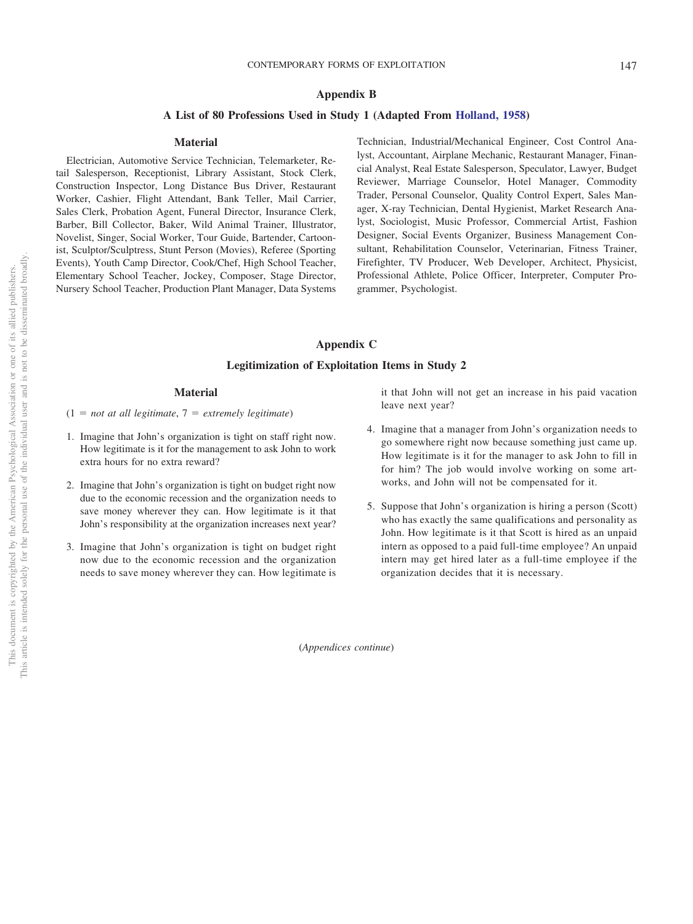# <span id="page-26-0"></span>**Appendix B**

# **A List of 80 Professions Used in Study 1 (Adapted From [Holland, 1958\)](#page-24-25)**

#### **Material**

Electrician, Automotive Service Technician, Telemarketer, Retail Salesperson, Receptionist, Library Assistant, Stock Clerk, Construction Inspector, Long Distance Bus Driver, Restaurant Worker, Cashier, Flight Attendant, Bank Teller, Mail Carrier, Sales Clerk, Probation Agent, Funeral Director, Insurance Clerk, Barber, Bill Collector, Baker, Wild Animal Trainer, Illustrator, Novelist, Singer, Social Worker, Tour Guide, Bartender, Cartoonist, Sculptor/Sculptress, Stunt Person (Movies), Referee (Sporting Events), Youth Camp Director, Cook/Chef, High School Teacher, Elementary School Teacher, Jockey, Composer, Stage Director, Nursery School Teacher, Production Plant Manager, Data Systems Technician, Industrial/Mechanical Engineer, Cost Control Analyst, Accountant, Airplane Mechanic, Restaurant Manager, Financial Analyst, Real Estate Salesperson, Speculator, Lawyer, Budget Reviewer, Marriage Counselor, Hotel Manager, Commodity Trader, Personal Counselor, Quality Control Expert, Sales Manager, X-ray Technician, Dental Hygienist, Market Research Analyst, Sociologist, Music Professor, Commercial Artist, Fashion Designer, Social Events Organizer, Business Management Consultant, Rehabilitation Counselor, Veterinarian, Fitness Trainer, Firefighter, TV Producer, Web Developer, Architect, Physicist, Professional Athlete, Police Officer, Interpreter, Computer Programmer, Psychologist.

# <span id="page-26-1"></span>**Appendix C**

# **Legitimization of Exploitation Items in Study 2**

# **Material**

- $(1 = not at all legitimate, 7 = extremely legitimate)$
- 1. Imagine that John's organization is tight on staff right now. How legitimate is it for the management to ask John to work extra hours for no extra reward?
- 2. Imagine that John's organization is tight on budget right now due to the economic recession and the organization needs to save money wherever they can. How legitimate is it that John's responsibility at the organization increases next year?
- 3. Imagine that John's organization is tight on budget right now due to the economic recession and the organization needs to save money wherever they can. How legitimate is

it that John will not get an increase in his paid vacation leave next year?

- 4. Imagine that a manager from John's organization needs to go somewhere right now because something just came up. How legitimate is it for the manager to ask John to fill in for him? The job would involve working on some artworks, and John will not be compensated for it.
- 5. Suppose that John's organization is hiring a person (Scott) who has exactly the same qualifications and personality as John. How legitimate is it that Scott is hired as an unpaid intern as opposed to a paid full-time employee? An unpaid intern may get hired later as a full-time employee if the organization decides that it is necessary.

(*Appendices continue*)